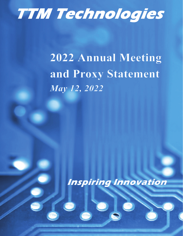

# 2022 Annual Meeting and Proxy Statement May 12, 2022

**Inspiring Innovation**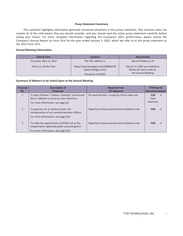#### **Proxy Statement Summary**

This summary highlights information generally contained elsewhere in this proxy statement. This summary does not contain all of the information that you should consider, and you should read the entire proxy statement carefully before voting your shares. For more complete information regarding the Company's 2021 performance, please review the Company's Annual Report on Form 10-K for the year ended January 3, 2022, which we refer to in this proxy statement as the 2021 Form 10-K.

#### **Annual Meeting Information**

| Date & Time            | Location                                               | <b>Record Date</b>                                                                 |
|------------------------|--------------------------------------------------------|------------------------------------------------------------------------------------|
| Thursday, May 12, 2022 | The URL address is:                                    | Record holders as of                                                               |
| 8:30 a.m. Pacific Time | https://web.lumiagm.com/208900745<br>[web.lumiagm.com] | March 15, 2022 are entitled to<br>Notice of, and to vote at,<br>the Annual Meeting |
|                        | Password: ttm2022                                      |                                                                                    |

#### **Summary of Matters to be Voted Upon at the Annual Meeting**

| <b>Proposal</b><br>No. | <b>Description of</b><br><b>Proposals</b>                                                                                             | <b>Required Vote</b><br>for Approval            | <b>TTM Board's</b><br>Recommendation |
|------------------------|---------------------------------------------------------------------------------------------------------------------------------------|-------------------------------------------------|--------------------------------------|
|                        | To elect Thomas T. Edman, Chantel E. Lenard and<br>Dov S. Zakheim to serve as class I directors<br>For more information, see page [4] | For each director, a majority of the votes cast | <b>FOR</b><br>Each<br><b>Nominee</b> |
|                        | To approve, on an advisory basis, the<br>compensation of our named executive officers<br>For more information, see page [53]          | Majority of shares present and entitled to vote | <b>FOR</b>                           |
| 3                      | To ratify the appointment of KPMG LLP as the<br>independent registered public accounting firm<br>For more information, see page [53]  | Majority of shares present and entitled to vote | <b>FOR</b>                           |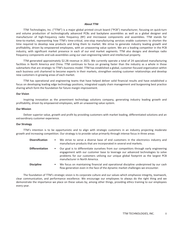#### **About TTM**

TTM Technologies, Inc. ("TTM") is a major global printed circuit board ("PCB") manufacturer, focusing on quick-turn and volume production of technologically advanced PCBs and backplane assemblies as well as a global designer and manufacturer of high-frequency radio frequency (RF) and microwave components and assemblies. TTM stands for time-to-market, representing how TTM's time-critical, one-stop manufacturing services enable customers to shorten the time required to develop new products and bring them to market. We strive to generate industry leading growth and profitability, driven by empowered employees, with an unwavering value system. We are a leading competitor in the PCB industry, with significant market presence in each of our end market segments. TTM also designs and develops radio frequency components and sub-assemblies using our own engineering talent and intellectual property.

TTM generated approximately \$2.2B revenue in 2021. We currently operate a total of 24 specialized manufacturing facilities in North America and China. TTM continues to focus on growing faster than the industry as a whole in those submarkets that are strategic to TTM's business model. TTM has established a global, customer-focused organization within each business unit chartered to become experts in their markets, strengthen existing customer relationships and develop new customers in growing areas of each market.

TTM has operational and engineering teams that have helped deliver solid financial results and have established a focus on developing leading edge technology positions, integrated supply chain management and burgeoning best practice sharing which form the foundation for future margin improvement.

#### **Our Vision**

Inspiring innovation as the preeminent technology solutions company, generating industry leading growth and profitability, driven by empowered employees, with an unwavering value system.

#### **Our Mission**

Deliver superior value, growth and profit by providing customers with market leading, differentiated solutions and an extraordinary customer experience.

#### **Our Strategy**

TTM's intention is to be opportunistic and to align with strategic customers in an industry projecting moderate growth and increasing competition. Our strategy is to provide value primarily through intense focus in three areas:

| <b>Diversification</b> | $\bullet$ | We strive to serve a diverse base of end customers in the electronics industry and<br>manufacture products that are incorporated in several end markets.                                                                                                                                           |
|------------------------|-----------|----------------------------------------------------------------------------------------------------------------------------------------------------------------------------------------------------------------------------------------------------------------------------------------------------|
| <b>Differentiation</b> | $\bullet$ | Our goal is to differentiate ourselves from our competitors through early engineering<br>engagement with our customer base to leverage our advanced technologies to solve<br>problems for our customers utilizing our unique global footprint as the largest PCB<br>manufacturer in North America. |
| <b>Discipline</b>      | $\bullet$ | We focus on maintaining financial and operational discipline underpinned by our cash                                                                                                                                                                                                               |

flow generation even in the face of the dynamic market challenges we encounter.

The foundation of TTM's strategic vision is its corporate culture and our values which emphasize integrity, teamwork, clear communication, and performance excellence. We encourage our employees to always do the right thing and we demonstrate the importance we place on these values by, among other things, providing ethics training to our employees every year.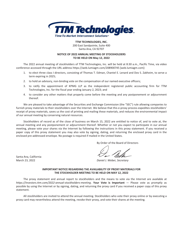

**TTM TECHNOLOGIES, INC.** 200 East Sandpointe, Suite 400 Santa Ana, CA 92707

### **NOTICE OF 2022 ANNUAL MEETING OF STOCKHOLDERS TO BE HELD ON May 12, 2022**

The 2022 annual meeting of stockholders of TTM Technologies, Inc. will be held at 8:30 a.m., Pacific Time, via video conference accessed through the URL address https://web.lumiagm.com/208900745 [web.lumiagm.com]:

- 1. to elect three class I directors, consisting of Thomas T. Edman, Chantel E. Lenard and Dov S. Zakheim, to serve a term expiring in 2025;
- 2. to hold an advisory, non-binding vote on the compensation of our named executive officers;
- 3. to ratify the appointment of KPMG LLP as the independent registered public accounting firm for TTM Technologies, Inc. for the fiscal year ending January 2, 2023; and
- 4. to consider any other matters that properly come before the meeting and any postponement or adjournment thereof.

We are pleased to take advantage of the Securities and Exchange Commission (the "SEC") rule allowing companies to furnish proxy materials to their stockholders over the Internet. We believe that this e-proxy process expedites stockholders' receipt of proxy materials, saves us the cost of printing and mailing these materials, and reduces the environmental impact of our annual meeting by conserving natural resources.

Stockholders of record as of the close of business on March 15, 2022 are entitled to notice of, and to vote at, the annual meeting and any postponement or adjournment thereof. Whether or not you expect to participate in our annual meeting, please vote your shares via the Internet by following the instructions in this proxy statement. If you received a paper copy of this proxy statement you may also vote by signing, dating, and returning the enclosed proxy card in the enclosed pre-addressed envelope. No postage is required if mailed in the United States.

By Order of the Board of Directors

March 23, 2022 *Daniel J. Weber, Secretary*

#### **IMPORTANT NOTICE REGARDING THE AVAILABILITY OF PROXY MATERIALS FOR THE STOCKHOLDER MEETING TO BE HELD ON MAY 12, 2022**

The proxy statement and annual report to stockholders and the means to vote via the Internet are available at *https://investors.ttm.com/2022-annual-stockholders-meeting*. **Your Vote is Important** — Please vote as promptly as possible by using the Internet or by signing, dating, and returning the proxy card if you received a paper copy of this proxy statement.

All stockholders are invited to attend the annual meeting. Stockholders who vote their proxy online or by executing a proxy card may nevertheless attend the meeting, revoke their proxy, and vote their shares at the meeting.

Santa Ana, California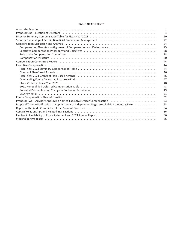#### **TABLE OF CONTENTS**

|                                                                                                                                                                                                                                | $\mathbf{1}$   |
|--------------------------------------------------------------------------------------------------------------------------------------------------------------------------------------------------------------------------------|----------------|
|                                                                                                                                                                                                                                | $\overline{4}$ |
|                                                                                                                                                                                                                                | 20             |
|                                                                                                                                                                                                                                | 22             |
| Compensation Discussion and Analysis (all accommodations) and the Compensation Discussion and Analysis (all accommodations) and the Compensation Discussion and Analysis (all accommodations) and the Compensation Discussion  | 24             |
| Compensation Overview - Alignment of Compensation and Performance                                                                                                                                                              | 25             |
|                                                                                                                                                                                                                                | 28             |
| Role of the Compensation Committee (and according contract of the Compensation Committee (and according committee discussed of the Compensation Committee (and according to the Compensation Committee of the Compensation Com | 28             |
|                                                                                                                                                                                                                                | 30             |
|                                                                                                                                                                                                                                | 44             |
|                                                                                                                                                                                                                                | 44             |
|                                                                                                                                                                                                                                | 44             |
|                                                                                                                                                                                                                                | 46             |
|                                                                                                                                                                                                                                | 46             |
|                                                                                                                                                                                                                                | 47             |
|                                                                                                                                                                                                                                | 48             |
|                                                                                                                                                                                                                                | 48             |
|                                                                                                                                                                                                                                | 49             |
|                                                                                                                                                                                                                                | 51             |
|                                                                                                                                                                                                                                | 52             |
| Proposal Two - Advisory Approving Named Executive Officer Compensation                                                                                                                                                         | 53             |
| Proposal Three - Ratification of Appointment of Independent Registered Public Accounting Firm                                                                                                                                  | 53             |
|                                                                                                                                                                                                                                | 54             |
|                                                                                                                                                                                                                                | 56             |
|                                                                                                                                                                                                                                | 56             |
|                                                                                                                                                                                                                                | 56             |
|                                                                                                                                                                                                                                |                |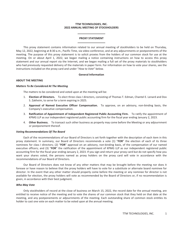#### **TTM TECHNOLOGIES, INC. 2022 ANNUAL MEETING OF STOCKHOLDERS**

#### **PROXY STATEMENT**

This proxy statement contains information related to our annual meeting of stockholders to be held on Thursday, May 12, 2022, beginning at 8:30 a.m., Pacific Time, via video conference, and at any adjournments or postponements of the meeting. The purpose of this proxy statement is to solicit proxies from the holders of our common stock for use at the meeting. On or about April 1, 2022, we began mailing a notice containing instructions on how to access this proxy statement and our annual report via the Internet, and we began mailing a full set of the proxy materials to stockholders who had previously requested delivery of the materials in paper form. For information on how to vote your shares, see the instructions included on the proxy card and under "*How to Vote*" below.

#### **General Information**

#### <span id="page-5-0"></span>**ABOUT THE MEETING**

#### *Matters To Be Considered At The Meeting*

The matters to be considered and voted upon at the meeting will be:

- 1. **Election of Directors.** To elect three class I directors, consisting of Thomas T. Edman, Chantel E. Lenard and Dov S. Zakheim, to serve for a term expiring in 2025.
- 2. **Approval of Named Executive Officer Compensation.** To approve, on an advisory, non-binding basis, the Company's executive compensation.
- 3. **Ratification of Appointment of Independent Registered Public Accounting Firm.** To ratify the appointment of KPMG LLP as our independent registered public accounting firm for the fiscal year ending January 2, 2023.
- 4. **Other Business.** To transact such other business as properly may come before the Meeting or any adjournment or postponement thereof.

#### *Voting Recommendations Of The Board*

Each of the recommendations of our Board of Directors is set forth together with the description of each item in this proxy statement. In summary, our Board of Directors recommends a vote (1) "**FOR**" the election of each of its three nominees for class I directors; (2) "**FOR**" approval on an advisory, non-binding basis, of the compensation of our named executive officers; and (3) "**FOR**" the ratification of the appointment of KPMG LLP as our independent registered public accounting firm for the fiscal year ending January 2, 2023. If you sign and return your proxy card but do not specify how you want your shares voted, the persons named as proxy holders on the proxy card will vote in accordance with the recommendations of our Board of Directors.

Our Board of Directors does not know of any other matters that may be brought before the meeting nor does it foresee or have reason to believe that the proxy holders will have to vote for a substitute or alternate board nominee for director. In the event that any other matter should properly come before the meeting or any nominee for director is not available for election, the proxy holders will vote as recommended by the Board of Directors or, if no recommendation is given, in accordance with their best judgment.

#### *Who May Vote*

Only stockholders of record at the close of business on March 15, 2022, the record date for the annual meeting, are entitled to receive notice of the meeting and to vote the shares of our common stock that they held on that date at the meeting, and any postponements or adjournments of the meeting. Each outstanding share of common stock entitles its holder to cast one vote on each matter to be voted upon at the annual meeting.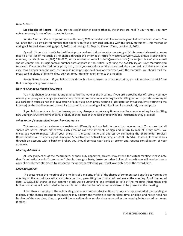#### *How To Vote*

**Stockholder of Record.** If you are the stockholder of record (that is, the shares are held in your name), you may vote your proxy in one of two convenient ways:

*Via the Internet:* Go to https://investors.ttm.com/2022-annual-stockholders-meeting and follow the instructions. You will need the 11-digit control number that appears on your proxy card included with this proxy statement. This method of voting will be available starting April 2, 2022, and through 11:59 p.m., Eastern Time, on May 11, 2022.

*By mail:* If you wish to vote by traditional proxy card and did not receive one along with this proxy statement, you can receive a full set of materials at no charge through the Internet at https://investors.ttm.com/2022-annual-stockholdersmeeting, by telephone at (888) 776-9962, or by sending an e-mail to info@amstock.com (the subject line of your e-mail should contain the 11-digit control number that appears in the Notice Regarding the Availability of Proxy Materials you received). If you vote by traditional proxy card, mark your selections on the proxy card, date the card, and sign your name exactly as it appears on the card, then mail it in the postage-paid envelope enclosed with the materials. You should mail the proxy card in plenty of time to allow delivery to our transfer agent prior to the meeting.

**Street Name Shares.** If you hold shares through a bank, broker or other institution, you will receive material from that firm explaining how to vote.

#### *How To Change Or Revoke Your Vote*

You may change your vote at any time before the vote at the Meeting. If you are a stockholder of record, you may revoke your proxy and change your vote at any time before the annual meeting by submitting to our corporate secretary at our corporate offices a notice of revocation or a duly executed proxy bearing a later date (or by subsequently voting via the Internet) by the deadline noted above. Participation in the meeting will not itself revoke a previously granted proxy.

If you hold your shares in street name, you may change your vote any time before the annual meeting by submitting new voting instructions to your bank, broker, or other holder of record by following the instructions they provided.

#### *What To Do If You Received More Than One Notice*

This means that your shares are registered differently and are held in more than one account. To ensure that all shares are voted, please either vote each account over the internet, or sign and return by mail all proxy cards. We encourage you to register all of your shares in the same name and address by contacting the Shareholder Services Department at our transfer agent, American Stock Transfer & Trust Company, at (800) 937-5449. If you hold your shares through an account with a bank or broker, you should contact your bank or broker and request consolidation of your accounts.

#### *Meeting Admission*

All stockholders as of the record date, or their duly appointed proxies, may attend the virtual meeting. Please note that if you hold shares in "street name" (that is, through a bank, broker, or other holder of record), you will need to have a copy of a brokerage statement to present to the operator reflecting your stock ownership as of the record date.

#### *Meeting Quorum*

The presence at the meeting of the holders of a majority of all of the shares of common stock entitled to vote at the meeting on the record date will constitute a quorum, permitting the conduct of business at the meeting. As of the record date, 101,629,833 shares of our common stock were outstanding and entitled to vote at the meeting. Abstentions and broker non-votes will be included in the calculation of the number of shares considered to be present at the meeting.

If less than a majority of the outstanding shares of common stock entitled to vote are represented at the meeting, a majority of the shares present at the meeting may adjourn the meeting to another date, time, or place, and notice need not be given of the new date, time, or place if the new date, time, or place is announced at the meeting before an adjournment is taken.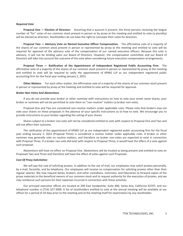#### *Required Vote*

**Proposal One — Election of Directors**. Assuming that a quorum is present, the three persons receiving the largest number of "for" votes of our common stock present in person or by proxy at the meeting and entitled to vote (a plurality) will be elected as directors. Stockholders do not have the right to cumulate their votes for directors.

**Proposal Two — Advisory Vote on Named Executive Officer Compensation.** The affirmative vote of a majority of the shares of our common stock present in person or represented by proxy at the meeting and entitled to vote will be required for approval of the advisory vote of the compensation of our named executive officers. Because this vote is advisory, it will not be binding upon our Board of Directors. However, the compensation committee and our Board of Directors will take into account the outcome of the vote when considering future executive compensation arrangements.

**Proposal Three — Ratification of the Appointment of Independent Registered Public Accounting Firm**. The affirmative vote of a majority of the shares of our common stock present in person or represented by proxy at the meeting and entitled to vote will be required to ratify the appointment of KPMG LLP as our independent registered public accounting firm for the fiscal year ending January 2, 2023.

**Other Matters**. For each other matter, the affirmative vote of a majority of the shares of our common stock present in person or represented by proxy at the meeting and entitled to vote will be required for approval.

#### *Broker Non-Votes And Abstentions*

If you do not provide your broker or other nominee with instructions on how to vote your street name shares, your broker or nominee will not be permitted to vote them on "non-routine" matters (a broker non-vote).

Proposal One and Two are considered non-routine matters under applicable rules. Please note that brokers may not vote your shares on these proposals in the absence of your specific instructions as to how to vote. We encourage you to provide instructions to your broker regarding the voting of your shares.

Shares subject to a broker non-vote will not be considered entitled to vote with respect to Proposal One and Two and will not affect their outcome.

The ratification of the appointment of KPMG LLP as our independent registered public accounting firm for the fiscal year ending January 2, 2023 (Proposal Three) is considered a routine matter under applicable rules. A broker or other nominee may generally vote on routine matters, and therefore no broker non-votes are expected to exist in connection with Proposal Three. If a broker non-vote did exist with respect to Proposal Three, it would have the effect of a vote against such proposal.

Abstentions will have no effect on Proposal One. Abstentions will be treated as being present and entitled to vote on Proposals Two and Three and therefore will have the effect of votes against such Proposals.

#### *Cost Of Proxy Solicitation*

We will pay the cost of soliciting proxies. In addition to the use of mail, our employees may solicit proxies personally, by e-mail, facsimile, and by telephone. Our employees will receive no compensation for soliciting proxies other than their regular salaries. We may request banks, brokers, and other custodians, nominees, and fiduciaries to forward copies of the proxy materials to the beneficial owners of our common stock and to request authority for the execution of proxies, and we may reimburse such persons for their expenses incurred in connection with these activities.

Our principal executive offices are located at 200 East Sandpointe, Suite 400, Santa Ana, California 92707, and our telephone number is (714) 327-3000. A list of stockholders entitled to vote at the annual meeting will be available at our offices for a period of 10 days prior to the meeting and at the meeting itself for examination by any stockholder.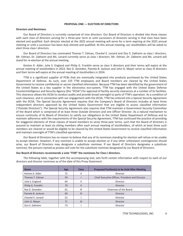#### **PROPOSAL ONE — ELECTION OF DIRECTORS**

#### <span id="page-8-0"></span>**Directors and Nominees**

Our Board of Directors is currently comprised of nine directors. Our Board of Directors is divided into three classes with each class of directors serving for a three-year term or until successors of directors serving in that class have been elected and qualified. Each director elected at the 2022 annual meeting will serve for a term expiring at the 2025 annual meeting or until a successor has been duly elected and qualified. At this annual meeting, our stockholders will be asked to elect three class I directors.

Our Board of Directors has nominated Thomas T. Edman, Chantel E. Lenard and Dov S. Zakheim as class I directors. Mr. Edman, Dr. Zakheim and Ms. Lenard currently serve as class I directors. Mr. Edman, Dr. Zakheim and Ms. Lenard will stand for re-election at the annual meeting.

Kenton K. Alder, Julie S. England and Philip G. Franklin serve as class II directors and their terms will expire at the annual meeting of stockholders in 2023. Rex D. Geveden, Pamela B. Jackson and John G. Mayer serve as class III directors and their terms will expire at the annual meeting of stockholders in 2024.

TTM is a significant supplier of PCBs that are eventually integrated into products purchased by the United States Department of Defense. As such, over 225 TTM employees and Board members are cleared by the United States Government to receive confidential or secret classified information. Because TTM has been identified by the government of the United States as a key supplier in the electronics eco-system, TTM has engaged with the United States Defense Counterintelligence and Security Agency (the "DCSA") for approval of facility security clearances at a number of its facilities. This clearance allows the DCSA to conduct audits and provide broad oversight to parts of TTM's operation. As a condition of such clearance, and in connection with our engagement with the DCSA, TTM has entered into a Special Security Agreement with the DCSA. The Special Security Agreement requires that the Company's Board of Directors includes at least three independent directors approved by the United States Government that are eligible to access classified information ("Outside Directors"). The Special Security Agreement also requires that TTM maintain a Government Security Committee of the Board which is comprised of at least three Outside Directors and one Officer Director. As a natural mechanism to ensure continuity of its Board of Directors to satisfy our obligations to the United States Department of Defense and to maintain adherence with the requirements of the Special Security Agreement, TTM has continued the practice of providing for staggered elections of three classes of board members to serve three-year terms, such that the Board of Directors is assured to maintain at least six sitting members after each annual meeting of stockholders, of which at least three such members are cleared or would be eligible to be cleared by the United States Government to receive classified information and maintain oversight of TTM's classified operations.

Our Board of Directors has no reason to believe that any of its nominees standing for election will refuse or be unable to accept election. However, if any nominee is unable to accept election or if any other unforeseen contingencies should arise, our Board of Directors may designate a substitute nominee. If our Board of Directors designates a substitute nominee, the persons named as proxies will vote for the substitute nominee designated by our Board of Directors.

#### **Our Board of Directors recommends a vote "FOR" the nominees for Class I directors.**

The following table, together with the accompanying text, sets forth certain information with respect to each of our directors and director nominees as of the date of this Proxy Statement:

| <b>Name</b>        | Age | <b>Class</b> | <b>Proposed Position(s) to be Held After Meeting</b> |
|--------------------|-----|--------------|------------------------------------------------------|
| Kenton K. Alder    | 72  | Ш            | Director                                             |
| Thomas T. Edman    | 59  |              | Chief Executive Officer, President and Director      |
| Julie S. England   | 64  | Ш            | Director                                             |
| Philip G. Franklin | 70  | Ш            | Director                                             |
| Rex D. Geveden     | 61  | Ш            | Chairman of the Board                                |
| Pamela B. Jackson  | 69  | III          | Director                                             |
| Chantel E. Lenard  | 52  |              | Director                                             |
| John G. Mayer      | 71  | III          | Director                                             |
| Dov S. Zakheim     | 73  |              | Director                                             |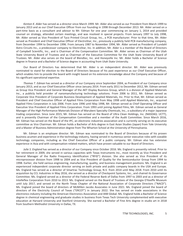*Kenton K. Alder* has served as a director since March 1999. Mr. Alder also served as our President from March 1999 to January 2013 and as our Chief Executive Officer from our founding in 1998 through December 2013. Mr. Alder served on a part-time basis as a consultant and advisor to Mr. Edman for one year commencing on January 1, 2014 and provided counsel on strategy, attended certain meetings, and was involved in special projects. From January 1997 to July 1998, Mr. Alder served as Vice President of Tyco Printed Circuit Group, Inc., a PCB manufacturer. Prior to that time, Mr. Alder served as President and Chief Executive Officer of ElectroStar, Inc., previously a publicly held PCB manufacturing company, from December 1994 to December 1996. From January 1987 to November 1994, Mr. Alder served as President of Lundahl Astro Circuits Inc., a predecessor company to ElectroStar, Inc. In addition, Mr. Alder is a member of the Board of Directors of Campbell Scientific, Inc., and is Chairman of the Compensation Committee. Mr. Alder serves as Chairman of the Utah State University Board of Trustees and as Chairman of the Executive Committee for the Utah State University Board of Trustees. Mr. Alder also serves on the board of Blendtec, Inc. and Honeyville Inc. Mr. Alder holds a Bachelor of Science degree in finance and a Bachelor of Science degree in accounting from Utah State University.

Our Board of Directors has determined that Mr. Alder is an independent director. Mr. Alder was previously nominated to stand for election to the Board of Directors because of his past experience as our Chief Executive Officer, which enables him to provide the board with insight based on his extensive knowledge about the Company and because of his significant operational expertise.

*Thomas T. Edman* has served as a director of our Company since September 2004, as President of our Company since January 2013, and as our Chief Executive Officer since January 2014. From early 2011 to December 2012, Mr. Edman served as Group Vice President and General Manager of the AKT Display Business Group, which is a division of Applied Materials Inc., a publicly held provider of nanomanufacturing technology solutions. From 2006 to 2011, Mr. Edman served as Corporate Vice President of Corporate Business Development of Applied Materials, Inc. Prior to that, Mr. Edman served as President and Chief Executive Officer of Applied Films Corporation from May 1998 until Applied Materials, Inc., acquired Applied Films Corporation in July 2006. From June 1996 until May 1998, Mr. Edman served as Chief Operating Officer and Executive Vice President of Applied Films Corporation. From 1993 until joining Applied Films, Mr. Edman served as General Manager of the High Performance Materials Division of Marubeni Specialty Chemicals, Inc., a subsidiary of a major Japanese trading corporation. Since June 2015, Mr. Edman has served on the Board of Ultra Clean Holdings, Inc. (NASDAQ: UCTT), and is presently Chairman of the Compensation Committee and a member of the Audit Committee. Since March 2016, Mr. Edman has served on the Board of the IPC, an electronic industries association and is currently serving on its executive committee as Vice Chairman. Mr. Edman holds a Bachelor of Arts degree in East Asian Studies (Japan) from Yale University and a Master of Business Administration degree from The Wharton School at the University of Pennsylvania.

Mr. Edman is an employee director. Mr. Edman was nominated to the Board of Directors because of his proven business acumen and experience in the technology industry, having served in numerous senior executive roles with sizeable technology companies, including as the Chief Executive Officer of a public company. Mr. Edman also has extensive experience in Asia and with compensation-related matters, which have proven valuable to our Board of Directors.

*Julie S. England* has served as a director of our Company since October 2016. Ms. England is presently retired. Prior to her retirement in 2009, she served in various capacities with Texas Instruments Inc., most recently as Vice President and General Manager of the Radio Frequency Identification ("RFID") division. She also served as Vice President of its microprocessor division from 1998 to 2004 and as Vice President of Quality for the Semiconductor Group from 1994 to 1998. Earlier, she held various engineering, manufacturing, quality, and business management positions. Ms. England is an experienced independent corporate director serving on both private and public company boards in the USA and Europe. Ms. England has served as a director of Smartrac Technology Group, N.V. from 2014 until May 2018. From 2010 until its acquisition by CCL Industries in May 2016, she served as a director of Checkpoint Systems, Inc., and chaired its Governance Committee. Ms. England served as a director of the Federal Reserve Bank of Dallas from 1997 to 2003 and as a director of Intelleflex Corporation from 2010 to 2013. Ms. England served on the Board of Trustees of the Georgia O'Keeffe Museum until July 2017, and served on the North Texas Chapter of the National Association of Corporate Directors ("NACD"). Ms. England joined the board of directors of McMillen Jacobs Associates in June 2021. Ms. England joined the board of directors of the Electricity Council of Texas ("ERCOT") in January 2022. She has served on trade associations in the electronics industry including the American Electronics Association and AIM Global. Ms. England holds a Bachelor of Science degree in chemical engineering and graduate studies in business from Texas Tech University complemented with executive education at Harvard University and Stanford University. She earned a Bachelor of Fine Arts degree in studio art in 2018 from Southern Methodist University in Dallas, TX.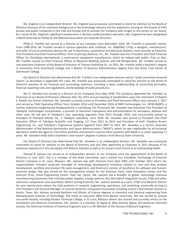Ms. England is an independent director. Ms. England was previously nominated to stand for election to the Board of Directors because of her extensive background in the technology industry and her experience serving on the boards of both private and public companies in the USA and Europe and to provide the Company with insight as she serves on our board. As a result of Ms. England's significant involvement in director professionalism education, Ms. England has been designated a NACD Governance Fellow by the National Association of Corporate Directors.

*Philip G. Franklin* has served as a director of our Company since November 2010. Mr. Franklin is presently retired. From 1998-2016, Mr. Franklin served in various capacities with Littelfuse, Inc. (NASDAQ: LFUS), a designer, manufacturer, and seller of circuit protection devices for use in electronics, automotive and electrical markets, most recently as Executive Vice President and Chief Financial Officer. Prior to joining Littelfuse, Inc., Mr. Franklin was Vice President and Chief Financial Officer for OmniQuip International, a construction equipment manufacturer, which he helped take public. Prior to that, Mr. Franklin served as Chief Financial Officer of Monarch Marking Systems and Hill Refrigeration. Mr. Franklin served as non-executive Chairman of the Board of Directors of Tribune Publishing Co., to 2021. Mr. Franklin holds a bachelor's degree in economics from Dartmouth College and a Master of Business Administration degree from the Amos Tuck School at Dartmouth College.

Our Board of Directors has determined that Mr. Franklin is an independent director and an "audit committee financial expert" as described in applicable SEC rules. Mr. Franklin was previously nominated to stand for election to the Board of Directors because of his financial and accounting expertise, including a deep understanding of accounting principles, financial reporting rules and regulations, and knowledge of audit procedures.

*Rex D. Geveden* has served as a director of our Company since May 2018. The Company appointed Mr. Geveden as Chairman of our Board of Directors effective after the 2021 annual meeting of stockholders upon the retirement of Robert E. Klatell, our former Chairman. Mr. Geveden currently serves as President and Chief Executive Officer since January 1, 2017 and served as Chief Operating Officer from October 2016 until December 2016 of BWX Technologies, Inc. (NYSE:BWXT), a nuclear industrial conglomerate headquartered in Lynchburg, VA. Previously, Mr. Geveden was Executive Vice President at Teledyne Technologies Incorporated, a provider of electronic subsystems and instrumentation for aerospace, defense and other uses. He led two of Teledyne's four operating segments from 2013 through 2016, and concurrently served as President of Teledyne DALSA, Inc., a Teledyne subsidiary, since 2014. Mr. Geveden also served as President and Chief Executive Officer of Teledyne Scientific and Imaging, LLC from 2011 to 2013 and President of both Teledyne Brown Engineering, Inc. and Teledyne's Engineered Systems Segment from 2007 to 2011. Mr. Geveden is a former Associate Administrator of the National Aeronautics and Space Administration ("NASA"), where he was responsible for all technical operations within the agency's \$16 billion portfolio and served in various other positions with NASA in a career spanning 17 years. Mr. Geveden holds both a bachelor's and master's degrees in physics from Murray State University.

Our Board of Directors has determined that Mr. Geveden is an independent director. Mr. Geveden was previously nominated to stand for election to the Board of Directors and was then appointed as Chairman in 2021 because of his extensive experience in the aerospace and defense industry as well as his proven track record as an outstanding leader.

*Pamela B. Jackson* has served as an independent director of our Company since her appointment to the Board of Directors in June 2021. She is a member of the Audit Committee and a retired Vice President, Technology of Emerson Electric Company in St. Louis, Missouri. Ms. Jackson was with Emerson from April 2001 until October 2017 where her responsibilities included corporate oversight of technology development initiatives related to new and lean product development, portfolio and product life cycle management, and Emerson's centers of excellence for software and humancentered design. She also served on the management boards for the Emerson Pune, India Innovation Center and the Emerson Xi'an, China Engineering Center. Over her career, Ms. Jackson led a breadth of global, technology intensive manufacturing businesses that included power supplies, energy systems, thin film hybrid integrated circuits, PCBs and other electronic components and assemblies. Before joining Emerson, Ms. Jackson worked at Lucent, AT&T and Western Electric for over twenty years where she held positions in research, engineering, operations, and marketing, eventually serving as Vice President and General Manager of several electronic component businesses including Lucent's MicroPower division in Austin, Texas. Ms. Jackson received Bachelor and Master of Science degrees in chemistry and chemical engineering from Massachusetts Institute of Technology. She holds an Executive MBA from Boston University. She has served on several non-profit boards, including Ranken Technical College, in St Louis, Missouri where she chaired and currently serves on the Investment and Diversity Committees. Ms. Jackson is a member of Sigma Xi, Beta Gamma Sigma, the American Chemical Society, the American Institute of Chemical Engineers and is a Life Member of the Society of Women Engineers.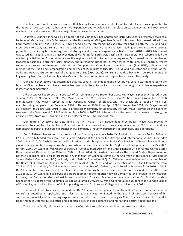Our Board of Directors has determined that Ms. Jackson is an independent director. Ms. Jackson was appointed to the Board of Directors due to her extensive experience and knowledge in the electronics, engineering and technology markets, where she has spent the vast majority of her exceptional career.

*Chantel E. Lenard* has served as a director of our Company since September 2018. Ms. Lenard presently serves as a Lecturer of Marketing in the MBA program at the University of Michigan Ross School of Business. Ms. Lenard retired from Ford Motor Company (NYSE:F) in 2017, having served as the top marketing executive for Ford in both the U.S. and Asia. From 2013 to 2017, Ms. Lenard held the position of U.S. Chief Marketing Officer, leading the organization's pricing, promotions, media, digital marketing, product strategy, and consumer experience activities. From 2010 to 2013, Ms. Lenard was based in Shanghai, China, as Vice President of Marketing for Ford's Asia Pacific and Africa operations, where she led the marketing activities for 11 countries across the region. In addition to her marketing roles, Ms. Lenard held a number of leadership positions in strategy, sales, finance, and purchasing during her 25 year career with Ford. Ms. Lenard currently serves as a director and member of the HR and Compensation Committee of Uni-Select, Inc. (TSX: UNS), a director and member of the Audit and Compensation Committees of LSI Industries (NASDAQ: LYTS), and a director and member of the Audit and Governance Committees of Charge Enterprises (OTC: CRGE). Ms. Lenard holds a bachelor's degree in Industrial Engineering from Purdue University and a Master of Business Administration degree from Harvard University.

Our Board of Directors has determined that Ms. Lenard is an independent director. Ms. Lenard was nominated to the Board of Directors because of her extensive background in the automobile industry and her lengthy and diverse experience in international marketing.

*John G. Mayer* has served as a director of our Company since September 2000. Mr. Mayer is presently retired. From January 1997 to November 1999, Mr. Mayer served as Vice President of Tyco Printed Circuit Group, Inc., a PCB manufacturer. Mr. Mayer served as Chief Operating Officer of ElectroStar, Inc., previously a publicly held PCB manufacturing company, from December 1994 to December 1996. From April 1986 to November 1994, Mr. Mayer served as President of Electro-Etch Circuits, Inc., a predecessor company to ElectroStar, Inc. Mr. Mayer served on the board of trustees of the Cottonwood Gulch Foundation from 2008 to 2017. Mr. Mayer holds a Bachelor of Arts degree in history, the arts and letters from Yale University and a Juris Doctor from UCLA School of Law.

Our Board of Directors has determined that Mr. Mayer is an independent director. Mr. Mayer was previously nominated to stand for election to the Board of Directors because of his extensive experience in the PCB business and has demonstrated depth of business experience in our company's industry, particularly in technology and operations.

*Dov S. Zakheim* has served as a director of our Company since July 2010. Dr. Zakheim is currently a Senior Fellow at CNA, a federally funded think tank, and a Senior Advisor at the Center for Strategic and International Studies. From May 2004 to July 2010, Dr. Zakheim served as Vice President and subsequently as Senior Vice President of Booz Allen Hamilton, a global strategy and technology consulting firm, where he was a leader in the firm's global defense practice. From May 2001 to April 2004, Dr. Zakheim was Under Secretary of Defense (Comptroller) and Chief Financial Officer for the United States Department of Defense. From October 2002 to April 2004, Dr. Zakheim served as the United States Department of Defense's coordinator of civilian programs in Afghanistan. Dr. Zakheim serves as the Chairman of the Board of Directors of Secure Federal Operations LLC (previously Sprint Federal Operations LLC). Dr. Zakheim previously served as a member of the Board of Directors of Standard Aero Corp. from 2008 until 2015, and was a member of their Audit Committee from 2012 to 2015. In addition, Dr. Zakheim has served as a member of ISO Group, Inc.'s Board of Directors from 2010 to 2014. Dr. Zakheim also served as a board member of Chemonics International and was a member of their Audit Committee from 2013 to 2019. Dr. Zakheim also serves as a board member of the American Jewish Committee, the Foreign Policy Research Institute, the Center for the National Interest and the U.S. Naval Academy Athletic Association. Dr. Zakheim holds a Bachelor of Arts degree from Columbia College at Columbia University, was a General Course student at the London School of Economics, and holds a Doctor of Philosophy degree from St. Antony's College at the University of Oxford.

Our Board of Directors has determined that Dr. Zakheim is an independent director and an "audit committee financial expert" as described in applicable SEC rules. Dr. Zakheim was nominated to the Board of Directors because of his substantial financial and accounting experience acquired in the course of acting as Chief Financial Officer for the U.S. Department of Defense, his expertise and leadership skills in global defense, and his national security qualifications.

There are no family relationships among any of our directors, director nominees, or executive officers.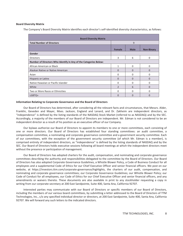#### **Board Diversity Matrix**

The Company's Board Diversity Matrix identifies each director's self-identified diversity characteristics, as follows:

| <b>Board Diversity Matrix</b>                                    |                |             |                   |
|------------------------------------------------------------------|----------------|-------------|-------------------|
| <b>Total Number of Directors</b>                                 |                | 9           |                   |
|                                                                  | <b>Female</b>  | <b>Male</b> | <b>Non-Binary</b> |
| Gender                                                           |                |             |                   |
| <b>Directors</b>                                                 | 3              | 6           | 0                 |
| Number of Directors Who Identify in Any of the Categories Below: |                |             |                   |
| African American or Black                                        | 1              | 0           | 0                 |
| Alaskan Native or Native American                                | 0              | $\Omega$    | $\Omega$          |
| Asian                                                            | 0              | 0           | 0                 |
| Hispanic or Latinx                                               | $\Omega$       | $\Omega$    | $\Omega$          |
| Native Hawaiian or Pacific Islander                              | 0              | 0           | 0                 |
| White                                                            | $\mathfrak{D}$ | 6           | $\Omega$          |
| Two or More Races or Ethnicities                                 | 0              | 0           | 0                 |
| LGBTQ+                                                           | 0              | O           |                   |

#### **Information Relating to Corporate Governance and the Board of Directors**

Our Board of Directors has determined, after considering all the relevant facts and circumstances, that Messrs. Alder, Franklin, Geveden and Mayer, Mses. Jackson, England and Lenard, and Dr. Zakheim are independent directors, as "independence" is defined by the listing standards of the NASDAQ Stock Market (referred to as NASDAQ) and by the SEC. Accordingly, a majority of the members of our Board of Directors are independent. Mr. Edman is not considered to be an independent director as a result of his position as an executive officer of our Company.

Our bylaws authorize our Board of Directors to appoint its members to one or more committees, each consisting of one or more directors. Our Board of Directors has established four standing committees: an audit committee, a compensation committee, a nominating and corporate governance committee and a government security committee. Each of our committees, with the exception of the government security committee (of which Mr. Edman is a member), is comprised entirely of independent directors, as "independence" is defined by the listing standards of NASDAQ and by the SEC. Our Board of Directors holds executive sessions following all board meetings at which the independent directors meet without the presence or participation of management.

Our Board of Directors has adopted charters for the audit, compensation, and nominating and corporate governance committees describing the authority and responsibilities delegated to the committee by the Board of Directors. Our Board of Directors has also adopted Corporate Governance Guidelines, a Whistle Blower Policy, a Code of Business Conduct for all employees and a supplemental Code of Ethics for our Chief Executive Officer and senior financial officers. We post on our website, at https://investors.ttm.com/corporate-governance/highlights, the charters of our audit, compensation, and nominating and corporate governance committees; our Corporate Governance Guidelines; our Whistle Blower Policy; our Code of Conduct for all employees, our Code of Ethics for our Chief Executive Officer and senior financial officers, and any amendments or waivers thereto. These documents are also available in print to any stockholder requesting a copy in writing from our corporate secretary at 200 East Sandpointe, Suite 400, Santa Ana, California 92707.

Interested parties may communicate with our Board of Directors or specific members of our Board of Directors, including the members of our various board committees, by submitting a letter addressed to the Board of Directors of TTM Technologies, Inc., c/o any specified individual director or directors, at 200 East Sandpointe, Suite 400, Santa Ana, California 92707. We will forward any such letters to the indicated directors.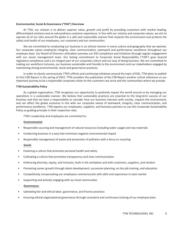#### **Environmental, Social & Governance ("ESG") Overview**

At TTM, our mission is to deliver superior value, growth and profit by providing customers with market leading, differentiated solutions and an extraordinary customer experience. In line with our mission and corporate values, we aim to operate all of our sites around the globe in a safe and responsible manner that respects the environment and protects the safety and health of our employees, our customers and our communities.

We are committed to conducting our business in an ethical manner in every culture and geography that we operate. Our corporate values emphasize integrity, clear communication, teamwork and performance excellence throughout our employee base. Our Board of Directors ultimately oversees our ESG compliance and initiatives through regular engagement with our senior management team. Our lasting commitment to Corporate Social Responsibility ("CSR") goes beyond regulatory compliance and is an integral part of our corporate culture and our way of doing business. We are committed to making our workforce inclusive, our business sustainable and friendly to the environment and our stakeholders engaged by maintaining strong environmental, social and governance practices.

In order to clearly communicate TTM's efforts and continuing initiatives around the topic of ESG, TTM plans to publish its first CSR Report in the spring of 2022. TTM considers the publication of the CSR Report another critical milestone on our important journey to be a responsible corporate citizen to the customers we serve and the communities where we preside.

#### **TTM Sustainability Policy**

As a global organization, TTM recognizes our opportunity to positively impact the world around us by managing our operations in a sustainable manner. We believe that sustainable practices are essential to the long-term success of our business and that we have a responsibility to consider how our business interacts with society, impacts the environment, and can affect the global economy in line with our corporate values of teamwork, integrity, clear communication, and performance excellence. TTM expects our employees, suppliers, and business partners to use this Corporate Sustainability Policy as guiding principle in their respective roles.

TTM's Leadership and employees are committed to:

#### **Environmental:**

- Responsible sourcing and management of natural resources (including water usage) and raw materials
- Conducting business in a way that minimizes negative environmental impact
- Responsible management of waste and prevention of pollution with a focus on recycling

#### **Social:**

- Fostering a culture that promotes personal health and safety
- Cultivating a culture that promotes transparency and clear communication
- Embracing diversity, equity, and inclusion, both in the workplace and with customers, suppliers, and vendors
- Promoting career growth through talent development, succession planning, on the job training, and education
- Competitively compensating our employees commensurate with skills and experience in each market
- Supporting and actively engaging with our local communities

#### **Governance:**

- Upholding fair and ethical labor, governance, and finance practices
- Ensuring ethical organizational governance through consistent and continuous training of our employee base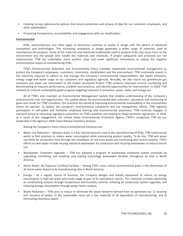- Creating strong cybersecurity policies that ensure protection and privacy of data for our customers employees, and other stakeholders
- Promoting transparency, accountability, and engagement with our stockholders

#### **Environmental**

PCBs, semiconductors and other types of electronics continue to evolve in design with the advent of advanced innovations and technologies. This increasing complexity in design generates a wider range of materials used to manufacture the products. Some of the materials and chemicals traditionally used to produce PCBs may cause harm to the environment and the people who handle the materials and chemicals, if proper safeguards and protocols are not implemented. TTM has undertaken many positive steps and made significant investments to reduce the negative environmental impact of manufacturing PCBs.

TTM's Environmental Statement and Environmental Policy mandate responsible environmental management to protect the Company's employees, customers, community, stockholders and the environment. TTM continually invests in the resources required to adhere to and manage the Company's environmental responsibilities. We report emissions, energy usage and water usage to our customers and regulatory agencies. Annually, we also report our greenhouse gas emissions and water use information to the Carbon Disclosure Project. TTM conducts extensive internal monitoring and benchmarking to measure performance, establish best practices, and identify opportunities for improvement. In 2020, TTM initiated an internal sustainability goals program targeting reduction in emissions, waste, water and energy use.

All of TTM's sites maintain an Environmental Management System that enables understanding of the Company's environmental risks and opportunities. This system allows for environmental data collection, calculation and monitoring of goals and results for TTM's locations. Our practices are aimed at improving environmental sustainability in the communities where we operate. To bolster the company's environmental compliance and risk management efforts, TTM regularly participates in self-audits and facilitates employee training and environmental awareness. TTM routinely engages in outreach aimed at educating regulatory authorities on TTM's activities and helping to shape pertinent regulations. In 2018, as a result of this engagement, the United States Environmental Protection Agency ("EPA") recognized TTM for our leadership in the Agency's 2018 Toxics Release Inventory Analysis.

Among the Company's most critical environmental initiatives are:

- Water Use Reduction Because water is a key natural resource used in the manufacturing of PCBs, TTM continuously works to find solutions to reduce water consumption while maintaining product quality. To do this, TTM sets water use limits for production lines through the installation of real-time waste use monitoring and control systems. TTM's efforts to save water include reusing industrial wastewater for production and recycling wastewater to reduce overall use.
- Wastewater Treatment Upgrades TTM has adopted a program of wastewater treatment system overhauls by upgrading, retrofitting and installing new leading technology wastewater facilities throughout its sites in North America.
- Storm Water: No Exposure Certified Facilities Among TTM's most critical environmental goals is the elimination of all storm water impact at its manufacturing sites in North America.
- Energy As a regular course of business, the Company designs and installs equipment to reduce its energy consumption in high-use areas and tracks usage as part of its operational metrics. This reduction includes optimizing air conditioning systems through temperature and humidity controls, initiating air compressor system upgrades, and reducing energy consumption through power factor analysis.
- Waste Reduction TTM aims to reduce or eliminate the waste footprint derived from its operations by: 1) recycling and recovery of waste; 2) the sustainable reuse (as a raw material) of all byproducts of manufacturing; and 3) eliminating hazardous waste.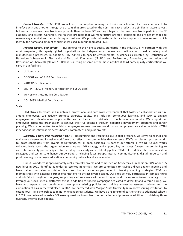*Product Toxicity.* TTM's PCB products are commonplace in many electronics and allow for electronic components to interface with one another through the circuits that are created on the PCB. TTM's RF products are similar in nature to PCBs but contain more microelectronic components than the bare PCB as they integrate other microelectronic parts into the RF assembly and system. Generally, the finished products that we manufacture are fully contained and are not intended to release any chemical substances during normal use. We provide full material declarations upon customer request which identify the name and amount of substances used in our unpopulated PCBs.

*Product Quality and Safety.* TTM adheres to the highest quality standards in the industry. TTM partners with the most respected, third-party global organizations to independently review and validate our quality, safety and manufacturing processes. In addition, TTM adheres to specific environmental guidelines as directed by Restriction of Hazardous Substances in Electrical and Electronic Equipment ("RoHS") and Registration, Evaluation, Authorization and Restriction of Chemicals ("REACH"). Below is a listing of some of the most significant third-party quality certifications we carry in our facilities:

- UL Standards
- ISO 9001 and AS 9100 Certifications
- NADCAP Certifications
- MIL PRF 31032 (Military certification in our US sites)
- IATF 16949 (Automotive Certification)
- ISO 13485 (Medical Certification)

#### **Social**

TTM strives to create and maintain a professional and safe work environment that fosters a collaborative culture among employees. We actively promote diversity, equity, and inclusion, continuous learning, and seek to engage employees with development opportunities and a chance to contribute to the broader community. We support our employees across the organization to achieve their full potential through leadership development programs and career planning. We are committed to individual employee success. We are proud that our employees are valued outside of TTM in serving as industry leaders across boards, committees and joint projects.

Diversity, Equity and Inclusion ("DEI"). Recognizing and respecting our global presence, we strive to recruit and maintain a diverse and inclusive workforce that reflects the communities that we serve. TTM's recruitment process works to locate candidates, from diverse backgrounds, for all open positions. As part of our efforts, TTM's DEI Council works collaboratively across the organization to drive our DEI strategy and support key initiatives focused on continuing to cultivate university partnerships to further shape our early career talent pipeline. TTM utilizes deliberate communication strategies and tactics to enhance DEI awareness including focus groups, internal communications, digital, in-person and print campaigns, employee education, community outreach and social media.

Our US workforce is approximately 42% ethnically diverse and comprised of 37% females. In addition, 34% of our US new hires in 2021 identified as underrepresented minorities. We are committed to having a diverse talent pipeline and have trained our talent acquisition team and human resources personnel in diversity sourcing strategies. TTM has memberships with external partner organizations to attract diverse talent. Our sites actively participate in campus hiring and job fairs throughout the year, supporting various events within each region and driving recruitment campaigns that leverage our social media platforms; this is in addition to specific campaigns dedicated to diversity and veteran hiring. We have also expanded and continue to develop our existing policies and training against harassment, bullying and the elimination of bias in the workplace. In 2021, we partnered with Morgan State University (a minority serving institution) to extend four TTM scholarships to minority engineering students. We have plans to extend partnerships to additional schools in 2022. We delivered valuable DEI learning sessions to our North America leadership teams in addition to publishing three quarterly internal publications.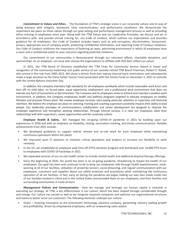*Commitment to Values and Ethics.* The foundation of TTM's strategic vision is our corporate culture and its way of doing business with integrity, teamwork, clear communication, and performance excellence. We demonstrate the importance we place on these values through our goal setting and performance management process as well as providing ethics training to employees every year. Along with the TTM Values and our Leadership Principles, we discuss and act in accordance with, and provide annual training for, our Code of Conduct, which outlines our expectations and provides guidance for all employees. Our Code of Conduct includes topics such as anti-corruption, discrimination, harassment, privacy, appropriate use of company assets, protecting confidential information, and reporting Code of Conduct violations. Our Code of Conduct reinforces the importance of fostering an open, welcoming environment in which all employees have a voice and a confidential outlet to raise concerns regarding potential violations.

Our commitment to our communities is demonstrated through our volunteer efforts, charitable donations, and sponsorships. As an employer, our local sites choose the organizations to affiliate with that best reflect our values.

In 2021, the TTM Board of Directors established the TTM Chair for Community Service Award in honor and recognition of the community leadership and public service of our recently retired TTM Board Chairman, Robert E. Klatell, who served in this role from 2005-2021. We chose a winner from over twenty internal team nominations and subsequently made a large donation to the Dana Farber Cancer Fund (associated with the Jimmy Fund) on December 5, 2021 to coincide with the United Nations Volunteer Day.

In addition, the Company maintains high standards for all employees worldwide which include reasonable work hours and time off, no child labor, no forced labor, equal opportunity employment, and a professional work environment that does not tolerate any form of harassment or discrimination. The Company and its employees strive to achieve and maintain a positive work environment. In addition, the Company emphasizes health and wellness programs targeted to educate employees on healthy lifestyles and promote fitness plans. We review employee turnover rates paying particular attention to supervisor and technical retention. We believe the emphasis we place on selecting, training and coaching supervisors positively impacts their ability to lead people. Our leadership principles of communications, collaboration and career development are designed to improve the employee experience and strengthen working relationships. Through internal surveys, it is clear our employees value their relationships with their supervisors, career opportunities and the corporate culture.

*Employee Health & Safety.* We managed the on-going COVID-19 pandemic in 2021 by building upon our experiences in 2020 and with an emphasis on flexibility, testing, vaccination tracking, and timely communications. Notable achievements from 2021 include:

- We developed guidelines to support hybrid, remote and on-site work for each employee while maintaining continuous operations within the plants.
- We improved upon IT solutions to maintain critical operations and projects to increase our flexibility to work remotely.
- In the US, we established an employee paid time off (PTO) donation program and distributed over 10,000 PTO hours to employees with COVID-19 hardships in 2021.
- We expanded services of our on-site health center to include mental health and additional physical therapy offerings.
- Since the beginning of 2020, the world has been in an on-going pandemic, threatening to impact the health of our employees. Our goal has been and continues to be to keep our employees safe through health questionnaires, maskwearing at all of our facilities, utilization of proximity sensors, social distancing, and regular communication with our employees, customers and suppliers about our safety protocols and procedures while maintaining the continuous operation of all our facilities. In fact, early on during the pandemic we began making our own face masks inside two of our facilities located in China and in the United States and provided them to our employees, and their families and surrounding communities in need of them.

*Management Policies and Communication.* How we manage and leverage our human capital is essential in executing our strategy. At TTM, a key differentiator is our culture, which has been shaped through considerable thought and energy. Our culture has served us well as we integrate acquired companies and optimize our organizational structures and teams to better serve our customers. The following elements underpin our culture:

• Vision – Inspiring innovation as the preeminent technology solutions company, generating industry leading growth and profitability, driven by empowered employees, with an unwavering value system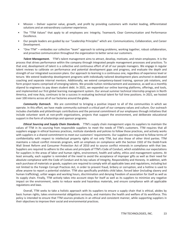- Mission Deliver superior value, growth, and profit by providing customers with market leading, differentiated solutions and an extraordinary customer experience.
- The "TTM Values" that apply to all employees are: Integrity, Teamwork, Clear Communication and Performance Excellence.
- Our people leaders are guided by our "Leadership Principles" which are: Communications, Collaboration, and Career Development.
- "One TTM" embodies our collective "team" approach to solving problems, working together, robust collaboration, and proactive communication throughout the organization to better serve our customers.

*Talent Management.* TTM's talent management aims to attract, develop, motivate, and retain employees. It is the process that drives performance within the company through integrated people management processes and practices. To that end, development of talent is a collective and continuous effort of all of our people managers. We engage in regular talent reviews to calibrate on performance and potential development gaps and progress, and evaluate the depth and strength of our integrated succession plans. Our approach to learning is a continuous one, regardless of experience level or tenure. We extend leadership development programs with individually tailored development plans anchored in dedicated coaching and separate internal mentors. Additionally, we extend competency-based training, sponsor job rotations, and form project teams comprised of emerging talents. We provide tuition reimbursement and assistance, as well as a monthly stipend to engineers to pay down student debt. In 2021, we expanded our online learning platforms, offerings, and tools, and implemented our first global learning management system. Our annual summer technical internship program in North America, and now Asia, continues to be a success in evaluating technical talent for full time positions. In 2021, we hosted over 100 interns across all of our factories around the globe.

*Community Outreach*. We are committed to bringing a positive impact to all of the communities in which we operate. In this effort, we have made community outreach a critical part of our company values and culture. Our outreach includes charitable and philanthropic contributions and the personal commitment of our employees through initiatives that include volunteer work at non-profit organizations, projects that support the environment, and deliberate educational support in the form of scholarships and sponsor programs.

*Ethical Sourcing and Supply Chain Standards.* TTM's supply chain management urges its suppliers to maintain the values of TTM in its sourcing from responsible suppliers to meet the needs of TTM's customers. TTM requires that all suppliers engage in ethical business practices, institute standards and policies to follow those practices, and actively works with suppliers in a shared commitment to meet our customers' requirements. Our suppliers are required to follow terms of confidentiality with respect to intellectual property rights of not only TTM, but also those of other third parties. TTM maintains a robust conflict minerals program, with an emphasis on compliance with the Section 1502 of the Dodd-Frank Wall Street Reform and Consumer Protection Act of 2010 and to source conflict minerals in compliance with that law. Suppliers are required to adhere to the values and principals of TTM's Code of Conduct, which establishes our expectations for suppliers in the areas of labor and human rights, environment, health and safety, ethics and management systems. At least annually, each supplier is reminded of the need to avoid the acceptance of improper gifts as well as their need for absolute compliance with the Code of Conduct and its key values of Integrity, Responsibility and Honesty. In addition, with each purchase of materials or goods, suppliers are required to comply with all applicable laws and regulations, including but not limited to the Foreign Corrupt Practices Act, in order to prevent fraud, bribery or corruption, and a hotline is used to allow anyone to report a potential violation. TTM also specifically prohibits child labor, forced labor (including slavery and human trafficking), unfair wages and working hours, discrimination and denying freedom of association for itself as well as its supply chain. Finally, TTM actively takes into account steps for itself as well as its suppliers to minimize any negative impact on the environment, seeks to reduce waste and hazardous materials, and ensure compliance with all applicable regulations and laws.

Overall, TTM seeks to take a holistic approach with its suppliers to ensure a supply chain that is ethical, abides by basic human rights, takes environmental obligations seriously, and maintains the health and welfare of its workforce. This policy is intended to ensure that TTM sources products in an ethical and consistent manner, while supporting suppliers in their objectives to improve their social and environmental practices.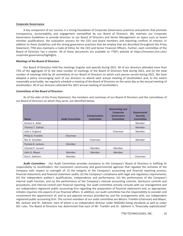#### **Corporate Governance**

A key component of our success is a strong foundation of Corporate Governance practices and policies that promote transparency, accountability and engagement exemplified by our Board of Directors. We maintain our Corporate Governance Guidelines to provide direction to our Board of Directors and Senior Management on topics such as board member qualifications, the evaluation process for the CEO and board members and reporting conflicts of interest. In addition to these Guidelines and the strong governance practices that we employ that are described throughout this Proxy Statement, TTM also maintains a Code of Ethics for the CEO and Senior Financial Officers. Further, each committee of the Board of Directors has a charter. All of these documents are available on TTM's website at https://investors.ttm.com/ corporate-governance/highlights.

#### **Meetings of the Board of Directors**

Our Board of Directors held five meetings (regular and special) during 2021. All of our directors attended more than 75% of the aggregate of (i) the total number of meetings of the Board of Directors held during 2021, and (ii) the total number of meetings held by all committees of our Board of Directors on which such person served during 2021. We have adopted a policy encouraging each of our directors to attend each annual meeting of stockholders and, to the extent reasonably practicable, we regularly schedule a meeting of the Board of Directors on the same day as the annual meeting of stockholders. All of our directors attended the 2021 annual meeting of stockholders.

#### **Committees of the Board of Directors**

As of the date of this Proxy Statement, the members and nominees of our Board of Directors and the committees of our Board of Directors on which they serve, are identified below:

| <b>Name</b>        | <b>Audit Committee</b> | Compensation<br><b>Committee</b> | <b>Nominating and</b><br>Corporate<br>Governance<br><b>Committee</b> | Government<br><b>Security</b><br><b>Committee</b> |
|--------------------|------------------------|----------------------------------|----------------------------------------------------------------------|---------------------------------------------------|
| Kenton K. Alder    |                        |                                  |                                                                      | Member                                            |
| Thomas T. Edman    |                        |                                  |                                                                      | Member                                            |
| Julie S. England   |                        |                                  | Chairman                                                             | Member                                            |
| Philip G. Franklin | Chairman               |                                  |                                                                      |                                                   |
| Rex D. Geveden     |                        | Chairman                         |                                                                      | Member                                            |
| Pamela B. Jackson  | Member                 |                                  |                                                                      |                                                   |
| Chantel E. Lenard  |                        | Member                           | Member                                                               |                                                   |
| John G. Mayer      | Member                 | Member                           | Member                                                               |                                                   |
| Dov S. Zakheim     | Member                 |                                  |                                                                      | Chairman                                          |

*Audit Committee*. Our Audit Committee provides assistance to the Company's Board of Directors in fulfilling its responsibility to stockholders, the investment community and governmental agencies that regulate the activities of the Company with respect to oversight of: (i) the integrity of the Company's accounting and financial reporting process, financial statements and financial statement audits; (ii) the Company's compliance with legal and regulatory requirements; (iii) the independent auditor's qualifications, independence and performance; (iv) the performance of the Company's internal audit function; and (v) the performance of the Company's internal accounting controls, disclosure controls and procedures, and internal control over financial reporting. Our audit committee actively consults with our management and our independent registered public accounting firm regarding the preparation of financial statements and, as appropriate, initiates inquiries into aspects of our financial affairs. In addition, our audit committee has the responsibility to consider and recommend the appointment of, and to pre-approve services provided by, and fee arrangements with, our independent registered public accounting firm. The current members of our audit committee are Messrs. Franklin (chairman) and Mayer, Ms. Jackson and Dr. Zakheim, each of whom is an independent director under NASDAQ listing standards as well as under SEC rules. The Board of Directors has determined that each of Mr. Franklin and Dr. Zakheim is "financially sophisticated"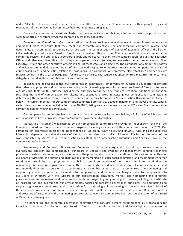under NASDAQ rules and qualifies as an "audit committee financial expert" in accordance with applicable rules and regulations of the SEC. Our audit committee held four meetings during 2021.

Our audit committee has a written charter that delineates its responsibilities, a full copy of which is posted on our website at https://investors.ttm.com/corporate-governance/highlights.

*Compensation Committee*. Our compensation committee provides a general review of our employee compensation and benefit plans to ensure that they meet our corporate objectives. The compensation committee reviews and determines, or recommends to our Board of Directors, the compensation of our Chief Executive Officer and all other individuals designated by our Board of Directors as executive officers of our Company. In addition, our compensation committee reviews and approves our corporate goals and objectives relevant to the compensation for our Chief Executive Officer and other executive officers, including annual performance objectives, and evaluates the performance of our Chief Executive Officer and other executive officers in light of these goals and objectives. The compensation committee reviews and makes recommendations to our Board of Directors with respect to, or approves, our incentive compensation plans and equity-based plans, and activities relating to those plans. The compensation committee also establishes and periodically reviews policies in the area of perquisites for executive officers. The compensation committee may, from time to time, delegate any or all of its responsibilities to a subcommittee.

In discharging its responsibilities, our compensation committee is empowered to investigate any matter of concern that it deems appropriate and has the sole authority, without seeking approval from the entire Board of Directors, to retain outside consultants for this purpose, including the authority to approve any terms of retention. Additional information regarding the role of compensation consultants and executive officers in assisting our compensation committee in determining the amount or form of executive compensation may be found in "Compensation Discussion and Analysis" below. The current members of our compensation committee are Messrs. Geveden (chairman) and Mayer and Ms. Lenard, each of whom is an independent director under NASDAQ listing standards as well as under SEC rules. The compensation committee held six meetings during 2021.

Our compensation committee has a written charter that delineates its responsibilities, a full copy of which is posted on our website at https://investors.ttm.com/corporate-governance/highlights.

Mercer, Inc. ("Mercer") was retained by our compensation committee to provide an independent review of the Company's board and executive compensation programs, including an analysis of the competitive market for 2021. Our compensation committee assessed the independence of Mercer pursuant to SEC and NASDAQ rules and concluded that Mercer is independent and that the work of Mercer has not raised any conflict of interest. For further discussion of the work conducted by Mercer as our compensation consultant, see "Compensation Discussion and Analysis – Role of the Compensation Committee."

*Nominating and Corporate Governance Committee*. The nominating and corporate governance committee oversees the selection and composition of our Board of Directors and oversees the management continuity planning processes. It establishes, monitors, and recommends the purpose, structure, and operations of the various committees of our Board of Directors, the criteria and qualifications for membership of each board committee, and recommends whether rotations or term limits are appropriate for the chair or committee members of the various committees. In addition, the nominating and corporate governance committee recommends individuals to stand for election as directors and recommends directors to serve on each committee as a member or as chair of the committee. The nominating and corporate governance committee reviews director compensation and recommends changes in director compensation to our Board of Directors with the support of our compensation consultant, Mercer. The nominating and corporate governance committee reviews and makes recommendations regarding our governing documents (including our certificate of incorporation and bylaws) and our environmental, social and corporate governance principles. The nominating and corporate governance committee is also responsible for considering policies relating to the meetings of our Board of Directors and considers questions of independence and possible conflicts of interest of members of our Board of Directors and executive officers. Finally, the nominating and corporate governance committee oversees the evaluation of our Board of Directors and management.

The nominating and corporate governance committee will consider persons recommended by stockholders for inclusion as nominees for election to our Board of Directors if the information required by our bylaws is submitted in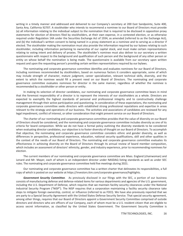writing in a timely manner and addressed and delivered to our Company's secretary at 200 East Sandpointe, Suite 400, Santa Ana, California 92707. A stockholder who intends to recommend a nominee to our Board of Directors must provide (a) all information relating to the individual subject to the nomination that is required to be disclosed in opposition proxy statements for election of directors filed by stockholders, at their own expense, in a contested election, or as otherwise required under Regulation 14A under the Securities Exchange Act of 1934, as amended (referred to as the Exchange Act), and (b) the individual's written consent to being named in a proxy statement as a nominee and to serving as a director if elected. The stockholder making the nomination must also provide the information required by our bylaws relating to such stockholder, including information pertaining to ownership of our capital stock, and must make certain representations relating to voting intent and delivery of proxies. The stockholder's nominee must also deliver to our secretary a written questionnaire with respect to the background and qualification of such person and the background of any other person or entity on whose behalf the nomination is being made. The questionnaire is available from our secretary upon written request and upon the requesting person's providing certain written representations required by our bylaws.

The nominating and corporate governance committee identifies and evaluates nominees for our Board of Directors, including nominees recommended by stockholders, based on numerous factors it considers appropriate, some of which may include strength of character, mature judgment, career specialization, relevant technical skills, diversity, and the extent to which the nominee would fill a present need on our Board of Directors. The nominating and corporate governance committee evaluates nominees for director in the same manner, regardless of whether the nominee is recommended by a stockholder or other person or entity.

In making its selection of director candidates, our nominating and corporate governance committee bears in mind that the foremost responsibility of a director is to represent the interests of our stockholders as a whole. Directors are expected to exemplify the highest standards of personal and professional integrity and to constructively challenge management through their active participation and questioning. In consideration of these expectations, the nominating and corporate governance committee seeks directors with established strong professional reputations and expertise in areas relevant to the strategy and operations of our business. The activities and associations of candidates are reviewed for any legal impediment, conflict of interest, or other consideration that might prevent service on our Board of Directors.

The charter of our nominating and corporate governance committee provides that the value of diversity on our Board of Directors should be considered, and the nominating and corporate governance committee includes diversity as one of its criteria for board composition. While we do not have a formal policy outlining the diversity standards to be considered when evaluating director candidates, our objective is to foster diversity of thought on our Board of Directors. To accomplish that objective, the nominating and corporate governance committee considers ethnic and gender diversity, as well as differences in perspective, professional experience, education, national security qualifications, skill and other qualities in the context of the needs of our Board of Directors. The nominating and corporate governance committee evaluates its effectiveness in achieving diversity on the Board of Directors through its annual review of board member composition, which includes an assessment of directors' ethnicity, gender, and industry experience, prior to recommending nominees for election.

The current members of our nominating and corporate governance committee are Mses. England (chairwoman) and Lenard and Mr. Mayer, each of whom is an independent director under NASDAQ listing standards as well as under SEC rules. The nominating and corporate governance committee held five meetings during 2021.

Our nominating and corporate governance committee has a written charter that delineates its responsibilities, a full copy of which is posted on our website at https://investors.ttm.com/corporate-governance/highlights.

*Government Security Committee*. As previously disclosed in our filings with the SEC, a portion of our business consists of manufacturing defense and defense-related items for various departments and agencies of the U.S. government, including the U.S. Department of Defense, which requires that we maintain facility security clearances under the National Industrial Security Program ("NISP"). The NISP requires that a corporation maintaining a facility security clearance take steps to mitigate foreign ownership, control, or influence (referred to as FOCI). We have also previously reported that we are party to a Special Security Agreement with the United States Defense Security Service. That special security agreement, among other things, requires that our Board of Directors appoint a Government Security Committee comprised of outside directors and directors who are officers of our Company, each of whom must be a U.S. resident citizen that are eligible to access secret information, as classified by the United States Government. The Government Security Committee is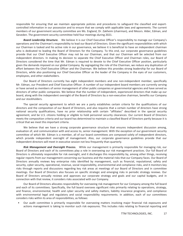responsible for ensuring that we maintain appropriate policies and procedures to safeguard the classified and exportcontrolled information in our possession and to ensure that we comply with applicable laws and agreements. The current members of our government security committee are Ms. England, Dr. Zakheim (chairman), and Messrs. Alder, Edman, and Geveden. The government security committee held four meetings during 2021.

*Board Leadership Structure.* We believe it is our Chief Executive Officer's responsibility to manage our Company's operations and the Chairman's responsibility to lead our Board of Directors. Given the significant responsibilities with which our Chairman is tasked and his active role in our governance, we believe it is beneficial to have an independent chairman who is dedicated to leading the Board of Directors for the Company. To this end, our corporate governance guidelines provide that our Chief Executive Officer may not be our Chairman, and that our Chairman will be selected from our independent directors. In making its decision to separate the Chief Executive Officer and Chairman roles, our Board of Directors considered the time that Mr. Edman is required to devote to the Chief Executive Officer position, particularly given the demands imposed on our global Company. By segregating the role of the Chairman, we reduce any duplication of effort between the Chief Executive Officer and the Chairman. We believe this provides strong leadership for our Board of Directors, while also positioning our Chief Executive Officer as the leader of the Company in the eyes of our customers, employees, and other stakeholders.

Our Board of Directors currently has eight independent members and one non-independent member, specifically Mr. Edman, our President and Chief Executive Officer. A number of our independent board members are currently serving or have served as members of senior management of other public companies or governmental agencies and have served as directors of other public companies. We believe that the number of independent, experienced directors that make up our board, along with the independent oversight of the Board of Directors by a non-executive chairman, benefits our Company and our stockholders.

The special security agreement to which we are a party establishes certain criteria for the qualifications of our directors and the composition of our Board of Directors, and also requires that a certain number of directors have strong national security qualifications, have no prior relationship with certain "affiliates" described in the special security agreement, and be U.S. citizens holding or eligible to hold personnel security clearances. Our current Board of Directors meets the composition criteria and our board has determined to maintain a classified Board of Directors partly because it is critical that we meet this important criteria.

We believe that we have a strong corporate governance structure that ensures independent discussion among, evaluation of, and communication with and access to, senior management. With the exception of our government security committee of which Mr. Edman is a member, all of our board committees are composed solely of independent directors, which provide independent oversight of management. Also, our corporate governance guidelines provide that our independent directors will meet in executive session not less frequently than quarterly.

*Risk Management and Oversight Process.* While our management is primarily responsible for managing risk, our Board of Directors and each of its committees play a role in overseeing our risk management practices. Our full Board of Directors is ultimately responsible for risk oversight, and it discharges this responsibility by, among other things, receiving regular reports from our management concerning our business and the material risks that our Company faces. Our Board of Directors annually reviews key enterprise risks identified by management, such as financial, reputational, safety and security, cyber security, operational, revenue, social responsibility, environmental and compliance risks, and it monitors key risks through reports and discussions regarding key risk areas at meetings of our Board of Directors and in committee meetings. Our Board of Directors also focuses on specific strategic and emerging risks in periodic strategy reviews. Our Board of Directors annually reviews and approves our corporate strategy and goals and our capital budgets, and in connection with that review, it considers risks associated with our Company.

Our Board of Directors allocates responsibility for overseeing risk management for our Company among the full board and each of its committees. Specifically, the full board oversees significant risks primarily relating to operations, strategy, and finance, environmental, health and cyber security and safety matters, liability insurance programs, and compliance with environmental legal and regulatory and social responsibility requirements. In addition, each of our committees considers risks within its area of responsibilities, as follows:

• Our audit committee is primarily responsible for overseeing matters involving major financial risk exposures and actions management is taking to monitor such risk exposures. This includes risks relating to financial reporting and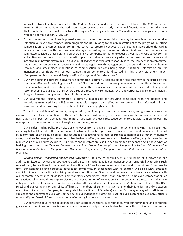internal controls; litigation; tax matters; the Code of Business Conduct and the Code of Ethics for the CEO and senior financial officers. In addition, the audit committee reviews our quarterly and annual financial reports, including any disclosure in those reports of risk factors affecting our Company and business. The audit committee regularly consults with our external auditor, KPMG LLP.

- Our compensation committee is primarily responsible for overseeing risks that may be associated with executive retention, our executive compensation programs and risks relating to the administration of those programs. In setting compensation, the compensation committee strives to create incentives that encourage appropriate risk-taking behavior consistent with our business strategy. In making compensation determinations, the compensation committee considers these risks and an overall mix of compensation for employees as well as the various risk control and mitigation features of our compensation plans, including appropriate performance measures and targets and incentive plan payout maximums. To assist in satisfying these oversight responsibilities, the compensation committee retains outside compensation consultants and meets regularly with management to understand the financial, human resource, and stockholder implications of compensation decisions being made. Additional information on risk management considerations of our compensation committee is discussed in this proxy statement under "Compensation Discussion and Analysis – Risk Management Considerations."
- Our nominating and corporate governance committee is primarily responsible for risks that may be mitigated by the continued effective functioning of our Board of Directors and our corporate governance practices. Under its charter, the nominating and corporate governance committee is responsible for, among other things, developing and recommending to our Board of Directors a set of effective environmental, social and corporate governance principles designed to assure compliance with applicable standards.
- Our government security committee is primarily responsible for ensuring compliance with the policies and procedures mandated by the U.S. government with respect to classified and export-controlled information in our possession and for ensuring the mitigation of FOCI, including cyber security.

Through the activities of our audit, compensation, nominating and corporate governance, and government security committees, as well as the full Board of Directors' interactions with management concerning our business and the material risks that may impact our Company, the Board of Directors and each respective committee is able to monitor our risk management process and offer critical insights to our management.

Our Insider Trading Policy prohibits our employees from engaging in certain transactions involving TTM's securities, including but not limited to the use of financial instruments such as puts, calls, derivatives, zero-cost collars, and forward sales contracts, short sales, pledging TTM securities as collateral for a loan, or subject to margin call or other involuntary sales, or otherwise engage in transactions, that hedge or offset, or are designed to hedge or offset, any decrease in the market value of our equity securities. Our officers and directors are also further prohibited from engaging in these types of hedging transactions. See "*Director Compensation* – *Stock Ownership, Hedging and Pledging Policies*" and "*Compensation Discussion and Analysis – Compensation Overview – Alignment of Compensation and Performance – Compensation Practices*."

*Related Person Transaction Policies and Procedures.* It is the responsibility of our full Board of Directors and our audit committee to review and approve related party transactions. It is our management's responsibility to bring such related party transactions to the attention of our Board of Directors and members of our audit committee. From time to time, our nominating and corporate governance committee, in accordance with its charter, will also review potential conflict of interest transactions involving members of our Board of Directors and our executive officers. In accordance with our corporate governance guidelines, any monetary engagement (other than director or employee compensation or transactions which would not require disclosure under Item 404 of Regulation S-K) (a) between a director (including any entity of which the director is a director or executive officer and any member of a director's family as defined in NASDAQ rules) and our Company or any of its affiliates or members of senior management or their families, and (b) between executive officers of our Company (as designated by our Board of Directors) and our Company or any of its affiliates, is subject to the approval of our audit committee or our independent directors. Each of our directors and executive officers must notify our Board of Directors in advance of entering into any such transaction.

Our corporate governance guidelines task our Board of Directors, in consultation with our nominating and corporate governance committee, with reviewing annually the relationships that each director has with us, directly or indirectly.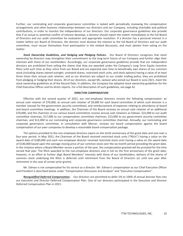Further, our nominating and corporate governance committee is tasked with periodically reviewing the compensation arrangements and other business relationships between our directors and our Company, including charitable and political contributions, in order to monitor the independence of our directors. Our corporate governance guidelines also provide that if an actual or potential conflict of interest develops, a director should report the matter immediately to the full Board of Directors and our audit committee for evaluation and appropriate resolution. If a director has a personal interest in a matter before our Board of Directors, the director must disclose the interest to the full Board of Directors and our audit committee, must recuse themselves from participation in the related discussion, and must abstain from voting on the matter.

*Stock Ownership Guidelines, and Hedging and Pledging Policies***.** Our Board of Directors recognizes that stock ownership by directors may strengthen their commitment to the long-term future of our Company and further align their interests with those of our stockholders. Accordingly, our corporate governance guidelines provide that our independent directors are prohibited from selling the shares that they are awarded under the Company's Long Term Equity Incentive Plans until such time as they retire from our Board and are expected over time to beneficially own shares of our common stock (including shares owned outright, unvested shares, restricted stock units, and stock options) having a value of at least three times their annual cash retainer, and as our directors are subject to our insider trading policy, they are prohibited from pledging or hedging their shares. All of our directors, except Ms. Jackson who joined our Board in June 2021, meet the stock ownership guidelines as of the Record Date. In addition, the Company has adopted stock ownership guidelines for the Chief Executive Officer and his direct reports. For a full description of such guidelines, see page 42.

#### **DIRECTOR COMPENSATION**

Effective with the second quarter of 2021, our non-employee directors receive the following compensation: an annual cash retainer of \$70,000, an annual cash retainer of \$9,000 for each board committee of which such director is a member (except for the government security committee), and reimbursement of expenses relating to attendance at board and board committee meetings. In addition, the Chairman of the Board receives an annual cash retainer of an additional \$70,000, and the chairmen of our various board committees receive annual cash retainers as follows: \$22,000 to our audit committee chairman, \$17,000 to our compensation committee chairman, \$13,000 to our government security committee chairman, and \$12,000 to our nominating and corporate governance committee chairman. Annually, our nominating and corporate governance committee, in consultation with Mercer, reviews our board compensation against the board compensation of our peer companies to develop a reasonable board compensation package.

The options provided to the non-employee directors expire on the tenth anniversary of the grant date and vest over a four-year period. In May 2021, the Chairman of the Board received restricted stock units ("RSUs") having a value on the award date of \$180,000 and each non-employee director received restricted stock units having a value on the award date of \$140,000 based upon the average closing price of our common stock over the six-month period preceding the grant date. In the instance where a Board Member serves a portion of the year, the compensation granted will be prorated for the time served that year. The RSUs awarded to the non-employee directors vest in full on the first anniversary of the grant date; however, in an effort to further align Board Members' interests with those of our stockholders, delivery of the shares of common stock underlying the RSUs is deferred until retirement from the Board of Directors (or until one year after retirement in the case of certain prior grants).

Mr. Edman is not compensated for his service as a director. Mr. Edman's compensation as our Chief Executive Officer and President is described below under "Compensation Discussion and Analysis" and "Executive Compensation".

*Nonqualified Deferred Compensation***.** Our directors are permitted to defer 5% to 100% of annual director fees into our Executive and Director Deferred Compensation Plan. One of our directors participated in the Executive and Director Deferred Compensation Plan in 2021.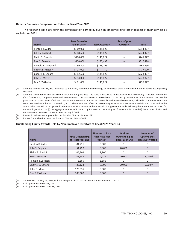#### <span id="page-24-0"></span>**Director Summary Compensation Table for Fiscal Year 2021**

The following table sets forth the compensation earned by our non-employee directors in respect of their services as such during 2021.

| <b>Name</b>                      | <b>Fees Earned or</b><br>Paid in Cash <sup>(1)</sup> | RSU Awards <sup>(2)</sup> | <b>Stock Option</b><br>Awards <sup>(2)</sup> | <b>Total</b> |
|----------------------------------|------------------------------------------------------|---------------------------|----------------------------------------------|--------------|
| Kenton K. Alder                  | \$69,000                                             | \$145,827                 |                                              | \$214,827    |
| Julie S. England                 | \$88,500                                             | \$145,827                 | $\qquad \qquad -$                            | \$234,327    |
| Philip G. Franklin               | \$100,000                                            | \$145,827                 | --                                           | \$245,827    |
| Rex D. Geveden                   | \$130,000                                            | \$187,498                 |                                              | \$317,498    |
| Pamela B. Jackson <sup>(3)</sup> | \$39,500                                             | \$123,796                 | --                                           | \$163,296    |
| Robert E. Klatell <sup>(4)</sup> | \$77,000                                             | \$<br>$\mathbf 0$         | $\qquad \qquad -$                            | \$77,000     |
| Chantel E. Lenard                | \$82,500                                             | \$145,827                 |                                              | \$228,327    |
| John G. Mayer                    | \$93,000                                             | \$145,827                 |                                              | \$238,827    |
| Dov S. Zakheim                   | \$91,000                                             | \$145,827                 | --                                           | \$236,827    |

(1) Amounts include fees payable for service as a director, committee membership, or committee chair as described in the narrative accompanying this table.

- (2) Amounts shown reflect the fair value of RSUs on the grant date. The value is calculated in accordance with Accounting Standards Codification ("ASC") Topic 718, Compensation – Stock Compensation. The fair value of an RSU is based on the closing market price of our common stock on the grant date. For a discussion of valuation assumptions, see Note 14 to our 2021 consolidated financial statements, included in our Annual Report on Form 10-K filed with the SEC on March 1, 2022. These amounts reflect our accounting expense for these awards and do not correspond to the actual value that will be recognized by the directors with respect to these awards. A supplemental table following these footnotes sets forth for non-employee directors: (i) the aggregate number of RSUs and option awards outstanding as of January 3, 2022, and (ii) the number of RSUs and option awards that were not vested as of January 3, 2022.
- (3) Pamela B. Jackson was appointed to our Board of Directors in June 2021.
- (4) Robert E. Klatell retired from our Board of Directors in May 2021.

#### **Outstanding Equity Awards Held by Non-Employee Directors at Fiscal 2021 Year End**

| <b>Name</b>        | <b>RSUs Outstanding</b><br>at Fiscal Year End | <b>Number of RSUs</b><br>that Have Not<br>Vested <sup>(1)</sup> | <b>Options</b><br><b>Outstanding at</b><br><b>Fiscal Year End</b> | <b>Number of</b><br><b>Options that</b><br><b>Have Not Vested</b> |
|--------------------|-----------------------------------------------|-----------------------------------------------------------------|-------------------------------------------------------------------|-------------------------------------------------------------------|
| Kenton K. Alder    | 81,216                                        | 9,900                                                           | 0                                                                 | 0                                                                 |
| Julie S. England   | 51,220                                        | 9,900                                                           | 20,000                                                            | 0                                                                 |
| Philip G. Franklin | 105,809                                       | 9,900                                                           | 0                                                                 | 0                                                                 |
| Rex D. Geveden     | 41,553                                        | 12,729                                                          | 20,000                                                            | $5.000^{(2)}$                                                     |
| Pamela B. Jackson  | 8,585                                         | 8,585                                                           | 0                                                                 | 0                                                                 |
| Chantel E. Lenard  | 35,123                                        | 9,900                                                           | 20,000                                                            | $5.000^{(3)}$                                                     |
| John G. Mayer      | 126,035                                       | 9.900                                                           | 0                                                                 | 0                                                                 |
| Dov S. Zakheim     | 109,600                                       | 9,900                                                           | $\Omega$                                                          | 0                                                                 |

(1) The RSUs vest on May 12, 2022, with the exception of Ms. Jackson. Her RSUs vest on June 21, 2022.

(2) Such options vest on May 9, 2022.

(3) Such options vest on October 18, 2022.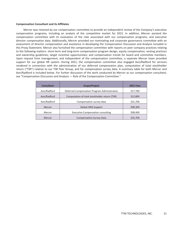#### **Compensation Consultant and its Affiliates**

Mercer was retained by our compensation committee to provide an independent review of the Company's executive compensation programs, including an analysis of the competitive market for 2021. In addition, Mercer assisted the compensation committee with its evaluation of the risks associated with our compensation programs, and executive director compensation data. Additionally, Mercer provided our nominating and corporate governance committee with an assessment of director compensation and assistance in developing the Compensation Discussion and Analysis included in this Proxy Statement. Mercer also furnished the compensation committee with reports on peer company practices relating to the following matters: short-term and long-term compensation program design; equity compensation; vesting practices and ownership guidelines; target incentive opportunities; and compensation trends for board and committee members. Upon request from management, and independent of the compensation committee, a separate Mercer team provided support for our global HR system. During 2021, the compensation committee also engaged Aon/Radford for services rendered in connection with the administration of our deferred compensation plan, computation of total stockholder return ("TSR") relative to our TSR Peer Group, and for compensation survey data. A summary table for both Mercer and Aon/Radford is included below. For further discussion of the work conducted by Mercer as our compensation consultant, see "Compensation Discussion and Analysis — Role of the Compensation Committee."

| <b>Consultant</b> | Scope/Project                                 | <b>2021 Fees</b> |
|-------------------|-----------------------------------------------|------------------|
| Aon/Radford       | Deferred Compensation Program Administration  | \$17,700         |
| Aon/Radford       | Computation of total stockholder return (TSR) | \$12,800         |
| Aon/Radford       | Compensation survey data                      | \$31,700         |
| Mercer            | <b>Global HRIS Support</b>                    | \$98,300         |
| Mercer            | <b>Executive Compensation consulting</b>      | \$98,400         |
| Mercer            | <b>Compensation Survey Data</b>               | \$35,700         |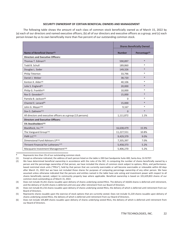#### **SECURITY OWNERSHIP OF CERTAIN BENEFICIAL OWNERS AND MANAGEMENT**

<span id="page-26-0"></span>The following table shows the amount of each class of common stock beneficially owned as of March 15, 2022 by (a) each of our directors and named executive officers; (b) all of our directors and executive officers as a group; and (c) each person known by us to own beneficially more than five percent of our outstanding common stock.

|                                                              |               | <b>Shares Beneficially Owned</b> |
|--------------------------------------------------------------|---------------|----------------------------------|
| Name of Beneficial Owner <sup>(1)</sup>                      | <b>Number</b> | Percentage <sup>(2)</sup>        |
| <b>Directors and Executive Officers:</b>                     |               |                                  |
| Thomas T. Edman <sup>(3)</sup>                               | 590,897       | $\ast$                           |
| Todd B. Schull                                               | 189,860       | $\ast$                           |
| Douglas L. Soder                                             | 149,326       | $\ast$                           |
| Philip Titterton                                             | 33,796        | $\ast$                           |
| Daniel J. Weber                                              | 38,720        | $\ast$                           |
| Kenton K. Alder <sup>(4)</sup>                               | 40,106        | $\ast$                           |
| Julie S. England <sup>(5)</sup>                              | 20,000        | $\ast$                           |
| Philip G. Franklin <sup>(6)</sup>                            | 10,000        | $\ast$                           |
| Rex D. Geveden <sup>(7)</sup>                                | 15,000        | $\ast$                           |
| Pamela B. Jackson <sup>(8)</sup>                             | $\Omega$      | $\ast$                           |
| Chantel E. Lenard <sup>(9)</sup>                             | 15,000        | $\ast$                           |
| John G. Mayer <sup>(10)</sup>                                | 9,167         | $\ast$                           |
| Dov S. Zakheim <sup>(11)</sup>                               | $\Omega$      | $\ast$                           |
| All directors and executive officers as a group (13 persons) | 1,111,872     | 1.1%                             |
| <b>Directors and Executive Officers:</b>                     |               |                                  |
| 5% Stockholders <sup>(12)</sup>                              |               |                                  |
| BlackRock, Inc.(13)                                          | 16,638,479    | 15.9%                            |
| The Vanguard Group <sup>(14)</sup>                           | 11,227,551    | 10.8%                            |
| FMR $II C(15)$                                               | 9,429,379     | 9.0%                             |
| Dimensional Fund Advisors LP(16)                             | 7,335,397     | 7.0%                             |
| Thrivent Financial for Lutherans <sup>(17)</sup>             | 5,458,373     | 5.2%                             |
| Macquarie Investment Management <sup>(18)</sup>              | 5,406,270     | 5.2%                             |

**\*** Represents less than 1% of our outstanding common stock.

<sup>(1)</sup> Except as otherwise indicated, the address of each person listed on the table is 200 East Sandpointe Suite 400, Santa Ana, CA 92707.

<sup>(2)</sup> We have determined beneficial ownership in accordance with the rules of the SEC. In computing the number of shares beneficially owned by a person and the percentage ownership of that person, we have included the shares of common stock subject to options, RSUs, and performancebased restricted stock units ("PRUs"), held by that person that are currently exercisable or will become exercisable or releasable within 60 days after March 15, 2022 but we have not included those shares for purposes of computing percentage ownership of any other person. We have assumed unless otherwise indicated that the persons and entities named in the table have sole voting and investment power with respect to all shares beneficially owned, subject to community property laws where applicable. Beneficial ownership is based on 101,629,833 shares of our common stock outstanding as of March 15, 2022.

<sup>(3)</sup> Does not include 35,261 shares issuable upon delivery of shares underlying vested RSUs. The delivery of 18,826 shares is deferred until retirement, and the delivery of 16,435 shares is deferred until one year after retirement from our Board of Directors.

<sup>(4)</sup> Does not include 81,216 shares issuable upon delivery of shares underlying vested RSUs, the delivery of which is deferred until retirement from our Board of Directors.

<sup>(5)</sup> Represents shares issuable upon the exercise of stock options that are currently vested. Does not include 51,220 shares issuable upon delivery of shares underlying vested RSUs, the delivery of which is deferred until retirement from our Board of Directors.

<sup>(6)</sup> Does not include 105,809 shares issuable upon delivery of shares underlying vested RSUs, the delivery of which is deferred until retirement from our Board of Directors.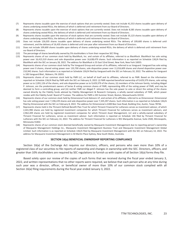- (7) Represents shares issuable upon the exercise of stock options that are currently vested. Does not include 41,553 shares issuable upon delivery of shares underlying vested RSUs, the delivery of which is deferred until retirement from our Board of Directors.
- (8) Represents shares issuable upon the exercise of stock options that are currently vested. Does not include 8,585 shares issuable upon delivery of shares underlying vested RSUs, the delivery of which is deferred until retirement from our Board of Directors.
- (9) Represents shares issuable upon the exercise of stock options that are currently vested. Does not include 35,123 shares issuable upon delivery of shares underlying vested RSUs, the delivery of which is deferred until retirement from our Board of Directors.
- (10) Does not include 126,035 shares issuable upon delivery of shares underlying vested RSUs. The delivery of 109,600 shares is deferred until retirement, and the delivery of 16,435 shares is deferred until one year after retirement from our Board of Directors.
- (11) Does not include 109,600 shares issuable upon delivery of shares underlying vested RSUs, the delivery of which is deferred until retirement from our Board of Directors.
- (12) The percentage of shares beneficially owned by 5% stockholders is from their respective SEC filing.
- (13) Represents shares of our common stock held by BlackRock, Inc. and certain of its affiliates, referred to as BlackRock. BlackRock has sole voting power over 16,415,519 shares and sole dispositive power over 16,638,479 shares. Such information is as reported on Schedule 13G/A filed by BlackRock with the SEC on January 28, 2022. The address for BlackRock is 55 East 52nd Street, New York, New York 10055.
- (14) Represents shares of our common stock held by The Vanguard Group and certain of its affiliates, referred to as Vanguard. Vanguard has sole voting power over 0 shares, shared voting power over 133,700 shares, sole dispositive power over 11,016,609 shares and shared dispositive power over 210,942 shares. Such information is as reported on Schedule 13G/A filed by Vanguard with the SEC on February 10, 2022. The address for Vanguard is 100 Vanguard Blvd., Malvern, PA 19355.
- (15) Represents shares of our common stock held by FMR LLC, on behalf of itself and its affiliates, referred to as FMR. Based on the information reported on Schedule 13G/A filed by FMR with the SEC on February 9, 2022: (i) FMR reported beneficial ownership of 9,429,379 shares, sole voting power as to 2,091,126 of the shares, and sole dispositive power as to 9,429,379 of the shares; (ii) members of the Johnson family, including Abigail P. Johnson, are the predominant owners of Series B voting common shares of FMR, representing 49% of the voting power of FMR, and may be deemed to form a controlling group; and (iii) neither FMR nor Abigail P. Johnson has the sole power to vote or direct the voting of the shares owned directly by the Fidelity funds advised by Fidelity Management & Research Company, a wholly owned subsidiary of FMR, which power resides with the Fidelity funds' Board of Trustees. The address for FMR is 245 Summer Street, Boston, Massachusetts 02210.
- (16) Represents shares of our common stock held by Dimensional Fund Advisors LP, and certain of its affiliates, referred to as Dimensional. Dimensional has sole voting power over 7,196,229 shares and sole dispositive power over 7,335,397 shares. Such information is as reported on Schedule 13G/A filed by Dimensional with the SEC on February 8, 2022. The address for Dimensional is 6300 Bee Cave Road, Building One, Austin, Texas 78746.
- (17) Represents shares held in the Thrivent Defined Benefit Plan Trust for which Thrivent Financial for Lutherans serves as investment advisor, of which 2,441,990 shares are held by registered investment companies for which Thrivent Financial for Lutherans serves as investment advisors, and 2,962,209 shares are held by registered investment companies for which Thrivent Asset Management, LLC and a wholly-owned subsidiary of Thrivent Financial for Lutherans, serves as investment advisor. Such information is reported on Schedule 13G filed by Thrivent Financial for Lutherans with the SEC on February 14, 2022. The address for Thrivent Financial for Lutherans is 901 Marquette Avenue, Suite 2500, Minneapolis, Minnesota 55402.
- (18) Represents shares of our common stock deemed beneficially owned by Macquarie Investment Management due to reporting person's ownership of Macquarie Management Holdings Inc., Macquarie Investment Management Business Trust and Macquarie Investment Management Global Limited. Such information is as reported on Schedule 13G/A filed by Macquarie Investment Management with the SEC on February 14, 2022. The address for Macquarie Investment Management is 50 Martin Place Sydney, New South Wales, Australia.

#### **SECTION 16(a) BENEFICIAL OWNERSHIP REPORTING COMPLIANCE**

Section 16(a) of the Exchange Act requires our directors, officers, and persons who own more than 10% of a registered class of our securities to file reports of ownership and changes in ownership with the SEC. Directors, officers, and greater than 10% stockholders are required by SEC regulations to furnish us with copies of all Section 16(a) forms they file.

Based solely upon our review of the copies of such forms that we received during the fiscal year ended January 3, 2022, and written representations that no other reports were required, we believe that each person who at any time during such year was a director, officer, or beneficial owner of more than 10% of our common stock complied with all Section 16(a) filing requirements during the fiscal year ended January 3, 2022.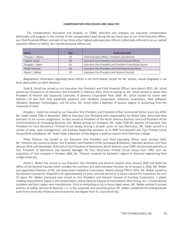#### **COMPENSATION DISCUSSION AND ANALYSIS**

<span id="page-28-0"></span>The Compensation Discussion and Analysis, or CD&A, describes and analyzes our executive compensation philosophy and program in the context of the compensation paid during the last fiscal year to our Chief Executive Officer, our Chief Financial Officer, and each of our three other highest paid executive officers (collectively referred to as our named executive officers or NEOs). Our named executive officers are:

| <b>Name</b>             | Age | <b>Position(s) Held</b>                                         |
|-------------------------|-----|-----------------------------------------------------------------|
| Thomas T. Edman         | 59  | Chief Executive Officer, President and Director                 |
| Todd B. Schull          | 63  | <b>Executive Vice President and Chief Financial Officer</b>     |
| Douglas L. Soder        | 61  | <b>Executive Vice President and President Commercial Sector</b> |
| <b>Philip Titterton</b> | 56  | Executive Vice President and Chief Operating Officer            |
| Daniel J. Weber         | 50  | <b>Executive Vice President and General Counsel</b>             |

Biographical information regarding these officers is set forth below, except for Mr. Edman, whose biography is set forth above with our other directors.

*Todd B. Schull* has served as our Executive Vice President and Chief Financial Officer since March 2013. Mr. Schull joined our Company as an Executive Vice President in February 2013. Prior to joining us, Mr. Schull served as Senior Vice President of Finance and Corporate Controller of Sanmina Corporation from 2005. Mr. Schull started his career with Deloitte LLP and then held leadership positions with Verbatim Corporation, Solectron Corporation, Tidal Software, Ultratech, Repeater Technologies, and VA Linux. Mr. Schull holds a Bachelor of Science degree in accounting from the University of Utah.

*Douglas L. Soder* has served as our Executive Vice President and President of the Commercial Sector since July 2018. Mr. Soder joined TTM in November 2006 as Executive Vice President with responsibility for Global Sales. Since that time and prior to his current assignment, he also served as President of the North America Business Unit and President of the Communications & Computing Business Unit. Before joining our Company, Mr. Soder held the position of Executive Vice President for Tyco Electronics—Printed Circuit Group. During a 23-year career at Tyco Electronics, Mr. Soder served in a variety of sales, sales management, and business leadership positions at its AMP Incorporated and Tyco Printed Circuit Group (PCG) subsidiaries. Mr. Soder holds a Bachelor of Arts degree in political science from Dickinson College.

*Philip Titterton* has served as our Executive Vice President and Chief Operating Officer since January 2020. Mr. Titterton also served as Senior Vice President and President of the Aerospace & Defense / Specialty Business Unit from January 2016 until December 2019 and as Vice President of Operations, North America since 2006. He also held positions as Vice President of Operations and General Manager for Tyco Electronics Printed Circuit Group from 1992 until our acquisition of that company in October 2006. Mr. Titterton received his bachelor's degree in electrical engineering from Lehigh University.

*Daniel J. Weber* has served as our Executive Vice President and General Counsel since January 2020 and leads the Office of the General Counsel which includes the contracts and administration function. As of January 1, 2022, Mr. Weber was appointed Chairman of IPC and Government Relations Commission. Before joining TTM in 2015, Mr. Weber served as the General Counsel for Viasystems for approximately 11 years and had served as in-house counsel for Viasystems for over 15 years. Mr. Weber previously also served as Vice President and General Counsel of Courtesy Corporation, a plastic molding manufacturer based in the United States, and as General Counsel of International Wire Group, Inc., a multinational insulated and bare copper wire manufacturer. Prior to embarking on his in-house legal career, Mr. Weber worked in private practice at Gallop, Johnson & Neuman, L.C. in the corporate and securities group. Mr. Weber completed his undergraduate work from University of Kansas and received his law degree from St. Louis University.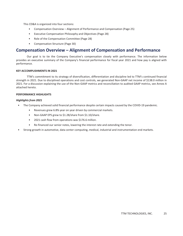This CD&A is organized into four sections:

- Compensation Overview Alignment of Performance and Compensation (Page 25)
- Executive Compensation Philosophy and Objectives (Page 28)
- Role of the Compensation Committee (Page 28)
- Compensation Structure (Page 30)

## <span id="page-29-0"></span>**Compensation Overview – Alignment of Compensation and Performance**

Our goal is to tie the Company Executive's compensation closely with performance. The information below provides an executive summary of the Company's financial performance for fiscal year 2021 and how pay is aligned with performance.

#### **KEY ACCOMPLISHMENTS IN 2021**

TTM's commitment to its strategy of diversification, differentiation and discipline led to TTM's continued financial strength in 2021. Due to disciplined operations and cost controls, we generated Non-GAAP net income of \$138.0 million in 2021. For a discussion explaining the use of the Non-GAAP metrics and reconciliation to audited GAAP metrics, see Annex A attached hereto.

#### **PERFORMANCE HIGHLIGHTS**

#### *Highlights from 2021*

- The Company achieved solid financial performance despite certain impacts caused by the COVID-19 pandemic.
	- Revenues grew 6.8% year on year driven by commercial markets.
	- Non-GAAP EPS grew to \$1.28/share from \$1.10/share.
	- 2021 cash flow from operations was \$176.6 million.
	- Re-financed our senior notes, lowering the interest rate and extending the tenor.
- Strong growth in automotive, data center computing, medical, industrial and instrumentation end markets.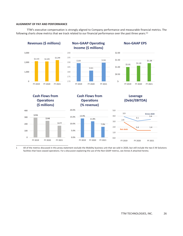#### **ALIGNMENT OF PAY AND PERFORMANCE**

TTM's executive compensation is strongly aligned to Company performance and measurable financial metrics. The following charts show metrics that we track related to our financial performance over the past three years.(1)



1 All of the metrics discussed in this proxy statement exclude the Mobility business unit that we sold in 2020, but still include the two E-M Solutions facilities that have ceased operations. For a discussion explaining the use of the Non-GAAP metrics, see Annex A attached hereto.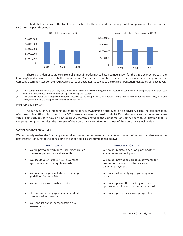The charts below measure the total compensation for the CEO and the average total compensation for each of our NEOs for the past three years.



These charts demonstrate consistent alignment in performance-based compensation for the three-year period with the Company's performance over such three-year period. Simply stated, as the Company's performance and the price of the Company's common stock on the NASDAQ increases or decreases, so too does the total compensation realized by our executives.

#### **2021 SAY ON PAY VOTE**

At our 2021 annual meeting, our stockholders overwhelmingly approved, on an advisory basis, the compensation of our executive officers described in our 2021 proxy statement. Approximately 99.5% of the votes cast on the matter were voted "For" such advisory "Say-on-Pay" approval, thereby providing the compensation committee with verification that its compensation practices align the interests of the Company's executives with those of the Company's stockholders.

#### **COMPENSATION PRACTICES**

We continually review the Company's executive compensation program to maintain compensation practices that are in the best interests of our stockholders. Some of our key policies are summarized below:

- We tie pay to performance, including through the use of performance share units
- We use double triggers in our severance agreements and our equity awards
- We maintain significant stock ownership guidelines for our NEOs
- 
- The Committee engages an independent compensation consultant
- We conduct annual compensation risk assessments

#### WHAT WE DO: WHAT WE DON'T DO:

- We do not maintain pension plans or other executive retirement plans
- We do not provide tax gross up payments for any amounts considered to be excess parachute payments
- We do not allow hedging or pledging of our stock
- We have a robust clawback policy **•** We do not permit the repricing of stock options without prior stockholder approval
	- We do not provide excessive perquisites

<sup>(1)</sup> Total compensation consists of salary paid, the value of RSUs that vested during the fiscal year, short term incentive compensation for that fiscal year, and PRUs earned for the performance period during the fiscal year.

<sup>(2)</sup> This chart illustrates the average compensation received by the group of NEOs as reported in our proxy statements for the years 2019, 2020 and 2021, even though the group of NEOs has changed each year.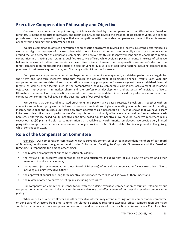## <span id="page-32-0"></span>**Executive Compensation Philosophy and Objectives**

Our executive compensation philosophy, which is established by the compensation committee of our Board of Directors, is intended to attract, motivate, and retain executives and reward the creation of stockholder value. We seek to provide executive compensation packages that are competitive with comparable companies and reward the achievement of short-term and long-term performance goals.

We use a combination of fixed and variable compensation programs to reward and incentivize strong performance, as well as to align the interests of our executives with those of our stockholders. We generally target total compensation around the 50th percentile of comparable companies. We believe that this philosophy will continue to enable us to remain competitive in attracting and retaining qualified executive officers while avoiding paying amounts in excess of what we believe is necessary to attract and retain such executive officers. However, our compensation committee's decisions on target compensation for specific individuals are also influenced by a variety of additional factors, including compensation practices of businesses acquired by us, and Company and individual performance.

Each year our compensation committee, together with our senior management, establishes performance targets for short-term and long-term incentive plans that require the achievement of significant financial results. Each year our compensation committee determines compensation by assessing prior year performance against these established financial targets, as well as other factors such as the compensation paid by comparable companies, achievement of strategic objectives, improvements in market share and the professional development and potential of individual officers. Ultimately, the amount of compensation awarded to our executives is determined based on performance and what our compensation committee believes is in the best interests of our stockholders.

We believe that our use of restricted stock units and performance-based restricted stock units, together with an annual incentive bonus program that is based on various combinations of global operating income, business unit operating income, and global and business unit cash flow from operations as a percentage of revenue shows that we have closely linked executive officer pay to performance. Our pay mix consists primarily of base salary, annual performance-based cash bonuses, performance-based equity incentives and time-based equity incentives. We have no executive retirement plans except our 401(k) plan and deferred compensation plan available to North America employees. We provide very limited perquisites except the expatriate compensation packages provided to Mr. Soder related to his assignment in Hong Kong which concluded in 2021.

## <span id="page-32-1"></span>**Role of the Compensation Committee**

General. Our compensation committee, which is currently comprised of three independent members of our Board of Directors, as discussed in greater detail under "Information Relating to Corporate Governance and the Board of Directors," is responsible for, among other things:

- the review and approval of our compensation philosophy;
- the review of all executive compensation plans and structures, including that of our executive officers and other members of senior management;
- the approval (or recommendation to our Board of Directors) of individual compensation for our executive officers, including our Chief Executive Officer;
- the approval of annual and long-term incentive performance metrics as well as payouts thereunder; and
- the review of other executive benefit plans, including perquisites.

Our compensation committee, in consultation with the outside executive compensation consultant retained by our compensation committee, also helps analyze the reasonableness and effectiveness of our overall executive compensation packages.

While our Chief Executive Officer and other executive officers may attend meetings of the compensation committee or our Board of Directors from time to time, the ultimate decisions regarding executive officer compensation are made solely by the members of our compensation committee and, in the case of compensation decisions for our Chief Executive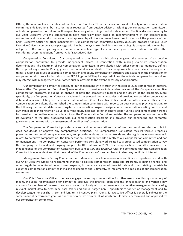Officer, the non-employee members of our Board of Directors. These decisions are based not only on our compensation committee's deliberations, but also on input requested from outside advisors, including our compensation committee's outside compensation consultant, with respect to, among other things, market data analyses. The final decisions relating to our Chief Executive Officer's compensation have historically been based on recommendations of our compensation committee and included discussions with and approval by all of our non-employee directors without the presence of our Chief Executive Officer or other management. Our compensation committee typically discusses proposals for our Chief Executive Officer's compensation package with him but always makes final decisions regarding his compensation when he is not present. Decisions regarding other executive officers have typically been made by our compensation committee after considering recommendations from our Chief Executive Officer.

Compensation Consultant. Our compensation committee has historically engaged the services of an outside compensation consultant to provide independent advice in connection with making executive compensation determinations. The chairman of our compensation committee, in consultation with other committee members, defines the scope of any consultant's engagement and related responsibilities. These responsibilities may include, among other things, advising on issues of executive compensation and equity compensation structure and assisting in the preparation of compensation disclosure for inclusion in our SEC filings. In fulfilling its responsibilities, the outside compensation consultant may interact with management or our other outside advisors to the extent necessary or appropriate.

Our compensation committee continued our engagement with Mercer with respect to 2021 compensation matters. Mercer (the "Compensation Consultant") was retained to provide an independent review of the Company's executive compensation programs, including an analysis of both the competitive market and the design of the programs. More specifically, the Compensation Consultant evaluated our selected peer companies and provided competitive compensation data and analysis relating to the compensation of our Chief Executive Officer and our other senior officers. The Compensation Consultant also furnished the compensation committee with reports on peer company practices relating to the following matters: short-term and long-term compensation program design; equity compensation, vesting practices and ownership guidelines; retention value of current equity holdings; target incentive opportunities; and compensation trends for board and committee members. In addition, the Compensation Consultant assisted the compensation committee with its evaluation of the risks associated with our compensation programs and provided our nominating and corporate governance committee with an assessment of our directors' compensation.

The Compensation Consultant provides analyses and recommendations that inform the committee's decisions, but it does not decide or approve any compensation decisions. The Compensation Consultant reviews various proposals presented to the committee by management, and provides updates on market trends and the regulatory environment as it relates to executive compensation. The Compensation Consultant reports directly to our compensation committee and not to management. The Compensation Consultant performed consulting work related to a broad-based compensation survey the Company performed and ongoing support to HR systems in 2021. Our compensation committee assessed the independence of the Compensation Consultant pursuant to SEC and NASDAQ rules and concluded that the Compensation Consultant is independent and that the work of the Compensation Consultant has not raised any conflicts of interest.

Management Role in Setting Compensation. Members of our human resources and finance departments work with our Chief Executive Officer to recommend changes to existing compensation plans and programs, to define financial and other targets to be achieved under those programs, to prepare analyses of financial data and other briefing materials to assist the compensation committee in making its decisions and, ultimately, to implement the decisions of our compensation committee.

Our Chief Executive Officer is actively engaged in setting compensation for other executives through a variety of means, including recommending for committee approval the financial goals and the annual salaries and variable pay amounts for members of the executive team. He works closely with other members of executive management in analyzing relevant market data to determine base salary and annual target bonus opportunities for senior management and to develop targets for our short-term and long-term incentive plans. Our Chief Executive Officer is generally subject to the same financial performance goals as our other executive officers, all of which are ultimately determined and approved by our compensation committee.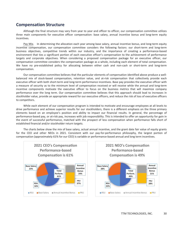## <span id="page-34-0"></span>**Compensation Structure**

Although the final structure may vary from year to year and officer to officer, our compensation committee utilizes three main components for executive officer compensation: base salary, annual incentive bonus and long-term equity incentives.

Pay Mix. In determining the allocation each year among base salary, annual incentive bonus, and long-term equity incentive compensation, our compensation committee considers the following factors: our short-term and long-term business objectives, competitive trends within our industry, and the importance of creating a performance-based environment that ties a significant portion of each executive officer's compensation to the achievement of performance targets and corporate objectives. When considering a proposed compensation package for an executive officer, our compensation committee considers the compensation package as a whole, including each element of total compensation. We have no pre-established policy for allocating between either cash and non-cash or short-term and long-term compensation.

Our compensation committee believes that the particular elements of compensation identified above produce a wellbalanced mix of stock-based compensation, retention value, and at-risk compensation that collectively provide each executive officer with both short-term and long-term performance incentives. Base pay provides the executive officer with a measure of security as to the minimum level of compensation received or will receive while the annual and long-term incentive components motivate the executive officer to focus on the business metrics that will maximize company performance over the long term. Our compensation committee believes that this approach should lead to increases in stockholder value, provide an appropriate reward for our executive officers, and reduce the risk of loss of executive officers to competitors.

While each element of our compensation program is intended to motivate and encourage employees at all levels to drive performance and achieve superior results for our stockholders, there is a different emphasis on the three primary elements based on an employee's position and ability to impact our financial results. In general, the percentage of performance-based pay, or at-risk pay, increases with job responsibility. This is intended to offer an opportunity for gain in the event of successful performance, matched with the prospect of less compensation when performance falls short of established financial and/or stockholder return targets.

The charts below show the mix of base salary, actual annual incentive, and the grant date fair value of equity grants for the CEO and other NEOs in 2021. Consistent with our pay-for-performance philosophy, the largest portion of compensation (approximately 61% for our CEO) is variable or performance-based annual and long term incentives.

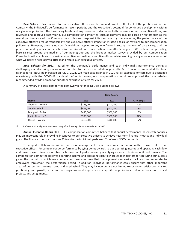**Base Salary**. Base salaries for our executive officers are determined based on the level of the position within our Company, the individual's performance in recent periods, and the executive's potential for continued development within our global organization. The base salary levels, and any increases or decreases to those levels for each executive officer, are reviewed and approved each year by our compensation committee. Such adjustments may be based on factors such as the overall performance of our Company, new roles and responsibilities assumed by the executive, the performance of the executive officer's area of responsibility, the executive officer's impact on strategic goals, or revisions to our compensation philosophy. However, there is no specific weighting applied to any one factor in setting the level of base salary, and the process ultimately relies on the subjective exercise of our compensation committee's judgment. We believe that providing base salaries around the median of our peer group and the broader market survey provided by our Compensation Consultants will enable us to remain competitive for qualified executive officers while avoiding paying amounts in excess of what we believe necessary to attract and retain such executive officers.

*Base Salaries for 2021*. Based on the Company's performance and each individual's performance during a challenging manufacturing environment and due to increases in inflation generally, Mr. Edman recommended the base salaries for all NEOs be increased on July 1, 2021. We froze base salaries in 2020 for all executive officers due to economic uncertainty with the COVID-19 pandemic. After its review, our compensation committee approved the base salaries recommended by Mr. Edman for our other executive officers for 2021.

|                                 | <b>Base Salary</b> |           |            |  |  |  |
|---------------------------------|--------------------|-----------|------------|--|--|--|
| <b>Name</b>                     | 2020               | 2021      | Y/Y Change |  |  |  |
| Thomas T. Edman                 | \$725,000          | \$800,000 | 10%        |  |  |  |
| Todd B. Schull                  | \$485,000          | \$500,000 | 3%         |  |  |  |
| Douglas L. Soder                | \$485,000          | \$500,000 | 3%         |  |  |  |
| Philip Titterton <sup>(1)</sup> | \$380,000          | \$500,000 | 32%        |  |  |  |
| Daniel J. Weber                 | \$410,000          | \$440,000 | 7%         |  |  |  |

A summary of base salary for the past two years for all NEOs is outlined below:

 $(1)$  Reflects market alignment on base salary after freezing all executive salaries in 2020.

**Annual Incentive Bonus Plan**. Our compensation committee believes that annual performance-based cash bonuses play an important role in providing incentives to our executive officers to achieve near-term financial metrics and individual goals. The financial metrics comprise 90% while the individual goals are 10% of each NEO's bonus plan.

To support collaboration within our senior management team, our compensation committee rewards all of our executive officers for company-wide performance by tying bonus awards to our operating income and operating cash flow and rewards executives responsible for business unit performance by also tying awards to business unit performance. The compensation committee believes operating income and operating cash flow are good indicators for capturing our success given the market in which we compete and are measures that management can easily track and communicate to employees throughout the performance period. In addition, individual performance goals ensure that other important areas of our business are measured and emphasized. They may include but are not limited to customer satisfaction, market positioning and growth, structural and organizational improvements, specific organizational talent actions, and critical projects and assignments.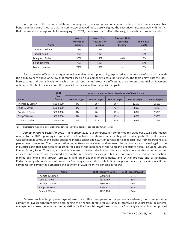In response to the recommendations of management, our compensation committee based the Company's incentive bonus plan on several metrics that the committee believed most closely aligned the executive's incentive pay with metrics that the executive is responsible for managing. For 2021, the below chart reflects the weight of each performance metric.

| <b>Name</b>             | Global<br><b>Operating</b><br><b>Income</b> | <b>Global Cash</b><br>Flow as % of<br><b>Revenue</b> | <b>Business Unit</b><br><b>Operating</b><br><b>Income</b> | <b>Individual</b><br><b>Goals</b> |
|-------------------------|---------------------------------------------|------------------------------------------------------|-----------------------------------------------------------|-----------------------------------|
| Thomas T. Edman         | 72%                                         | 18%                                                  |                                                           | 10%                               |
| Todd B. Schull          | 72%                                         | 18%                                                  | --                                                        | 10%                               |
| Douglas L. Soder        | 36%                                         | 14%                                                  | 40%                                                       | 10%                               |
| <b>Philip Titterton</b> | 72%                                         | 18%                                                  | --                                                        | 10%                               |
| Daniel J. Weber         | 72%                                         | 18%                                                  |                                                           | 10%                               |

Each executive officer has a target annual incentive bonus opportunity, expressed as a percentage of base salary, with the ability to earn above or below that target based on our Company's actual performance. The table below lists the 2021 base salaries and bonus levels for each of our current named executive officers at the different potential achievement outcomes. This table includes both the financial metrics as well as the individual goals.

|                         | 2021                         | Annual Incentive Bonus Levels as % of Base Salary |               |               |                |                      |
|-------------------------|------------------------------|---------------------------------------------------|---------------|---------------|----------------|----------------------|
| <b>Name</b>             | <b>Base</b><br><b>Salary</b> | 0-59% of Target                                   | 60% of Target | 80% of Target | 100% of Target | 120% of Target $(1)$ |
| Thomas T. Edman         | \$800,000                    | 0%                                                | 36%           | 66%           | 125%           | 256%                 |
| Todd B. Schull          | \$500,000                    | 0%                                                | 26%           | 42%           | 80%            | 152%                 |
| Douglas L. Soder        | \$500,000                    | 0%                                                | 26%           | 42%           | 80%            | 152%                 |
| <b>Philip Titterton</b> | \$500,000                    | 0%                                                | 26%           | 42%           | 80%            | 152%                 |
| Daniel J. Weber         | \$440,000                    | 0%                                                | 22%           | 35%           | 65%            | 124%                 |

(1) Represents maximum potential bonus payout. Individual goals are capped at 100% of target.

*Annual Incentive Bonus for 2021*. In February 2022, our compensation committee reviewed our 2021 performance relative to the 2021 operating income and cash flow from operations as a percentage of revenue goals. The performance was certified at 99.0% of the global operating income target and 66.1% of our goal for global cash flow from operations as a percentage of revenue. The compensation committee also reviewed and assessed the performance achieved against the individual goals that had been established for each of the members of the Company's executive team, including Messrs. Edman, Schull, Soder, Titterton, and Weber. We use particular individual performance goals to ensure that other important areas of our business are measured and emphasized, which may include but are not limited to customer satisfaction, market positioning and growth, structural and organizational improvements, and critical projects and assignments. Performance goals do not payout unless our Company achieves its threshold financial performance metrics. As a result, our compensation committee authorized the payment of 2021 incentive bonuses as follows:

| <b>Name</b>             | <b>2021 Incentive Bonus</b> | % of Target Payout |
|-------------------------|-----------------------------|--------------------|
| Thomas T. Edman         | \$803,758                   | 84%                |
| Todd B. Schull          | \$335,989                   | 85%                |
| Douglas L. Soder        | \$509,762                   | 129%               |
| <b>Philip Titterton</b> | \$291,121                   | 83%                |
| Daniel J. Weber         | \$236,496                   | 86%                |

Because such a large percentage of executive officer compensation is performance-based, our compensation committee invests significant time determining the financial targets for our annual incentive bonus program. In general, management makes the initial recommendation for the financial target based upon our Company's annual board-approved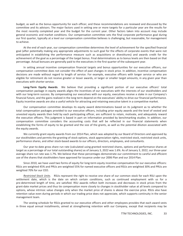budget, as well as the bonus opportunity for each officer, and these recommendations are reviewed and discussed by the committee and its advisors. The major factors used in setting one or more targets for a particular year are the results for the most recently completed year and the budget for the current year. Other factors taken into account may include general economic and market conditions. Our compensation committee sets the final corporate performance goal during our first quarter, typically at a level our compensation committee believes is challenging, but reasonable, for management to achieve.

At the end of each year, our compensation committee determines the level of achievement for the specified financial goal (after potentially making any appropriate adjustments to such goal for the effects of corporate events that were not anticipated in establishing the performance measure such as acquisitions or divestitures) and awards credit for the achievement of the goal as a percentage of the target bonus. Final determinations as to bonus levels are then based on that percentage. Actual bonuses are generally paid to the executives in the first quarter of the subsequent year.

In setting annual incentive compensation financial targets and bonus opportunities for our executive officers, our compensation committee does not consider the effect of past changes in stock price. In addition, incentive compensation decisions are made without regard to length of service. For example, executive officers with longer service or who are eligible for retirement do not receive greater or lesser awards, or larger or smaller target amounts, in any given year than executives with shorter service.

**Long-Term Equity Awards**. We believe that providing a significant portion of our executive officers' total compensation package in equity awards aligns the incentives of our executives with the interests of our stockholders and with our long-term success. By compensating our executives with our equity, executives receive a stake in our Company's financial future, and the gains realized in the long term depend on the executives' ability to drive our financial performance. Equity incentive awards are also a useful vehicle for attracting and retaining executive talent in a competitive market.

Our compensation committee develops its equity award determinations based on its judgment as to whether the total compensation packages provided to our executive officers, including prior equity awards and the level of vested and unvested equity awards then held by each participating officer, are sufficient to retain, motivate, and adequately reward the executive officers. This judgment is based in part on information provided by benchmarking studies. In addition, our compensation committee considers the accounting costs that will be reflected in our financial statements when establishing the forms of equity to be granted and the size of the grants, as well as the potential dilution associated with the equity awards.

We currently grant equity awards from our 2014 Plan, which was adopted by our Board of Directors and approved by our stockholders and permits the granting of stock options, stock appreciation rights, restricted stock, restricted stock units, performance shares, and other stock-based awards to our officers, directors, employees, and consultants.

Our year-to-date gross share run rate (calculated using granted restricted shares, options and performance shares at target as a percentage of our total outstanding shares) as of January 3, 2022 was 1.6%. As of January 3, 2022, our three-year average share run rate was 1.7%. We believe that these percentages demonstrate our commitment to careful and efficient use of the shares that stockholders have approved for issuance under our 2006 Plan and our 2014 Plan.

Since 2010, we have used two forms of equity for long-term equity incentive compensation for our executive officers: RSUs are weighted 45% and PRUs are weighted 55% for named executive officers and RSUs are weighted 30% and PRUs are weighted 70% for our CEO.

*Restricted Stock Units*. RSUs represent the right to receive one share of our common stock for each RSU upon the settlement date, which is the date on which certain conditions, such as continued employment with us for a pre-determined length of time, are satisfied. RSU awards reflect both increases and decreases in stock prices from the grant-date market prices and thus tie compensation more closely to changes in stockholder value at all levels compared to options, whose intrinsic value changes only when the market price of shares is above the exercise price. RSUs also have retention value even during periods in which our trading price does not appreciate, which supports continuity in the senior management team.

The vesting schedule for RSUs granted to our executive officers and other employees provides that each award vests in three equal annual installments, aimed at strengthening retention with our Company, except that recipients may be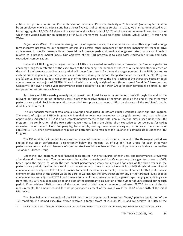entitled to a pro-rata amount of RSUs in the case of the recipient's death, disability or "retirement" (voluntary termination by an employee who is at least 62 and has at least five years of continuous service). In 2021, we granted time-vested RSUs for an aggregate of 1,395,163 shares of our common stock to a total of 1,132 employees and non-employee directors, of which time-vested RSUs for an aggregate of 144,045 shares were issued to Messrs. Edman, Schull, Soder, Titterton and Weber.

*Performance RSUs*. In order to strengthen pay-for-performance, our compensation committee approved a longterm incentive program for our executive officers and certain other members of our senior management team to drive achievement to specific pre-established financial performance goals and provide a long-term return to our stockholders relative to a broader market index. Our objective of the PRU program is to align total stockholder return and each executive's compensation.

Under the PRU Program, a target number of PRUs are awarded annually using a three-year performance period to encourage long term retention of the executives of the Company. The number of shares of our common stock released at the end of the three-year performance period will range from zero to 2.4 times the target number of the PRUs granted to each executive depending on the Company's performance during the period. The performance metrics of the PRU Program are (a) annual financial targets, which for each of the three years prior to the final vesting of the shares are based on total annual revenue and adjusted EBITDA  $(1)$ , each of which is equally weighted, and (b) an overall "modifier" based on our Company's TSR over a three-year performance period relative to a TSR Peer Group of peer companies selected by our compensation committee each year.

Recipients of PRU awards generally must remain employed by us on a continuous basis through the end of the relevant performance period of three years in order to receive shares of common stock at the end of the three-year performance period. Recipients may also be entitled to a pro-rata amount of PRUs in the case of the recipient's death, disability or retirement.

The key financial metrics of total annual revenue and adjusted EBITDA are equally weighted under our PRU Program. The metric of adjusted EBITDA is generally intended to focus our executives on tangible growth and cost reduction opportunities. Adjusted EBITDA is also a complementary metric to the total annual revenue metric used under the PRU Program. The combination of the two performance metrics limits the ability of an executive to be rewarded for taking excessive risk on behalf of our Company by, for example, seeking revenue-enhancing opportunities at the expense of adjusted EBITDA, since performance is required on both metrics to maximize the issuance of common stock under the PRU Program.

The TSR modifier is intended to ensure that shares of common stock issued at the end of the three-year period are limited if our stock performance is significantly below the median TSR of our TSR Peer Group for each three-year performance period and such issuance of common stock would be enhanced if our stock performance is above the median TSR of our TSR Peer Group.

Under the PRU Program, annual financial goals are set in the first quarter of each year, and performance is reviewed after the end of each year. The percentage to be applied to each participant's target award ranges from zero to 160%, based upon the extent to which the two annual performance goals are achieved for each of the three years in the performance period, resulting in a total of six measurements. If we do not achieve at least 60% threshold level of total annual revenue or adjusted EBITDA performance for any of the six measurements, the amount earned for that performance element of one-sixth of the award would be zero. If we achieve the 60% threshold for any of the targeted levels of total annual revenue and adjusted EBITDA performance for any of the six measurements, a percentage (ranging on a sliding scale from 40% to 160%) would be applied to one-sixth of the participant's calculation of the number of units earned during such period. If we achieve 120% or more of the target level of total annual revenue or adjusted EBITDA for any of the six measurements, the amount earned for that performance element of the award would be 160% of one-sixth of the initial PRU award.

The chart below is an example of the PRU units the participant would earn (and "bank," pending application of the TSR modifier), if a named executive officer received a target award of 234,000 PRUs, and we achieve (i) 130% of the

<sup>(1)</sup> For the reconciliation of the use of the non-GAAP metric of adjusted EBITDA and the GAAP measures, please refer to Annex A attached hereto.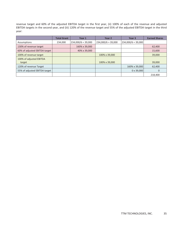revenue target and 60% of the adjusted EBITDA target in the first year, (ii) 100% of each of the revenue and adjusted EBITDA targets in the second year, and (iii) 120% of the revenue target and 55% of the adjusted EBITDA target in the third year:

|                                   | <b>Total Grant</b> | Year 1               | Year 2               | Year <sub>3</sub>    | <b>Earned Shares</b> |
|-----------------------------------|--------------------|----------------------|----------------------|----------------------|----------------------|
| Assumptions                       | 234,000            | $234,000/6 = 39,000$ | $234,000/6 = 39,000$ | $234,000/6 = 39,000$ |                      |
| 130% of revenue target            |                    | 160% x 39,000        |                      |                      | 62,400               |
| 60% of adjusted EBITDA target     |                    | 40% x 39,000         |                      |                      | 15,600               |
| 100% of revenue target            |                    |                      | 100% x 39,000        |                      | 39,000               |
| 100% of adjusted EBITDA<br>target |                    |                      | 100% x 39,000        |                      | 39,000               |
| 120% of revenue Target            |                    |                      |                      | 160% x 39,000        | 62,400               |
| 55% of adjusted EBITDA target     |                    |                      |                      | $0 \times 39,000$    |                      |
|                                   |                    |                      |                      |                      | 218,400              |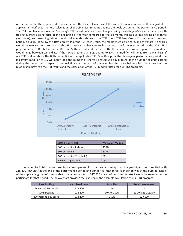At the end of the three-year performance period, the base calculations of the six performance metrics is then adjusted by applying a modifier to the PRU calculation of the six measurements against the goals set during the performance period. The TSR modifier measures our Company's TSR based on stock price changes (using for each year's awards the six-month trailing average closing price at the beginning of the year compared to the six-month trailing average closing price three years later), and assuming reinvestment of dividends, relative to the TSR of our TSR Peer Group for the same three-year period. If our TSR is below the 10th percentile of the TSR Peer Group, the modifier would be zero, and therefore, no shares would be released with respect to the PRU program subject to such three-year performance period. In the 2021 PRU program, if our TSR is between the 10th and 50th percentile at the end of the three-year performance period, the modifier would range between 0.6 and 1.0, if the TSR is greater than 50% and up to 80% the modifier will range from 1.0 and 1.5. If our TSR is at or above the 80th percentile of the applicable TSR Peer Group for the three-year performance period, the maximum modifier of 1.5 will apply, and the number of shares released will equal 150% of the number of units earned during the period with respect to annual financial metric performance. See the chart below which demonstrates the relationship between the TSR results and the calculation of the TSR modifier used for our PRU programs.



| <b>2021 Relative TSR</b>                | <b>Maximum Modifier</b> |
|-----------------------------------------|-------------------------|
| 80 <sup>th</sup> percentile & above     | 150%                    |
| 50 <sup>th</sup> percentile             | 100%                    |
| 10 <sup>th</sup> percentile (Threshold) | 60%                     |
| Below 10 <sup>th</sup> percentile       | 0%                      |

In order to finish our representative example set forth above, assuming that the participant was credited with 218,400 PRU units at the end of the performance period and our TSR for that three-year period was at the 80th percentile of the applicable group of comparable companies, a total of 327,600 shares of our common stock would be released to the participant for that period. The below chart provides the last step in the example calculation of our PRU program.

| <b>Peer Ranking</b>                 | <b>Calculated Units</b> | <b>Modifier</b> | <b>Total Share Award</b> |
|-------------------------------------|-------------------------|-----------------|--------------------------|
| Below 10 <sup>th</sup> Percentile   | 218,400                 |                 |                          |
| 50 <sup>th</sup> Percentile         | 218,400                 | 60% to 100%     | 131.040 to 218.400       |
| 80 <sup>th</sup> Percentile & above | 218,400                 | 150%            | 327.600                  |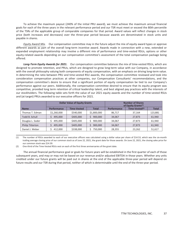To achieve the maximum payout (240% of the initial PRU award), we must achieve the maximum annual financial goals for each of the three years in the relevant performance period and our TSR must meet or exceed the 80th percentile of the TSRs of the applicable group of comparable companies for that period. Award values will reflect changes in stock price (both increases and decreases) over the three-year period because awards are denominated in stock units and payable in shares.

*Equity Award Mix*. Our compensation committee may in the future adjust the mix of equity award types or approve different awards as part of the overall long-term incentive award. Awards made in connection with a new, extended or expanded employment relationship may involve a different mix of performance and time-vested RSUs, options or other equity-related awards depending on our compensation committee's assessment of the total compensation package being offered.

*Long-Term Equity Awards for 2021.* Our compensation committee balances the mix of time-vested RSUs, which are designed to promote retention, and PRUs, which are designed to grow long-term value with our Company, in accordance with the overall philosophy valuing both components of equity compensation, with an emphasis on driving long-term value. In determining the ratio between PRU and time-vested RSU awards, the compensation committee reviewed and took into consideration compensation practices at other companies, our Compensation Consultants' recommendations, and the compensation committee's desire to ensure that a significant portion of equity compensation be tied to our Company's performance against our peers. Additionally, the compensation committee desired to ensure that its equity program was competitive, provided long term retention of critical leadership talent, and best aligned pay practices with the interests of our stockholders. The following table sets forth the value of our 2021 equity awards and the number of time-vested RSUs and (at target) PRUs awarded to our executive officers for 2021.

|                         | <b>Dollar Value of Equity Grants</b> |                    |              | <b>Number of Shares</b><br>of Equity Grants <sup>(1)</sup> |                            |              |  |
|-------------------------|--------------------------------------|--------------------|--------------|------------------------------------------------------------|----------------------------|--------------|--|
| <b>Name</b>             | <b>Performance</b>                   | <b>Time-Vested</b> | <b>Total</b> | <b>Performance</b>                                         | Time-Vested <sup>(2)</sup> | <b>Total</b> |  |
| Thomas T. Edman         | \$1,260,000                          | \$540,000          | \$1,800,000  | 86,717                                                     | 37.164                     | 123,881      |  |
| Todd B. Schull          | 495,000                              | \$405,000          | 900,000<br>S | 34,067                                                     | 27,873                     | 61,940       |  |
| Douglas L. Soder        | 495,000                              | \$405,000          | 900,000      | 34,067                                                     | 27.873                     | 61.940       |  |
| <b>Philip Titterton</b> | 495,000                              | \$405,000          | 900,000      | 34,067                                                     | 27,873                     | 61,940       |  |
| Daniel J. Weber         | 412,000                              | \$338,000          | 750,000      | 28,355                                                     | 23,262                     | 51,617       |  |

<sup>(1)</sup> The number of RSUs awarded to each of our executive officers was calculated using a dollar value per share of \$14.53, which was the six-month trailing average closing price of our common stock as of June 22, 2021, the grant date for those awards. On June 22, 2021, the closing sales price for our common stock was \$14.39.

The annual financial performance goal or goals for future years will be established in the first quarter of each of those subsequent years, and may or may not be based on our revenue and/or adjusted EBITDA in those years. Whether any units credited under our future grants will be paid out in shares at the end of the applicable three-year period will depend on future results and our TSR during that period, neither of which is determinable until the end of the three-year period.

<sup>(2)</sup> One-third of the Time-Vested RSUs vest on each of the first three anniversaries of the grant date.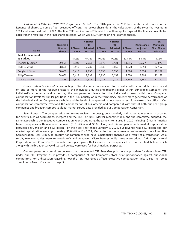*Settlement of PRUs for 2019-2021 Performance Period.* The PRUs granted in 2019 have vested and resulted in the issuance of shares to some of our executive officers. The below charts detail the calculations of the PRUs that vested in 2021 and were paid out in 2022. The final TSR modifier was 63%, which was then applied against the financial results for each tranche resulting in the final shares released, which was 57.3% of the original granted shares.

| <b>Name</b>             | Original #<br>Granted<br><b>Shares</b> | # Shares<br>$'19$ Rev | # Shares<br>'19<br><b>Adjusted</b><br><b>EBITDA</b> | # Shares<br>'20 Rev | # Shares<br>'20<br><b>Adjusted</b><br><b>EBITDA</b> | # Shares<br>$'21$ Rev | # Shares '21<br><b>Adjusted</b><br><b>EBITDA</b> | <b>TSR</b><br><b>Multiplier</b><br><b>Final Shares</b><br><b>Released</b> |
|-------------------------|----------------------------------------|-----------------------|-----------------------------------------------------|---------------------|-----------------------------------------------------|-----------------------|--------------------------------------------------|---------------------------------------------------------------------------|
| % of Achievement        |                                        |                       |                                                     |                     |                                                     |                       |                                                  |                                                                           |
| <b>vs Budget</b>        |                                        | 84.2%                 | 67.4%                                               | 94.4%               | 90.1%                                               | 113.8%                | 95.9%                                            | 57.3%                                                                     |
| Thomas T. Edman         | 99,555                                 | 8,803                 | 7,053                                               | 9,876               | 9,421                                               | 11,896                | 10,027                                           | 57,076                                                                    |
| Todd B. Schull          | 38,666                                 | 3,419                 | 2,739                                               | 3,836               | 3,659                                               | 4,620                 | 3,894                                            | 22,167                                                                    |
| Douglas L. Soder        | 38.666                                 | 3,419                 | 2,739                                               | 3,836               | 3,659                                               | 4,620                 | 3,894                                            | 22,167                                                                    |
| <b>Philip Titterton</b> | 38,666                                 | 3,419                 | 2,739                                               | 3,836               | 3,659                                               | 4,620                 | 3,894                                            | 22,167                                                                    |
| Daniel J. Weber         | 21,333                                 | 1,886                 | 1,511                                               | 2,117               | 2,019                                               | 2,549                 | 2,148                                            | 12,230                                                                    |

*Compensation Levels and Benchmarking*. Overall compensation levels for executive officers are determined based on one or more of the following factors: the individual's duties and responsibilities within our global Company; the individual's experience and expertise; the compensation levels for the individual's peers within our Company; compensation levels for similar positions in the PCB industry or in the technology industry more generally; performance of the individual and our Company as a whole; and the levels of compensation necessary to recruit new executive officers. Our compensation committee reviewed the compensation of our officers and compared it with that of both our peer group companies and broader, composite global market survey data provided by our Compensation Consultant.

*Peer Groups*. The compensation committee reviews the peer groups regularly and makes adjustments to account for events such as acquisitions, mergers and the like. For 2021, Mercer recommended, and the committee adopted, the same approach to our Executive Compensation Peer Group using the same criteria used in 2020 including (i) North America based companies with revenues between \$1.0 billion and \$3.0 billion, and (ii) companies with market capitalization between \$250 million and \$2.5 billion. For the fiscal year ended January 3, 2022, our revenue was \$2.2 billion and our market capitalization was approximately \$1.6 billion. For 2021, Mercer further recommended refinements to our Executive Compensation Peer Group, to account for companies who have substantially changed as a result of a transaction. As a result, two companies were removed: AVX and Advanced Micro Devices while three were added: AAR Corp., Hexcel Corporation, and Crane Co. This resulted in a peer group that included the companies listed on the chart below, which along with the broader survey discussed below, were used for benchmarking purposes.

Our compensation committee believes that the selected TSR Peer Group is more appropriate for determining TSR under our PRU Program as it provides a comparison of our Company's stock price performance against our global competitors. For a discussion regarding how the TSR Peer Group affects executive compensation, please see the "Long Term Equity Awards" section on page 33.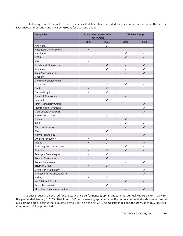The following chart lists each of the companies that have been included by our compensation committee in the Executive Compensation and TSR Peer Groups for 2020 and 2021:

| <b>Companies</b>                 | <b>Executive Compensation</b><br><b>Peer Group</b> |              | <b>TSR Peer Group</b> |              |
|----------------------------------|----------------------------------------------------|--------------|-----------------------|--------------|
|                                  | 2020                                               | 2021         | 2020                  | 2021         |
| AAR Corp.                        |                                                    | ✓            |                       |              |
| <b>Advanced Micro Devices</b>    | $\checkmark$                                       |              |                       |              |
| Amphenol                         |                                                    |              | ✓                     | ✓            |
| AT&S                             |                                                    |              | ✓                     | $\checkmark$ |
| <b>AVX</b>                       | ✓                                                  |              |                       |              |
| <b>Benchmark Electronics</b>     | $\checkmark$                                       | $\checkmark$ | $\checkmark$          | ✓            |
| Celestica                        | ✓                                                  | ✓            | ✓                     | ✓            |
| Chin Poon Industrial             |                                                    |              | ✓                     |              |
| Cobham                           |                                                    |              | ✓                     |              |
| <b>Compeq Manufacturing</b>      |                                                    |              | ✓                     |              |
| Crane Co.                        |                                                    | ✓            | ✓                     | ✓            |
| Cubic                            | $\checkmark$                                       | ✓            |                       |              |
| Curtiss-Wright                   | ✓                                                  | ✓            |                       |              |
| <b>Daeduck Electronics</b>       |                                                    |              | $\checkmark$          |              |
| Fabrinet                         | ✓                                                  | ✓            |                       |              |
| Firan Technology Group           |                                                    |              |                       | $\checkmark$ |
| <b>Flextronics International</b> |                                                    |              | ✓                     | ✓            |
| <b>Gold Circuit Electronics</b>  |                                                    |              | ✓                     | ✓            |
| <b>Hexcel Corporation</b>        |                                                    | ✓            |                       |              |
| Ibiden                           |                                                    |              | $\checkmark$          |              |
| Jabil                            |                                                    |              | ✓                     | ✓            |
| <b>Mercury Systems</b>           |                                                    |              | ✓                     | $\checkmark$ |
| Moog                             | ✓                                                  | ✓            |                       |              |
| Nanya Technology                 |                                                    |              | $\checkmark$          | ✓            |
| ON Semiconductor                 | ✓                                                  | ✓            |                       |              |
| Plexus                           | ✓                                                  | ✓            | $\checkmark$          | ✓            |
| Samsung Electro-Mechanics        |                                                    |              | ✓                     | ✓            |
| Sanmina                          | $\checkmark$                                       | $\checkmark$ | ✓                     | ✓            |
| Teledyne Technologies            | ✓                                                  | ✓            |                       |              |
| <b>Trimble Navigation</b>        | ✓                                                  | ✓            |                       |              |
| <b>Tripod Technology</b>         |                                                    |              | ✓                     | ✓            |
| Triumph Group                    | $\checkmark$                                       | $\checkmark$ |                       |              |
| <b>Unimicron Technology</b>      |                                                    |              | ✓                     | ✓            |
| Unitech Printed Circuit Board    |                                                    |              | $\checkmark$          | ✓            |
| Vishay                           | ✓                                                  | $\checkmark$ |                       |              |
| <b>WUS Printed Circuit</b>       |                                                    |              | $\checkmark$          | ✓            |
| Zebra Technologies               | ✓                                                  | ✓            |                       |              |
| Zhen Ding Technology Holding     |                                                    |              | $\checkmark$          | $\checkmark$ |

The peer groups are not used for the stock price performance graph included in our Annual Report on Form 10-K for the year ended January 3, 2022. That Form 10-K performance graph compares the cumulative total stockholder return on our common stock against the cumulative total return on the NASDAQ Composite Index and the Dow Jones U.S. Electrical Components & Equipment Index.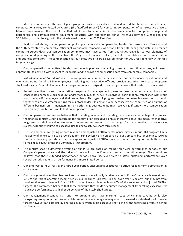Mercer recommended the use of peer group data (where available) combined with data obtained from a broader compensation survey conducted by Radford (the "Radford Survey") for comparing compensation of our executive officers. Mercer recommended the use of the Radford Survey for companies in the semiconductor, computer storage and peripherals, and communications equipment industries with approximate annual revenues between \$1.0 billion and \$3.0 billion, in order to align with the criteria used to select our 2021 Peer Group.

As discussed above, our compensation philosophy targets the compensation levels of our executive officers around the 50th percentile of comparable officers at comparable companies, as derived from both peer group data and broader composite survey data. Our compensation committee may have varied from this target range for various elements of compensation depending on the executive officer's job performance, skill set, level of responsibilities, prior compensation and business conditions. The compensation for our executive officers discussed herein for 2021 falls generally within this targeted range.

Our compensation committee intends to continue its practice of retaining consultants from time to time, as it deems appropriate, to advise it with respect to its policies and to provide compensation data from comparable companies.

*Risk Management Considerations*. Our compensation committee believes that our performance-based bonus and equity programs for all eligible employees, including our executive officers, provide incentives to create long-term stockholder value. Several elements of the programs are also designed to discourage behavior that leads to excessive risk:

- Annual incentive bonus compensation programs for management personnel are based on a combination of consolidated company, business unit and/or facility results, as well as individual goals that are established with input from the specific employee and their supervisors. This type of program design motivates business units to work together to achieve greater returns for our stockholders. In any one year, because we are comprised of a number of different business units, managers in high-performing business units may receive significantly more compensation than managers in business units that do not perform as well.
- Our compensation committee believes that operating income and operating cash flow as a percentage of revenues, the financial metrics used to determine the amount of an executive's annual incentive bonus, are measures that drive long-term stockholder value. Moreover, the committee attempts to set ranges for these metrics that encourage success without encouraging excessive risk taking to achieve short-term results.
- The use and equal weighting of both revenue and adjusted EBITDA performance metrics in our PRU program limits the ability of an executive to be rewarded for taking excessive risk on behalf of our Company by, for example, seeking revenue-enhancing opportunities at the expense of adjusted EBITDA, since performance is required on both metrics to maximize payout under the Company's PRU program.
- The metrics used to determine vesting of our PRUs are based on rolling three-year performance periods of our Company's performance and the price of the stock of the Company over a six-month average. The committee believes that these extended performance periods encourage executives to attain sustained performance over several periods, rather than performance in a more limited period.
- Our time-vested RSUs vest over a three-year period, encouraging executives to strive for long-term appreciation in equity values.
- Our management incentive plan provides that executives will only receive payments if the Company achieves at least 60% of the target operating income set by our Board of Directors in any given year. Similarly, our PRU program provides that executives will "bank" PRU shares if we achieve at least 60% of the revenue and adjusted EBITDA targets. The committee believes that these minimum thresholds discourage management from taking excessive risk to achieve performance at a higher percentage of the established target.
- Our management incentive plan and PRU program both have maximum caps which limit payouts while also recognizing exceptional performance. Maximum caps encourage management to exceed established performance targets however mitigate risk by limiting payouts which avoid excessive risk-taking or the sacrificing of future period performance.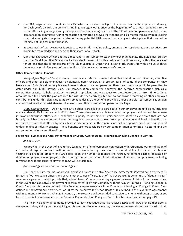- Our PRU program uses a modifier of our TSR which is based on stock price fluctuations over a three-year period (using for each year's awards the six-month trailing average closing price of the beginning of each year compared to the six-month trailing average closing sales price three years later) relative to the TSR of peer companies selected by our compensation committee. Our compensation committee believes that the use of a six-month trailing average closing stock price mitigates the potential risks of basing potential PRU payments on changes in stock prices that may not be reflective of long-term performance.
- Because each of our executives is subject to our insider trading policy, among other restrictions, our executives are prohibited from pledging and hedging their shares of our stock.
- Our Chief Executive Officer and his direct reports are subject to stock ownership guidelines. The guidelines provide that the Chief Executive Officer shall attain stock ownership with a value of five times salary within five years of tenure and that the direct reports of the Chief Executive Officer shall attain stock ownership with a value of three times salary within five years of the adoption of the policy or the executive's tenure.

#### **Other Compensation Elements**

*Nonqualified Deferred Compensation*. We have a deferred compensation plan that allows our directors, executive officers and other eligible employees to voluntarily defer receipt, on a pre-tax basis, of some of the compensation they have earned. This plan allows eligible employees to defer more compensation than they otherwise would be permitted to defer under our 401(k) savings plan. Our compensation committee approved the deferred compensation plan as a competitive practice to help us attract and retain top talent, and we expect to re-evaluate the plan from time to time. Amounts credited under the plan are credited with deemed earnings, but we do not provide matching or other employer contributions under this plan. Due to its conservative design, the benefits provided under our deferred compensation plan are not considered a material element of an executive officer's overall compensation package.

*Other Compensation*. All of our executive officers are eligible to participate in our employee benefit plans, including medical, dental, life insurance, and 401(k) plans. These plans are available to all of our employees and do not discriminate in favor of executive officers. It is generally our policy to not extend significant perquisites to executives that are not broadly available to our other employees. In designing these elements, we seek to provide an overall level of benefits that is competitive with that offered by similarly situated companies in the markets in which we operate based upon our general understanding of industry practice. These benefits are not considered by our compensation committee in determining the compensation of our executive officers.

#### **Severance Payments and Accelerated Vesting of Equity Awards Upon Termination and/or a Change in Control.**

### *All Employees.*

We provide, in the event of a voluntary termination of employment in connection with retirement, our termination of a retirement-eligible employee without cause, or termination by reason of death or disability, for the acceleration of vesting of a pro-rated amount of RSUs based upon the number of months the retired, retirement-eligible, deceased or disabled employee was employed with us during the vesting period. In all other terminations of employment, including termination without cause, all unvested RSUs will be forfeited.

### *Executive Officers and Certain Senior Officers.*

Our Board of Directors has approved Executive Change in Control Severance Agreements ("Severance Agreements") for each of our executive officers and several other senior officers. Each of the Severance Agreements are "double trigger" severance agreements which provide that, subject to our Company receiving a general release of claims from the executive, in the event the executive's employment is terminated (i) by our Company without "Cause" during a "Pending Change in Control" (as such terms are defined in the Severance Agreement) or within 12 months following a "Change in Control" (as defined in the Severance Agreement) or (ii) by the executive for "Good Reason" (as defined in the Severance Agreement) within 12 months following a Change in Control, the executive will be entitled to receive payments without gross-ups as set forth in the disclosure provided on the Potential Payments Upon Change in Control or Termination chart on page 49.

The incentive equity agreements provided to each executive that has received RSUs and PRUs provide that upon a change in control, so long as the acquiring entity assumes the equity awards, the executives would continue to vest in their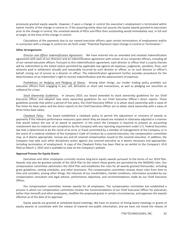previously granted equity awards. However, if upon a change in control the executive's employment is terminated within twelve months of the change in control or, if the acquiring entity does not assume the equity awards granted to executives prior to the change in control, the unvested awards of RSUs and PRUs then outstanding would immediately vest, in full and at target, at the time of the change in control.

Calculations of the payments due to our named executive officers upon certain terminations of employment and/or in connection with a change in control are set forth under "Potential Payments Upon Change in Control or Termination."

#### **Other Arrangements**

*Director and Officer Indemnification Agreement.* We have entered into an amended and restated indemnification agreement with each of our directors and an indemnification agreement with certain of our corporate officers, including all of our named executive officers. Pursuant to this indemnification agreement, each director or officer that is a party thereto will be indemnified to the fullest extent permitted by applicable law against all expenses, judgments, penalties, fines, and amounts paid in settlement actually and reasonably incurred by such director or officer, or on such director or officer's behalf, arising out of service as a director or officer. The indemnification agreement further provides procedures for the determination of an indemnitee's right to receive indemnification and the advancement of expenses.

*Prohibitions on Hedging and Pledging of Shares*. Among other things, our insider trading policy prohibits our executive officers from engaging in put, call, derivative or short sale transactions, as well as pledging our securities as collateral for a loan.

*Stock Ownership Guidelines*. In January 2019, our board amended its stock ownership guidelines for our Chief Executive Officer and adopted new stock ownership guidelines for our Chief Executive Officer's direct reports. Those guidelines provide that within a period of five years, the Chief Executive Officer is to attain stock ownership with a value of five times his base salary and the direct reports to the Chief Executive Officer are to attain stock ownership with a value of three times base salary.

*Clawback Policy*. Our board established a clawback policy to permit the adjustment or recovery of awards or payments if the relevant performance measures upon which they are based are restated or otherwise adjusted in a manner that would reduce the size of an award or payment. In the event the Company is required to prepare an accounting restatement due to material non-compliance by the Company with any reporting requirement under U.S. Federal Securities law that is determined to be the result of an error or fraud committed by a member of management of the Company, or in the event of a material violation of the Company's Code of Conduct by a covered executive, the compensation committee may, as it deems appropriate, recoup any and all covered compensation issued to the covered executive. In addition, the Company may take such other disciplinary action against any covered executive as it deems necessary and appropriate, including termination of employment. A copy of the Clawback Policy has been filed as an exhibit to the Company's 10-K filed on March 1, 2022 and is available to view on the Company's website.

#### **Approval Process for Equity Grants**

Executives and other employees currently receive long-term equity awards pursuant to the terms of our 2014 Plan. Awards may also be granted outside of the 2014 Plan to the extent those grants are permitted by the NASDAQ rules. Our compensation committee administers the 2014 Plan and establishes the rules for all awards granted thereunder, including grant guidelines, vesting schedules, and other provisions. The compensation committee reviews these rules from time to time and considers, among other things, the interests of our stockholders, market conditions, information provided by our compensation consultant and legal advisor, performance objectives, and recommendations made by our Chief Executive Officer.

Our compensation committee reviews awards for all employees. The compensation committee has established a process in which our compensation committee reviews the recommendations of our Chief Executive Officer for executives (other than himself) and other employees, modifies the proposed grants in certain circumstances, and approves the awards effective as of the date of its approval.

Equity awards are granted at scheduled board meetings. We have no practice of timing board meetings or grants of equity awards to coordinate with the release of material non-public information, and we have not timed the release of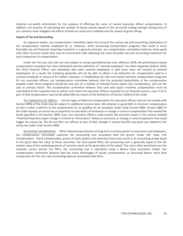material non-public information for the purpose of affecting the value of named executive officer compensation. In addition, our practice of calculating the number of equity awards based on the six-month trailing average closing price of our common stock mitigates the effects of both our stock price volatility and the impact of grant timing.

#### **Impact of Tax and Accounting**

As a general matter, our compensation committee takes into account the various tax and accounting implications of the compensation vehicles employed by us. However, while structuring compensation programs that result in more favorable tax and financial reporting treatment is a general principle, our compensation committee balances these goals with other business needs that may be inconsistent with obtaining the most favorable tax and accounting treatment for each component of compensation.

Under the Tax Cuts and Jobs Act and subject to certain grandfathering rules, effective 2018, the performance-based compensation exception has been eliminated and the definition of "covered employee" has been expanded (before 2018, the Chief Financial Officer and individuals who were covered employees in past years were not treated as covered employees). As a result, the Company generally will not be able to obtain a tax deduction for compensation paid to a covered employee in excess of \$1 million. However, in establishing the cash and equity incentive compensation programs for our executive officers, our compensation committee believes that the potential deductibility of the compensation payable under those programs should be only one of a number of relevant factors taken into consideration, and not the sole or primary factor. The compensation committee believes that cash and equity incentive compensation must be maintained at the requisite level to attract and retain the executive officers essential to our financial success, even if all or part of that compensation may not be deductible by reason of the limitations of Section 162(m) of the Code.

*Tax Implications for Officers*. Certain types of deferred compensation for executive officers that do not comply with Section 409A of the Code may be subject to additional income taxes. We attempt in good faith to structure compensation so that it either conforms to the requirements of, or qualifies for an exception under Code Section 409A. Section 280G of the Code imposes an excise tax on payments to executives of severance or change in control compensation that exceed the levels specified in the Section 280G rules. Our executive officers could receive the amounts shown in the section entitled "Potential Payments Upon Change in Control or Termination" below as severance or change in control payments that could trigger this excise tax. We do not offer our officers as part of their change in control benefits any gross ups related to this excise tax under Code Section 4999.

*Accounting Considerations*. When determining amounts of long-term incentive grants to executives and employees, our compensation committee examines the accounting cost associated with the grants. Under ASC Topic 718, Compensation – Stock Compensation, grants of stock options and restricted stock units result in an accounting charge equal to the grant date fair value of those securities. For time-vested RSUs, the accounting cost is generally equal to the fair market value of the underlying shares of common stock on the grant date of the award. The cost is then amortized over the requisite service period. For PRUs, the accounting cost is calculated using a Monte Carlo simulation model. Our compensation committee believes that the many advantages of equity compensation, as discussed above, more than compensate for the non-cash accounting expense associated with them.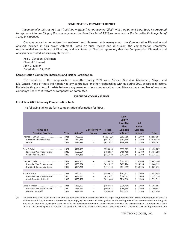#### **COMPENSATION COMMITTEE REPORT**

<span id="page-48-0"></span>*The material in this report is not "soliciting material", is not deemed "filed" with the SEC, and is not to be incorporated by reference into any filing of the company under the Securities Act of 1933, as amended, or the Securities Exchange Act of 1934, as amended.*

Our compensation committee has reviewed and discussed with management the Compensation Discussion and Analysis included in this proxy statement. Based on such review and discussion, the compensation committee recommended to our Board of Directors, and our Board of Directors approved, that the Compensation Discussion and Analysis be included in this proxy statement.

Rex D. Geveden, Chairman Chantel E. Lenard John G. Mayer Dated March 23, 2022

#### **Compensation Committee Interlocks and Insider Participation**

The members of the compensation committee during 2021 were Messrs. Geveden, (chairman), Mayer, and Ms. Lenard. None of these individuals had any contractual or other relationships with us during 2021 except as directors. No interlocking relationship exists between any member of our compensation committee and any member of any other company's Board of Directors or compensation committee.

#### **EXECUTIVE COMPENSATION**

#### <span id="page-48-2"></span><span id="page-48-1"></span>**Fiscal Year 2021 Summary Compensation Table**

The following table sets forth compensation information for NEOs.

| Name and<br><b>Principal Position</b>               | Year | Salary <sup>(6)</sup> | <b>Discretionary</b><br><b>Bonus</b> | <b>Stock</b><br>Awards $(1)$ | Non-<br><b>Equity</b><br>Incentive<br>Plan<br>Compen-<br>sation $(2)$ | <b>All</b><br><b>Other</b><br>Compen-<br>sation $(3)$ | <b>Total</b> |
|-----------------------------------------------------|------|-----------------------|--------------------------------------|------------------------------|-----------------------------------------------------------------------|-------------------------------------------------------|--------------|
| Thomas T. Edman                                     | 2021 | \$762,500             | $\overline{\phantom{a}}$             | \$1,017,226                  | \$803,758                                                             | \$11,600                                              | \$2,595,084  |
| President, Chief Executive                          | 2020 | \$752,885             | --                                   | \$861,985                    | \$983,869                                                             | \$11,400                                              | \$2,610,139  |
| Officer                                             | 2019 | \$711,539             | $\overline{\phantom{a}}$             | \$677,017                    | \$556,386                                                             | \$11,200                                              | \$1,956,142  |
| Todd B. Schull $\ldots \ldots \ldots \ldots \ldots$ | 2021 | \$492,500             | $\overline{\phantom{a}}$             | \$590,618                    | \$335,989                                                             | \$11,600                                              | \$1,430,707  |
| <b>Executive Vice President and</b>                 | 2020 | \$503,654             | --                                   | \$492,837                    | \$408,499                                                             | \$11,400                                              | \$1,416,390  |
| <b>Chief Financial Officer</b>                      | 2019 | \$474,231             | --                                   | \$411,440                    | \$241,340                                                             | \$11,200                                              | \$1,138,211  |
|                                                     | 2021 | \$492,500             | $\overline{a}$                       | \$590,618                    | \$509,762                                                             | \$292,860                                             | \$1,885,740  |
| <b>Executive Vice President and</b>                 | 2020 | \$503,654             | --                                   | \$492.837                    | \$423,226                                                             | \$224.395                                             | \$1,644,112  |
| <b>President Commercial Sector</b>                  | 2019 | \$474,231             | $\overline{\phantom{m}}$             | \$411,440                    | \$174,995                                                             | \$769,106                                             | \$1,829,772  |
| Philip Titterton                                    | 2021 | \$440,000             | $-$                                  | \$590.618                    | \$291.121                                                             | \$11,600                                              | \$1,333,339  |
| <b>Executive Vice President and</b>                 | 2020 | \$394,690             | --                                   | \$492.837                    | \$300,649                                                             | \$11,400                                              | \$1,199,576  |
| Chief Operating Officer <sup>(4)</sup>              | 2019 | \$358,461             | $\qquad \qquad -$                    | \$411,440                    | \$214,810                                                             | \$11,200                                              | \$995,911    |
|                                                     | 2021 | \$425,000             | $-$                                  | \$492,488                    | \$236,496                                                             | \$11,600                                              | \$1,165,584  |
| <b>Executive Vice President and</b>                 | 2020 | \$425,769             | $-$                                  | \$402,983                    | \$260,530                                                             | \$11,400                                              | \$1,100,682  |
| General Counsel <sup>(5)</sup>                      | 2019 | \$399,231             | --                                   | \$265,880                    | \$152,619                                                             | \$11,200                                              | \$828,930    |

(1) The grant date fair value of all stock awards has been calculated in accordance with ASC Topic 718, Compensation - Stock Compensation. In the case of time-based RSUs, the value is determined by multiplying the number of RSUs granted by the closing price of our common stock on the grant date. In the case of PRUs, the grant date fair value can only be determined for those tranches for which the revenue and EBITDA targets have been set as of the reporting date. As a result, the grant date fair value of PRUs is calculated using only the first tranche of each award; the second and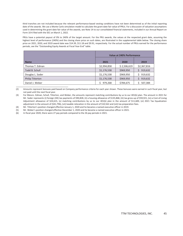third tranches are not included because the relevant performance-based vesting conditions have not been determined as of the initial reporting date of the awards. We use a Monte Carlo simulation model to calculate the grant date fair value of PRUs. For a discussion of valuation assumptions used in determining the grant date fair value of the awards, see Note 14 to our consolidated financial statements, included in our Annual Report on Form 10-K filed with the SEC on March 1, 2022.

PRUs have a potential payout of 0% to 240% of the target amount. For the PRU awards, the values at the respected grant date, assuming the highest level of performance (240%) and the closing share price on such dates, are illustrated in the supplemental table below. The closing share price on 2021, 2020, and 2019 award date was \$14.39, \$11.18 and \$9.91, respectively. For the actual number of PRUs earned for the performance periods, see the "Outstanding Equity Awards at Fiscal Year-End" table.

|                         | <b>Value at 240% Performance</b> |             |               |  |  |
|-------------------------|----------------------------------|-------------|---------------|--|--|
| <b>Name</b>             | 2021                             | 2020        | 2019          |  |  |
| Thomas T. Edman         | \$2,994,858                      | \$2,506,619 | \$2,367,816   |  |  |
| Todd B. Schull          | \$1,176,538                      | \$969,950   | 919,632<br>\$ |  |  |
| Douglas L. Soder        | \$1,176,538                      | \$969,950   | 919,632<br>S. |  |  |
| <b>Philip Titterton</b> | \$1,176,538                      | \$969,950   | 919,632<br>Ś. |  |  |
| Daniel J. Weber         | 979,268<br>Ś                     | \$784,675   | 507,384<br>Ś. |  |  |

(2) Amounts represent bonuses paid based on Company performance criteria for each year shown. These bonuses were earned in such fiscal year, but not paid until the next fiscal year.

(3) For Messrs. Edman, Schull, Titterton, and Weber, the amounts represent matching contributions by us to our 401(k) plan. The amount in 2021 for Mr. Soder represents (i) foreign (HK) tax payments of \$90,828, (ii) a housing allowance of \$135,868, (iii) tax gross-up of \$59,921, (iv) a Cost-of-Living Adjustment allowance of \$24,615, (v) matching contributions by us to our 401(k) plan in the amount of \$11,600, (vi) 2021 Tax Equalization adjustment in the amount of (\$41,796), (vii) taxable relocation in the amount of \$10,562 and (viii) tax preparation fees.

(4) Mr. Titterton's position changed effective January 1, 2020 and he became a named executive officer in 2019.

(5) Mr. Weber's position changed effective December 1, 2020 and he became a named executive officer in 2021.

(6) In fiscal year 2020, there were 27 pay periods compared to the 26 pay periods in 2021.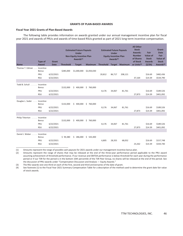#### **GRANTS OF PLAN-BASED AWARDS**

#### <span id="page-50-1"></span><span id="page-50-0"></span>**Fiscal Year 2021 Grants of Plan-Based Awards**

The following table provides information on awards granted under our annual management incentive plan for fiscal year 2021 and awards of PRUs and awards of time-based RSUs granted as part of 2021 long-term incentive compensation.

|                            | <b>Type of</b>                                 | Grant                  | <b>Estimated Future Payouts</b><br><b>Under</b><br><b>Non-Equity Incentive Plan</b><br>Awards <sup>(1)</sup> |               | <b>Estimated Future Payouts</b><br><b>Under</b><br><b>Equity Incentive Plan</b><br>Awards <sup>(2)</sup> |        |        | <b>All Other</b><br><b>Stock</b><br>Awards:<br><b>Number</b><br>of Shares<br>of Stock | Fair<br><b>Value of</b><br><b>Stock</b><br><b>Awards</b> | Grant-<br><b>Date</b><br>Fair<br><b>Value of</b><br><b>Stock</b> |                        |
|----------------------------|------------------------------------------------|------------------------|--------------------------------------------------------------------------------------------------------------|---------------|----------------------------------------------------------------------------------------------------------|--------|--------|---------------------------------------------------------------------------------------|----------------------------------------------------------|------------------------------------------------------------------|------------------------|
| <b>Name</b>                | <b>Award</b>                                   | <b>Date</b>            | <b>Threshold</b>                                                                                             | <b>Target</b> | <b>Maximum</b>                                                                                           |        |        | <b>Threshold Target Maximum</b>                                                       | or Units(3)                                              | (S/Sh)                                                           | Awards <sup>(4)</sup>  |
| Thomas T. Edman            | Incentive<br><b>Bonus</b><br>PRU<br><b>RSU</b> | 6/22/2021              | \$285,000                                                                                                    | \$1,000,000   | \$2,050,030                                                                                              | 20,812 | 86,717 | 208,121                                                                               |                                                          | \$16.69<br>\$14.39                                               | \$482,436              |
|                            |                                                | 6/22/2021              |                                                                                                              |               |                                                                                                          |        |        |                                                                                       | 37,164                                                   |                                                                  | \$534,790              |
| Todd B. Schull             | Incentive<br><b>Bonus</b><br>PRU<br><b>RSU</b> | 6/22/2021<br>6/22/2021 | \$132,000                                                                                                    | \$400,000     | \$760,000                                                                                                | 8,176  | 34,067 | 81,761                                                                                | 27,873                                                   | \$16.69<br>\$14.39                                               | \$189,526<br>\$401,092 |
| Douglas L. Soder Incentive | <b>Bonus</b><br>PRU<br><b>RSU</b>              | 6/22/2021<br>6/22/2021 | \$132,000                                                                                                    | \$400,000     | \$760,000                                                                                                | 8,176  | 34,067 | 81,761                                                                                | 27,873                                                   | \$16.69<br>\$14.39                                               | \$189,526<br>\$401,092 |
|                            |                                                |                        |                                                                                                              |               |                                                                                                          |        |        |                                                                                       |                                                          |                                                                  |                        |
| Philip Titterton           | Incentive<br><b>Bonus</b><br>PRU<br><b>RSU</b> | 6/22/2021<br>6/22/2021 | \$132,000                                                                                                    | \$400,000     | \$760,000                                                                                                | 8,176  | 34,067 | 81,761                                                                                | 27,873                                                   | \$16.69<br>\$14.39                                               | \$189,526<br>\$401,092 |
|                            |                                                |                        |                                                                                                              |               |                                                                                                          |        |        |                                                                                       |                                                          |                                                                  |                        |
| Daniel J. Weber            | Incentive<br><b>Bonus</b><br>PRU<br><b>RSU</b> | 6/22/2021<br>6/22/2021 | \$94,380                                                                                                     | \$286,000     | \$543,400                                                                                                | 6,805  | 28,355 | 68,052                                                                                | 23,262                                                   | \$16.69<br>\$14.39                                               | \$157,748<br>\$334,740 |

(1) Amounts represent the range of possible cash payouts for 2021 awards under our management incentive bonus plan.

(2) Amounts represent the range of shares that may be released at the end of the three-year performance period applicable to the PRU award assuming achievement of threshold performance. If our revenue and EBITDA performance is below threshold for each year during the performance period or if our TSR for the period is in the bottom 10th percentile of the TSR Peer Group, no shares will be released at the end of the period. See the discussion of PRU awards under "Compensation Discussion and Analysis — Equity Awards."

(3) The RSU awards vest one-third on each of the first, second and third anniversaries of the date of grant.

(4) See footnote (1) to the Fiscal Year 2021 Summary Compensation Table for a description of the method used to determine the grant date fair value of stock awards.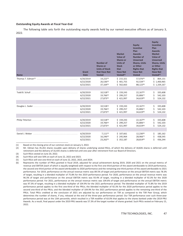#### <span id="page-51-0"></span>**Outstanding Equity Awards at Fiscal Year-End**

The following table sets forth the outstanding equity awards held by our named executive officers as of January 3, 2022.

| <b>Name</b>     | Grant<br><b>Date</b>                | <b>Number of</b><br><b>Shares or</b><br><b>Units of Stock</b><br>that Have Not<br><b>Vested</b> | <b>Market</b><br>Value of<br><b>Shares or</b><br><b>Units of</b><br><b>Stock</b><br>that<br><b>Have Not</b><br>Vested <sup>(1)</sup> | <b>Equity</b><br>Incentive<br>Plan<br><b>Awards:</b><br><b>Number of</b><br><b>Unearned</b><br><b>Shares, Units</b><br>or Other<br><b>Rights that</b><br><b>Have Not</b><br><b>Vested</b> | <b>Equity</b><br><b>Incentive</b><br>Plan<br><b>Awards:</b><br><b>Market</b><br><b>Value of</b><br><b>Unearned</b><br><b>Shares, Units</b><br>or Other<br><b>Rights that</b><br><b>Have Not</b><br>Vested <sup>(1)</sup> |
|-----------------|-------------------------------------|-------------------------------------------------------------------------------------------------|--------------------------------------------------------------------------------------------------------------------------------------|-------------------------------------------------------------------------------------------------------------------------------------------------------------------------------------------|--------------------------------------------------------------------------------------------------------------------------------------------------------------------------------------------------------------------------|
|                 | 6/20/2019<br>6/22/2020<br>6/22/2021 | $14,222^{(3)}$<br>$26,536^{(4)}$<br>$37,164^{(5)}$                                              | \$215,321<br>\$401,755<br>\$562,663                                                                                                  | 57,076(6)<br>$92,534^{(7)}$<br>88,122(8)                                                                                                                                                  | 864,131<br>Ś.<br>\$1,400,965<br>\$1,334,167                                                                                                                                                                              |
|                 | 6/20/2019<br>6/22/2020<br>6/22/2021 | $10,518^{(3)}$<br>19,766(4)<br>27,873(5)                                                        | \$159,243<br>\$299,257<br>\$421,997                                                                                                  | $22,167^{(6)}$<br>35,806(7)<br>34,619(8)                                                                                                                                                  | \$<br>335,608<br>\$<br>542,103<br>Ś<br>524,132                                                                                                                                                                           |
|                 | 6/20/2019<br>6/22/2020<br>6/22/2021 | $10,518^{(3)}$<br>19,766(4)<br>$27,873^{(5)}$                                                   | \$159,243<br>\$299,257<br>\$421,997                                                                                                  | 22, 167(6)<br>35,806(7)<br>34,619(8)                                                                                                                                                      | 335,608<br>\$<br>\$<br>542,103<br>Ś.<br>524,132                                                                                                                                                                          |
|                 | 6/20/2019<br>6/22/2020<br>6/22/2021 | $10,518^{(3)}$<br>19,766 <sup>(4)</sup><br>27,873(5)                                            | \$159,243<br>\$299,257<br>\$421,997                                                                                                  | 22,167(6)<br>35,806(7)<br>34,619(8)                                                                                                                                                       | \$<br>335,608<br>\$<br>542,103<br>\$<br>524,132                                                                                                                                                                          |
| Daniel J. Weber | 6/20/2019<br>6/22/2020<br>6/22/2021 | $7,111^{(3)}$<br>16,246(4)<br>$23,262^{(5)}$                                                    | \$107,661<br>\$245,964<br>\$352,187                                                                                                  | 12,230(6)<br>28,966(7)<br>28.814(8)                                                                                                                                                       | \$<br>185,162<br>\$<br>438,545<br>Ś<br>436,244                                                                                                                                                                           |

(1) Based on the closing price of our common stock on January 3, 2022.

(2) Mr. Edman has 35,261 shares issuable upon delivery of shares underlying vested RSUs, of which the delivery of 18,826 shares is deferred until retirement and the delivery of 16,435 shares is deferred until one year after retirement from our Board of Directors.

(3) Such RSUs vested on June 20, 2022.

(4) Such RSUs will vest 50% on each of June 22, 2022 and 2023.

(5) Such RSUs will vest one-third on each of June 22, 2022, 2023, and 2024.

<sup>(6)</sup> Represents the number of PRUs granted in fiscal 2019, adjusted for actual achievement during 2019, 2020 and 2021 on the annual metrics of revenue and EBITDA (each of which is equally weighted) with respect to the first one-third portion of the award attributable to 2019 performance, the second one-third portion of the award attributable to 2020 performance and the remaining one-third portion of the award attributable to 2021 performance. For 2019, performance on the annual revenue metric was 89.5% of target and performance on the annual EBITDA metric was 78.3% of target, resulting in a blended multiplier of 75.8% for the 2019 performance period. For 2020, performance on the annual revenue metric was 96.3% of target and performance on the annual EBITDA metric was 93.4% of target, resulting in a blended multiplier of 92.3% for the 2020 performance period. For 2021, performance on the annual revenue metric was 104.6% of target and performance on the annual EBITDA metric was 97.3% of target, resulting in a blended multiplier of 104.9% for the 2021 performance period. The blended multiplier of 75.8% for the 2019 performance period applies to the first one-third of the PRUs; the blended multiplier of 92.3% for the 2020 performance period applies to the second one-third of the PRUs; and the blended multiplier of 104.9% for the 2021 performance period applies to the remaining one-third of the PRUs. Total PRUs credited at the conclusion of 2021 are adjusted by our performance on TSR as compared to the TSR Peer Group, which determines the number of shares, if any, released at the end of the three-year performance period. Our TSR performance over such three-year performance period was at the 13th percentile, which resulted in a TSR modifier of 63.0% that applies to the shares banked under the 2019 PRU Awards. As a result, final payout under the 2019 PRU awards was 57.3% of the target number of shares granted. Such PRUs vested on February 15, 2022.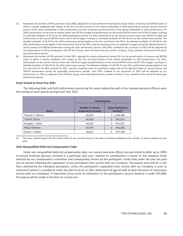- (7) Represents the number of PRUs granted in fiscal 2020, adjusted for actual achievement during the annual metrics of revenue and EBITDA (each of which is equally weighted) with respect to the first one-third portion of the award attributable to 2020 performance and the second one-third portion of the award attributable to 2021 performance and the remaining one-third portion of the award attributable to 2022 performance. For 2020, performance on the annual revenue metric was 96.3% of target and performance on the annual EBITDA metric was 93.4% of target, resulting in a blended multiplier of 92.3% for the 2020 performance period. For 2021, performance on the annual revenue metric was 104.6% of target and performance on the annual EBITDA metric was 97.3% of target, resulting in a blended multiplier of 104.9% for the 2021 performance period. The blended multiplier of 92.3% for the 2020 performance period applies to the first one-third of the PRUs; the blended multiplier of 104.9% for the 2021 performance period applies to the second one-third of the PRUs; and the remaining units are reported at target and will be adjusted based on actual revenue and EBITDA performance during the 2022 performance period. Total PRUs credited at the conclusion of 2022 will be adjusted by our performance on TSR as compared to the TSR Peer Group, which will determine the number of shares, if any, released at the end of the threeyear performance period.
- (8) Represents the number of PRUs granted in fiscal 2021, adjusted for actual achievement during 2021 on the annual metrics of revenue and EBITDA (each of which is equally weighted) with respect to the first one-third portion of the award attributable to 2021 performance. For 2021, performance on the annual revenue metric was 104.6% of target and performance on the annual EBITDA metric was 97.3% of target, resulting in a blended multiplier of 104.9% for the 2021 performance period. The blended multiplier of 104.9% for the 2021 performance period applies to the first one-third of the PRUs granted for 2021; and the remaining units are reported at target and will be adjusted based on actual revenue and EBITDA performance during the applicable performance periods. Total PRUs credited at the conclusion of 2023 will be adjusted by our performance on TSR as compared to the TSR Peer Group, which will determine the number of shares, if any, released at the end of the three-year performance period.

#### <span id="page-52-0"></span>**Stock Vested In Fiscal Year 2021**

The following table sets forth information concerning the value realized by each of our named executive officers upon the vesting of stock awards during Fiscal Year 2021.

|                         | <b>Stock Awards</b>                                   |                                              |  |  |  |  |
|-------------------------|-------------------------------------------------------|----------------------------------------------|--|--|--|--|
| <b>Name</b>             | <b>Number of Shares</b><br><b>Acquired on Vesting</b> | <b>Value Realized on</b><br>$V$ esting $(1)$ |  |  |  |  |
| Thomas T. Edman         | 81,879                                                | \$1,186,188                                  |  |  |  |  |
| Todd B. Schull          | 44,302                                                | 641,911                                      |  |  |  |  |
| Douglas L. Soder        | 44,302                                                | 641,911                                      |  |  |  |  |
| <b>Philip Titterton</b> | 33,979                                                | 492,305                                      |  |  |  |  |
| Daniel J. Weber         | 28,812                                                | 417,338                                      |  |  |  |  |

(1) The value realized equals the fair market value of our common stock on the date of vesting multiplied by the number of shares released on vest date.

#### <span id="page-52-1"></span>**2021 Nonqualified Deferred Compensation Table**

Under our nonqualified deferred compensation plan, our named executive officers are permitted to defer up to 100% of annual incentive bonuses received in a particular plan year. Interest on contributions is based on the valuation funds selected by our compensation committee and subsequently chosen by the participant. Funds held under the plan are paid out six months following the separation of any participant from service with our Company. The payout term will be in the form selected by the individual participant, unless the participant's separation from service with our Company is prior to retirement (which is considered under the plan to be on or after attainment of age 62 with at least five years of continuous service with our Company). If separation occurs prior to retirement or the participant's account balance is under \$25,000, the payout will be made in the form of a lump sum.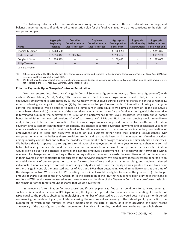The following table sets forth information concerning our named executive officers' contributions, earnings, and balances under our nonqualified deferred compensation plan for the fiscal year 2021. We do not contribute to the deferred compensation plan.

| <b>Name</b>             | Aggregate<br><b>Beginning</b><br><b>Balance</b> | <b>Executive</b><br><b>Contributions in</b><br>Last Fiscal Year <sup>(1)</sup> | <b>Employer</b><br><b>Contributions in</b><br><b>Last Fiscal Year</b> | Aggregate<br><b>Earnings in Last</b><br>Fiscal Year <sup>(2)</sup> | Aggregate<br>Withdrawals/<br><b>Distributions</b> | Aggregate<br><b>Balance in Last</b><br><b>Fiscal Year End</b> |
|-------------------------|-------------------------------------------------|--------------------------------------------------------------------------------|-----------------------------------------------------------------------|--------------------------------------------------------------------|---------------------------------------------------|---------------------------------------------------------------|
| Thomas T. Edman         | \$2,268,660                                     | $-$                                                                            | --                                                                    | \$ (26,823)                                                        | $\overline{\phantom{m}}$                          | \$2,241,837                                                   |
| Todd B. Schull          | \$2,894,442                                     | \$306,374                                                                      | --                                                                    | \$786,412                                                          | $\qquad \qquad -$                                 | \$3,987,228                                                   |
| Douglas L. Soder        | 928,599                                         | $-$                                                                            | $- -$                                                                 | 50,403                                                             | $-$                                               | 979,002                                                       |
| <b>Philip Titterton</b> | $- -$                                           | $\qquad \qquad -$                                                              | --                                                                    | $\qquad \qquad -$                                                  | $\qquad \qquad -$                                 |                                                               |
| Daniel J. Weber         | --                                              | $- -$                                                                          | $- -$                                                                 | $- -$                                                              | $-$                                               | $- -$                                                         |

(1) Reflects amounts of the Non-Equity Incentive Compensation earned and reported in the Summary Compensation Table for Fiscal Year 2021, but were deferred from payment in fiscal 2021.

(2) We do not provide above-market or preferential earnings on contributions to our nonqualified deferred compensation plan, so these amounts were not reported in the Fiscal Year 2021 Summary Compensation Table.

#### <span id="page-53-0"></span>**Potential Payments Upon Change in Control or Termination**

We have entered into Executive Change in Control Severance Agreements (each, a "Severance Agreement") with each of Messrs. Edman, Schull, Soder, Titterton and Weber. Each Severance Agreement provides that, in the event the executive's employment is terminated by (1) our Company without cause during a pending change in control or within 12 months following a change in control, or (2) by the executive for good reason within 12 months following a change in control, the executive will be entitled to receive a lump sum in cash equal to two times the sum of (a) the executive's annual base salary and (b) the amount of the executive's annual target bonus for the fiscal year during which the executive is terminated assuming the achievement of 100% of the performance target levels associated with such annual target bonus. In addition, the unvested portions of all of such executive's RSUs and PRUs then outstanding would immediately vest, in full, as of the date of termination. The Severance Agreements also provide for a twelve-month non-solicitation covenant and customary confidentiality obligations. The change in control severance payments and accelerated vesting of equity awards are intended to provide a level of transition assistance in the event of an involuntary termination of employment and to keep our executives focused on our business rather than their personal circumstances. Our compensation committee believes these provisions are fair and reasonable based on its understanding of market practices among industry competitors and within the broader environment of technology companies and similarly sized businesses. We believe that it is appropriate to require a termination of employment within one year following a change in control before full vesting is accelerated and the cash severance amounts become payable. We presume that such a termination would likely be due to the change in control and not the employee's performance. For executives not terminated within one year of a change in control, as long as the acquiring entity assumes such awards, the executives would continue to vest in their awards as they contribute to the success of the surviving company. We also believe these severance benefits are an essential element of our compensation package for executive officers and assist us in recruiting and retaining talented individuals. If upon a change in control the acquiring entity does not assume the equity awards granted to executives prior to the change in control, the unvested awards of RSUs and PRUs then outstanding would immediately vest at the time of the change in control. With respect to PRU vesting, the recipient would be eligible to receive the greater of: (i) the target amount of shares subject to the PRU Award, or (ii) the calculation of the PRU that would have been granted if the financial results and TSR results were measured as such results were at the time of the Change in Control on a pro-forma basis plus the remainder of the target amount of shares that would have vested.

In the event of a termination "without cause" and if such recipient satisfies certain conditions for early retirement (as such term is defined in the form of RSU Agreement), the Agreement provides for the acceleration of vesting of a number of RSUs equal to the product obtained by multiplying the number of unvested RSUs that would vest in the 12-month period commencing on the date of grant, or if later occurring, the most recent anniversary of the date of grant, by a fraction, the numerator of which is the number of whole months since the date of grant, or if later occurring, the most recent anniversary of the date of grant, and the denominator of which is 12 months, rounded down to the nearest whole share.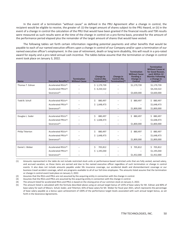In the event of a termination "without cause" as defined in the PRU Agreement after a change in control, the recipient would be eligible to receive, the greater of: (i) the target amount of shares subject to the PRU Award, or (ii) in the event of a change in control the calculation of the PRU that would have been granted if the financial results and TSR results were measured as such results were at the time of the change in control on a pro-forma basis, prorated for the amount of the performance period elapsed plus the remainder of the target amount of shares that would have vested.

The following tables set forth certain information regarding potential payments and other benefits that would be payable to each of our named executive officers upon a change in control of our Company and/or upon a termination of our named executive officer's employment. In the case of retirement, death or long term disability, this will result in a pro-rated award for equity and a pro-rated annual cash incentive. The tables below assume that the termination or change in control event took place on January 3, 2022.

| <b>Name</b>             | <b>Executive Benefits(1)</b>    | <b>Termination</b><br><b>Without Cause</b> | Change in<br><b>Control (No</b><br>Termination) <sup>(2)</sup> | <b>Change in</b><br><b>Control (No</b><br>Termination) <sup>(3)</sup> | <b>Termination</b><br><b>Without Cause</b><br>Pending a<br>Change in<br><b>Control</b> | <b>Termination</b><br><b>Without Cause or</b><br>for Good Reason.<br>each Within 12<br><b>Months Following</b><br>a Change in<br>Control <sup>(3)</sup> |
|-------------------------|---------------------------------|--------------------------------------------|----------------------------------------------------------------|-----------------------------------------------------------------------|----------------------------------------------------------------------------------------|---------------------------------------------------------------------------------------------------------------------------------------------------------|
| Thomas T. Edman         | Accelerated RSUs <sup>(4)</sup> | $-$                                        | \$1,179,739                                                    | $\overline{a}$                                                        | \$1,179,739                                                                            | \$1,179,739                                                                                                                                             |
|                         | Accelerated PRUs <sup>(4)</sup> | $\sim$                                     | \$4,234,522                                                    | $-$                                                                   |                                                                                        | \$4,234,522                                                                                                                                             |
|                         | Severance <sup>(5)</sup>        |                                            | --                                                             | $\overline{a}$                                                        | \$3,600,000                                                                            | \$3,600,000                                                                                                                                             |
|                         |                                 |                                            |                                                                |                                                                       |                                                                                        |                                                                                                                                                         |
| Todd B. Schull          | Accelerated RSUs <sup>(4)</sup> | --                                         | \$<br>880,497                                                  |                                                                       | Ś.<br>880,497                                                                          | \$880,497                                                                                                                                               |
|                         | Accelerated PRUs <sup>(4)</sup> | $-$                                        | \$1,648,473                                                    | $\overline{\phantom{a}}$                                              |                                                                                        | \$1,648,473                                                                                                                                             |
|                         | Severance <sup>(5)</sup>        | $\sim$ $\sim$                              | --                                                             | $\overline{\phantom{a}}$                                              | \$1,800,000                                                                            | \$1,800,000                                                                                                                                             |
|                         |                                 |                                            |                                                                |                                                                       |                                                                                        |                                                                                                                                                         |
| Douglas L. Soder        | Accelerated RSUs <sup>(4)</sup> | --                                         | Ś.<br>880,497                                                  |                                                                       | Ś.<br>880,497                                                                          | \$880,497                                                                                                                                               |
|                         | Accelerated PRUs <sup>(4)</sup> |                                            | \$1,648,473                                                    | $\overline{a}$                                                        |                                                                                        | \$1,648,473                                                                                                                                             |
|                         | Severance <sup>(5)</sup>        | $\overline{a}$                             | $- -$                                                          | $\overline{a}$                                                        | \$1,800,000                                                                            | \$1,800,000                                                                                                                                             |
|                         |                                 |                                            |                                                                |                                                                       |                                                                                        |                                                                                                                                                         |
| <b>Philip Titterton</b> | Accelerated RSUs <sup>(4)</sup> | --                                         | \$<br>880,497                                                  |                                                                       | Ś.<br>880,497                                                                          | \$880,497                                                                                                                                               |
|                         | Accelerated PRUs <sup>(4)</sup> |                                            | \$1,648,473                                                    |                                                                       |                                                                                        | \$1,648,473                                                                                                                                             |
|                         | Severance <sup>(5)</sup>        |                                            | --                                                             |                                                                       | \$1,800,000                                                                            | \$1,800,000                                                                                                                                             |
|                         |                                 |                                            |                                                                |                                                                       |                                                                                        |                                                                                                                                                         |
| Daniel J. Weber         | Accelerated RSUs <sup>(4)</sup> |                                            | \$<br>705,812                                                  |                                                                       | \$705,812                                                                              | \$705,812                                                                                                                                               |
|                         | Accelerated PRUs <sup>(4)</sup> |                                            | \$1,195,030                                                    |                                                                       |                                                                                        | \$1,195,030                                                                                                                                             |
|                         | Severance <sup>(5)</sup>        |                                            |                                                                | $\overline{\phantom{a}}$                                              | \$1,452,000                                                                            | \$1,452,000                                                                                                                                             |

(1) Amounts represented in the table do not include restricted stock units or performance-based restricted units that are fully vested, earned salary, and accrued vacation, as those items are earned and due to the named executive officer regardless of such termination or change in control events. It also does not include amounts payable under life insurance coverage, our accidental death and dismemberment coverage or our business travel accident coverage, which are programs available to all of our full-time employees. The amounts listed assume that the termination or change in control event took place on January 3, 2022.

(2) Assumes that the RSUs and PRUs are not assumed by the acquiring entity in connection with the change in control.

(3) Assumes that the RSUs and PRUs are assumed by the acquiring entity in connection with the change in control.

(4) The amount listed for accelerated RSUs and PRUs is based on the closing price of our common stock on January 3, 2022.

(5) The amount listed is calculated with the formula described above using an annual target bonus of 125% of base salary for Mr. Edman and 80% of base salary for each of Messrs. Schull, Soder, and Titterton; 65% of base salary for Mr. Weber for fiscal year 2021, which represents the percentage of base salary payable as a bonus upon achievement of 100% of the performance target levels associated with such annual target bonus, as set forth in the Severance Agreements.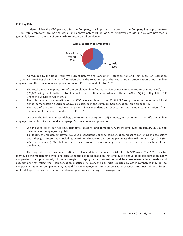#### <span id="page-55-0"></span>**CEO Pay Ratio**

In determining the CEO pay ratio for the Company, it is important to note that the Company has approximately 16,100 total employees around the world, and approximately 10,300 of such employees reside in Asia with pay that is generally lower than the pay of our North American based employees.

## **Asia v. Worldwide Employees** Rest of the



As required by the Dodd-Frank Wall Street Reform and Consumer Protection Act, and Item 402(u) of Regulation S-K, we are providing the following information about the relationship of the total annual compensation of our median employee and the total annual compensation of our President and CEO for 2021:

- The total annual compensation of the employee identified at median of our company (other than our CEO), was \$23,692 using the definition of total annual compensation in accordance with Item 402(c)(2)(viii) of Regulation S-K under the Securities Act of 1933.
- The total annual compensation of our CEO was calculated to be \$2,595,084 using the same definition of total annual compensation described above, as disclosed in the Summary Compensation Table on page 44.
- The ratio of the annual total compensation of our President and CEO to the total annual compensation of our median employee was estimated to be 110 to 1.

We used the following methodology and material assumptions, adjustments, and estimates to identify the median employee and determine our median employee's total annual compensation:

- We included all of our full-time, part-time, seasonal and temporary workers employed on January 3, 2022 to determine our employee population.
- To identify the median employee, we used a consistently applied compensation measure consisting of base salary and other guaranteed pay, including overtime, allowances and bonus payments that will occur in Q1 2022 (for 2021 performance). We believe these pay components reasonably reflect the annual compensation of our employees.

The pay ratio is a reasonable estimate calculated in a manner consistent with SEC rules. The SEC rules for identifying the median employee, and calculating the pay ratio based on that employee's annual total compensation, allow companies to adopt a variety of methodologies, to apply certain exclusions, and to make reasonable estimates and assumptions that reflect their compensation practices. As such, the pay ratio reported by other companies may not be comparable, as other companies may have different employment and compensation practices and may utilize different methodologies, exclusions, estimates and assumptions in calculating their own pay ratios.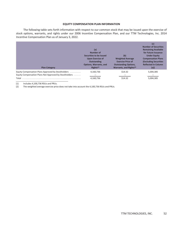#### **EQUITY COMPENSATION PLAN INFORMATION**

<span id="page-56-0"></span>The following table sets forth information with respect to our common stock that may be issued upon the exercise of stock options, warrants, and rights under our 2006 Incentive Compensation Plan, and our TTM Technologies, Inc. 2014 Incentive Compensation Plan as of January 3, 2022.

| <b>Plan Category</b>                                                                                                  | (a)<br>Number of<br>Securities to be Issued<br><b>Upon Exercise of</b><br><b>Outstanding</b><br><b>Options, Warrants, and</b><br>Rights <sup>(1)</sup> | (b)<br><b>Weighted Average</b><br><b>Exercise Price of</b><br><b>Outstanding Options,</b><br>Warrants, and Rights <sup>(2)</sup> | (c)<br><b>Number of Securities</b><br><b>Remaining Available</b><br>for Future Issuance<br><b>Under Equity</b><br><b>Compensation Plans</b><br><b>(Excluding Securities)</b><br><b>Reflected in Column</b><br>(a) |
|-----------------------------------------------------------------------------------------------------------------------|--------------------------------------------------------------------------------------------------------------------------------------------------------|----------------------------------------------------------------------------------------------------------------------------------|-------------------------------------------------------------------------------------------------------------------------------------------------------------------------------------------------------------------|
| Equity Compensation Plans Approved by Stockholders<br>Equity Compensation Plans Not Approved by Stockholders<br>Total | 4,160,736<br>4,160,736                                                                                                                                 | \$14.32<br>\$14.32                                                                                                               | 5,004,385<br>5,004,385                                                                                                                                                                                            |

(1) Includes 4,100,736 RSUs and PRUs.<br>(2) The weighted average exercise price The weighted average exercise price does not take into account the 4,100,736 RSUs and PRUs.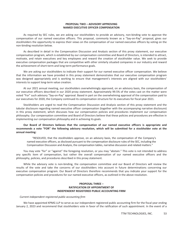#### **PROPOSAL TWO – ADVISORY APPROVING NAMED EXECUTIVE OFFICER COMPENSATION**

<span id="page-57-0"></span>As required by SEC rules, we are asking our stockholders to provide an advisory, non-binding vote to approve the compensation of our named executive officers. This proposal, commonly known as a "Say-on-Pay" proposal, gives our stockholders the opportunity to express their views on the compensation of our named executive officers by voting on the non-binding resolution below.

As described in detail in the Compensation Discussion and Analysis section of this proxy statement, our executive compensation program, which is established by our compensation committee and Board of Directors, is intended to attract, motivate, and retain executives and key employees and reward the creation of stockholder value. We seek to provide executive compensation packages that are competitive with other similarly situated companies in our industry and reward the achievement of short-term and long-term performance goals.

We are asking our stockholders to indicate their support for our named executive officer compensation. We believe that the information we have provided in this proxy statement demonstrates that our executive compensation program was designed appropriately and is working to ensure that management's interests are aligned with our stockholders' interests to support long-term value creation.

At our 2021 annual meeting, our stockholders overwhelmingly approved, on an advisory basis, the compensation of our executive officers described in our 2020 proxy statement. Approximately 99.5% of the votes cast on the matter were voted "For" such advisory "Say-on-Pay" approval. Based in part on the overwhelming approval of the compensation paid to our executives for 2020, the Company continued its compensation structure for its executives for fiscal year 2021.

Stockholders are urged to read the Compensation Discussion and Analysis section of this proxy statement and the tabular disclosure regarding named executive officer compensation (together with the accompanying narrative disclosure) in this proxy statement, which discusses how our compensation policies and procedures implement our compensation philosophy. Our compensation committee and Board of Directors believe that these policies and procedures are effective in implementing our compensation philosophy and in achieving its goals.

### **Our Board of Directors believes that the compensation of our named executive officers is appropriate and recommends a vote "FOR" the following advisory resolution, which will be submitted for a stockholder vote at the annual meeting:**

"RESOLVED, that the stockholders approve, on an advisory basis, the compensation of the Company's named executive officers, as disclosed pursuant to the compensation disclosure rules of the SEC, including the Compensation Discussion and Analysis, the compensation tables, narrative discussion and related matters."

You may vote "for" or "against" the foregoing resolution, or you may "abstain." This vote is not intended to address any specific item of compensation, but rather the overall compensation of our named executive officers and the philosophy, policies, and procedures described in this proxy statement.

While the advisory vote is non-binding, the compensation committee and our Board of Directors will review the results of the vote and take the concerns of our stockholders into account in future determinations concerning our executive compensation program. Our Board of Directors therefore recommends that you indicate your support for the compensation policies and procedures for our named executive officers, as outlined in the above resolution.

#### **PROPOSAL THREE – RATIFICATION OF APPOINTMENT OF INDEPENDENT REGISTERED PUBLIC ACCOUNTING FIRM**

#### <span id="page-57-1"></span>*Current independent registered public accounting firm*

We have appointed KPMG LLP to serve as our independent registered public accounting firm for the fiscal year ending January 2, 2023 and recommend that stockholders vote in favor of the ratification of such appointment. In the event of a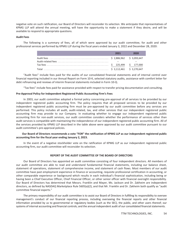negative vote on such ratification, our Board of Directors will reconsider its selection. We anticipate that representatives of KPMG LLP will attend the annual meeting, will have the opportunity to make a statement if they desire, and will be available to respond to appropriate questions.

#### **Audit Fees**

The following is a summary of fees, all of which were approved by our audit committee, for audit and other professional services performed by KPMG LLP during the fiscal years ended January 3, 2022 and December 28, 2020:

| 2021 | 2020 |
|------|------|
|      |      |
|      |      |
|      |      |
|      |      |

"Audit fees" include fees paid for the audits of our consolidated financial statements and of internal control over financial reporting included in our Annual Report on Form 10-K, selected statutory audits, assistance with comfort letter for debt refinancing and reviews of interim financial statements included in Form 10-Q.

"Tax fees" include fees paid for assistance provided with respect to transfer pricing documentation and consulting.

#### **Pre-Approval Policy for Independent Registered Public Accounting Firm's Fees**

In 2003, our audit committee adopted a formal policy concerning pre-approval of all services to be provided by our independent registered public accounting firm. The policy requires that all proposed services to be provided by our independent registered public accounting firm must be pre-approved by our audit committee before any services are performed. This policy includes all audit, audit-related, tax, and other services that our independent registered public accounting firm may provide to our Company. In evaluating whether to engage our independent registered public accounting firm for non-audit services, our audit committee considers whether the performance of services other than audit services is compatible with maintaining the independence of our independent registered public accounting firm. All of the services provided by KPMG LLP described in the table above were approved by our audit committee pursuant to our audit committee's pre-approval policies.

#### **Our Board of Directors recommends a vote "FOR" the ratification of KPMG LLP as our independent registered public accounting firm for the fiscal year ending January 2, 2023.**

In the event of a negative stockholder vote on the ratification of KPMG LLP as our independent registered public accounting firm, our audit committee will reconsider its selection.

#### **REPORT OF THE AUDIT COMMITTEE OF THE BOARD OF DIRECTORS**

<span id="page-58-0"></span>Our Board of Directors has appointed an audit committee consisting of four independent directors. All members of our audit committee are able to read and understand fundamental financial statements, including our balance sheet, statement of operations, statement of comprehensive income, and statement of cash flows. Most members of our audit committee have past employment experience in finance or accounting, requisite professional certification in accounting, or other comparable experience or background which results in each individual's financial sophistication, including being or having been a Chief Executive Officer, Chief Financial Officer, or other senior officer with financial oversight responsibility. Our Board of Directors has determined that Messrs. Franklin and Mayer, Ms. Jackson and Dr. Zakheim are independent directors, as defined by NASDAQ Marketplace Rule 5605(a)(2), and that Mr. Franklin and Dr. Zakheim both qualify as "audit committee financial experts."

The primary responsibility of our audit committee is to assist our Board of Directors in fulfilling its responsibility to oversee management's conduct of our financial reporting process, including overseeing the financial reports and other financial information provided by us to governmental or regulatory bodies (such as the SEC), the public, and other users thereof; our systems of internal accounting and financial controls; and the annual independent audit of our consolidated financial statements.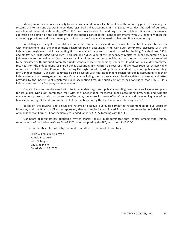Management has the responsibility for our consolidated financial statements and the reporting process, including the systems of internal controls. Our independent registered public accounting firm engaged to conduct the audit of our 2021 consolidated financial statements, KPMG LLP, was responsible for auditing our consolidated financial statements, expressing an opinion on the conformity of those audited consolidated financial statements with U.S. generally accepted accounting principles, and for expressing an opinion on the Company's internal control over financial reporting.

In fulfilling its oversight responsibilities, our audit committee reviewed our consolidated audited financial statements with management and the independent registered public accounting firm. Our audit committee discussed with the independent registered public accounting firm the matters required to be discussed by Auditing Standard No. 1301, *Communications with Audit Committees*. This included a discussion of the independent registered public accounting firm's judgments as to the quality, not just the acceptability, of our accounting principles and such other matters as are required to be discussed with our audit committee under generally accepted auditing standards. In addition, our audit committee received from the independent registered public accounting firm written disclosures and the letter required by applicable requirements of the Public Company Accounting Oversight Board regarding the independent registered public accounting firm's independence. Our audit committee also discussed with the independent registered public accounting firm their independence from management and our Company, including the matters covered by the written disclosures and letter provided by the independent registered public accounting firm. Our audit committee has concluded that KPMG LLP is independent from our Company and management.

Our audit committee discussed with the independent registered public accounting firm the overall scope and plans for its audits. Our audit committee met with the independent registered public accounting firm, with and without management present, to discuss the results of its audit, the internal controls of our Company, and the overall quality of our financial reporting. Our audit committee held four meetings during the fiscal year ended January 3, 2022.

Based on the reviews and discussions referred to above, our audit committee recommended to our Board of Directors, and our Board of Directors approved, that our audited consolidated financial statements be included in our Annual Report on Form 10-K for the fiscal year ended January 3, 2022 for filing with the SEC.

Our Board of Directors has adopted a written charter for our audit committee that reflects, among other things, requirements of the Sarbanes-Oxley Act of 2002, rules adopted by the SEC, and rules of NASDAQ.

This report has been furnished by our audit committee to our Board of Directors.

Philip G. Franklin, Chairman Pamela B. Jackson John G. Mayer Dov S. Zakheim Dated March 23, 2022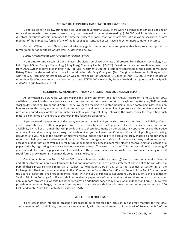#### **CERTAIN RELATIONSHIPS AND RELATED TRANSACTIONS**

<span id="page-60-0"></span>Except as set forth below, during the fiscal year ended January 3, 2022, there were no transactions or series of similar transactions to which we were or are a party that involved an amount exceeding \$120,000 and in which any of our directors, executive officers, nominees for director, holders of more than 5% of any class of our voting securities, or any member of the immediate family of any of the foregoing persons, had or will have a direct or indirect material interest.

Certain affiliates of our Chinese subsidiaries engage in transactions with companies that have relationships with a former member of our Board of Directors, as described below.

#### *Supply Arrangements with Affiliates of Related Parties*

From time to time certain of our Chinese subsidiaries purchase laminate and prepreg from Shengyi Technology Co., Ltd. ("Sytech") and Shengyi Technology (Hong Kong) Company Limited ("SYST"). Based on the last information known to us from 2020, Sytech is controlled indirectly by Top Mix Investments Limited, a company controlled by the Estate of Mr. Tang Hsiang Chien, the deceased father of our former director, Mr. Tang Chung Yen (Tom Tang), who, based on his filing activity with the SEC (including his last filing, which was an "exit filing" on Schedule 13D filed on April 15, 2021), was a holder of more than 5% of our common stock prior to such date. SYST is 100% owned by Sytech. We had total purchases from Sytech and SYST of \$46.6 million in 2021.

#### **ELECTRONIC AVAILABILITY OF PROXY STATEMENT AND 2021 ANNUAL REPORT**

<span id="page-60-1"></span>As permitted by SEC rules, we are making this proxy statement and our Annual Report on Form 10-K for 2021 available to stockholders electronically via the Internet on our website at https://investors.ttm.com/2022-annualstockholders-meeting. On or about April 1, 2022, we began mailing to our stockholders a notice containing instructions on how to access this proxy statement and our annual report and how to vote online. If you received that notice, you will not receive a printed copy of the proxy materials unless you request it by following the instructions for requesting such materials contained on the notice or set forth in the following paragraph.

If you received a paper copy of this proxy statement by mail and you wish to receive a notice of availability of next year's proxy statement either in paper form or electronically via e-mail, you can elect to receive a paper notice of availability by mail or an e-mail that will provide a link to these documents on our website. By opting to receive the notice of availability and accessing your proxy materials online, you will save our Company the cost of printing and mailing documents to you, reduce the amount of mail you receive, speed your ability to access the proxy materials and our annual report, and help preserve environmental resources. We encourage you to sign up for electronic proxy and annual report access or a paper notice of availability for future annual meetings. Stockholders may elect to receive electronic access or a paper notice by registering electronically on our website at https://investors.ttm.com/2022-annual-stockholders-meeting. If you received electronic or paper notice of availability of these proxy materials and wish to receive paper delivery of a full set of future proxy materials, you may do so at the same location.

Our Annual Report on Form 10-K for 2021, available on our website at *https://investors.ttm.com*, contains financial and other information about our Company, but is not incorporated into this proxy statement and is not to be considered a part of these proxy soliciting materials or subject to Regulations 14A or 14C or to the liabilities of Section 18 of the Exchange Act. The information contained in the "Compensation Committee Report" and "Report of the Audit Committee of the Board of Directors" shall not be deemed "filed" with the SEC or subject to Regulations 14A or 14C or to the liabilities of Section 18 of the Exchange Act. If a stockholder received a paper copy of our annual report and does not wish to access our annual report through our website but rather requires an additional paper copy of our Annual Report on Form 10-K, we will provide one, without charge, on the written request of any such stockholder addressed to our corporate secretary at 200 East Sandpointe, Suite 400, Santa Ana, California 92707.

#### **STOCKHOLDER PROPOSALS**

<span id="page-60-2"></span>If any stockholder intends to present a proposal to be considered for inclusion in our proxy material for the 2023 annual meeting of stockholders, the proposal must comply with the requirements of Rule 14a-8 of Regulation 14A of the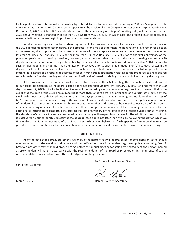Exchange Act and must be submitted in writing by notice delivered to our corporate secretary at 200 East Sandpointe, Suite 400, Santa Ana, California 92707. Any such proposal must be received by the Company no later than 5:00 p.m. Pacific Time, December 2, 2022, which is 120 calendar days prior to the anniversary of this year's mailing date, unless the date of our 2022 annual meeting is changed by more than 30 days from May 12, 2022, in which case, the proposal must be received a reasonable time before we begin to print and mail our proxy materials.

In addition, our bylaws establish certain requirements for proposals a stockholder wishes to make from the floor of the 2023 annual meeting of stockholders. If the proposal is for a matter other than the nomination of a director for election at the meeting, the proposal must be written and delivered to our corporate secretary at the address set forth above not less than 90 days (by February 11, 2023) nor more than 120 days (January 12, 2023) prior to the first anniversary of the preceding year's annual meeting; provided, however, that in the event that the date of the annual meeting is more than 30 days before or after such anniversary date, notice by the stockholder must be so delivered not earlier than 120 days prior to such annual meeting and not later than the later of (a) 90 days prior to such annual meeting or (b) five days following the day on which public announcement of the date of such meeting is first made by our Company. Our bylaws provide that a stockholder's notice of a proposal of business must set forth certain information relating to the proposed business desired to be brought before the meeting and the proposal itself, and information relating to the stockholder making the proposal.

If the proposal is for the nomination of a director for election at the 2023 meeting, the nomination must be delivered to our corporate secretary at the address listed above not less than 90 days (by February 11, 2023) and not more than 120 days (January 12, 2023) prior to the first anniversary of the preceding year's annual meeting; provided, however, that in the event that the date of the 2021 annual meeting is more than 30 days before or after such anniversary date, notice by the stockholder must be so delivered not earlier than 120 days prior to such annual meeting and not later than the later of (a) 90 days prior to such annual meeting or (b) five days following the day on which we make the first public announcement of the date of such meeting. However, in the event that the number of directors to be elected to our Board of Directors at an annual meeting of stockholders is increased and there is no public announcement by us naming the nominees for the additional directorships at least 100 days prior to the first anniversary of the date of the preceding year's annual meeting, the stockholder's notice will also be considered timely, but only with respect to nominees for the additional directorships, if it is delivered to our corporate secretary at the address listed above not later than five days following the day on which we first make a public announcement of additional directorships. Our bylaws set forth specific information that must be provided to our corporate secretary in connection with the nomination of a director for election at the annual meeting.

#### **OTHER MATTERS**

As of the date of this proxy statement, we know of no matter that will be presented for consideration at the annual meeting other than the election of directors and the ratification of our independent registered public accounting firm. If, however, any other matter should properly come before the annual meeting for action by stockholders, the persons named as proxy holders will vote in accordance with the recommendation of the Board of Directors or, in the absence of such a recommendation, in accordance with the best judgment of the proxy holder.

Santa Ana, California

By Order of the Board of Directors

March 23, 2022 **Daniel J. Weber, Secretary**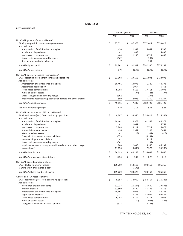## **ANNEX A**

**RECONCILIATIONS2**

|                                                                                                | Fourth Quarter      |    |                         | <b>Full Year</b>   |                     |
|------------------------------------------------------------------------------------------------|---------------------|----|-------------------------|--------------------|---------------------|
|                                                                                                | 2021                |    | 2020                    | 2021               | 2020                |
| Non-GAAP gross profit reconciliation <sup>3</sup> :                                            |                     |    |                         |                    |                     |
| GAAP gross profit from continuing operations<br>Add back item:                                 | \$<br>97,322        | \$ | 87,973                  | \$372,011          | \$359,023           |
| Amortization of definite-lived intangibles<br>Accelerated depreciation                         | 1,490               |    | 1,384<br>899            | 5,641              | 5,535<br>5,835      |
| Stock-based compensation                                                                       | 1,404               |    | 1,246                   | 4,714              | 3,889               |
| Unrealized gain on commodity hedge                                                             | (362)               |    |                         | (297)              |                     |
| Restructuring and other charges                                                                | 7                   |    |                         | 261                |                     |
| Non-GAAP gross profit                                                                          | \$<br>99,861        | \$ | 91,502                  | \$382,330          | \$374,282           |
| Non-GAAP gross margin                                                                          | 16.7%               |    | 17.5%                   | 17.0%              | 17.8%               |
| Non-GAAP operating income reconciliation <sup>4</sup> :                                        |                     |    |                         |                    |                     |
| GAAP operating income from continuing operations                                               | \$<br>33,068        | \$ | 29,166                  | \$125,991          | \$28,092            |
| Add back items:                                                                                |                     |    |                         |                    |                     |
| Amortization of definite-lived intangibles                                                     | 10,401              |    | 10,973                  | 41,389             | 44,373              |
| Accelerated depreciation                                                                       |                     |    | 1,057                   |                    | 6,751               |
| Stock-based compensation                                                                       | 5,208               |    | 4,112                   | 17,711             | 16,073              |
| (Gain) on sale of assets                                                                       |                     |    | (97)                    | (421)              | (97)                |
| Unrealized gain on commodity hedge                                                             | (362)               |    |                         | (297)              |                     |
| Impairments, restructuring, acquisition-related and other charges<br>Non-GAAP operating income | \$<br>800<br>49,115 | \$ | 2,098<br>47,309         | 5,350<br>\$189,723 | 86,237<br>\$181,429 |
|                                                                                                |                     |    |                         |                    |                     |
| Non-GAAP operating margin                                                                      | 8.2%                |    | 9.0%                    | 8.4%               | 8.6%                |
| Non-GAAP net income and EPS reconciliation <sup>5</sup> :                                      |                     |    |                         |                    |                     |
| GAAP net income (loss) from continuing operations                                              | \$<br>8,387         | \$ | 38,960                  | \$54,414           | \$(16, 386)         |
| Add back items:                                                                                |                     |    |                         |                    |                     |
| Amortization of definite-lived intangibles<br>Accelerated depreciation                         | 10,401              |    | 10,973<br>1,057         | 41,389             | 44,373<br>6,751     |
| Stock-based compensation                                                                       | 5,208               |    | 4,112                   | 17,711             | 16,073              |
| Non-cash interest expense                                                                      | 496                 |    | 2,962                   | 2,109              | 17,451              |
| (Gain) on sale of assets                                                                       |                     |    | (119)                   | (991)              | (825)               |
| Change in fair value of warrant liabilities                                                    | (373)               |    |                         | (4, 241)           |                     |
| Loss on extinguishment of debt                                                                 | ÷.                  |    | ä,                      | 15,217             |                     |
| Unrealized gain on commodity hedge                                                             | (362)               |    |                         | (297)              |                     |
| Impairments, restructuring, acquisition-related and other charges                              | 800                 |    | 2,098                   | 5,350              | 86,237              |
| Income taxes <sup>6</sup>                                                                      | 11,636              |    | (19,800)                | 7,373              | (36,988)            |
| Non-GAAP net income                                                                            | \$<br>36,193        | \$ | 40,243                  | \$138,034          | \$116,686           |
| Non-GAAP earnings per diluted share                                                            | \$<br>0.34          | \$ | 0.37                    | \$<br>1.28         | \$<br>1.10          |
| Non-GAAP diluted number of shares:                                                             |                     |    |                         |                    |                     |
| GAAP diluted number of shares                                                                  | 105,769             |    | 113,513                 | 108,153            | 106,366             |
| Dilutive effect of convertible debt                                                            |                     |    | (5, 193)                |                    |                     |
| Non-GAAP diluted number of shares                                                              | 105,769             |    | 108,320                 | 108,153            | 106,366             |
| Adjusted EBITDA reconciliation <sup>7</sup> :                                                  |                     |    |                         |                    |                     |
| GAAP net income (loss) from continuing operations                                              | \$<br>8,387         | \$ | 38,960                  | \$54,414           | \$(16, 386)         |
| Add back items:                                                                                |                     |    |                         |                    |                     |
| Income tax provision (benefit)                                                                 | 12,237              |    | (26, 247)               | 15,639             | (29, 891)           |
| Interest expense                                                                               | 11,860              |    | 14,599                  | 45,475             | 73,156              |
| Amortization of definite-lived intangibles                                                     | 10,401              |    | 10,973                  | 41,389             | 44,373              |
| Depreciation expense                                                                           | 22,231              |    | 23,775                  | 85,942             | 99,572              |
| Stock-based compensation                                                                       | 5,208               |    | 4,112                   | 17,711             | 16,073              |
| (Gain) on sale of assets<br>Change in fair value of warrant liabilities                        | (373)               |    | (119)<br>$\blacksquare$ | (991)              | (825)               |
|                                                                                                |                     |    |                         | (4, 241)           |                     |

TTM TECHNOLOGIES, INC. A-1